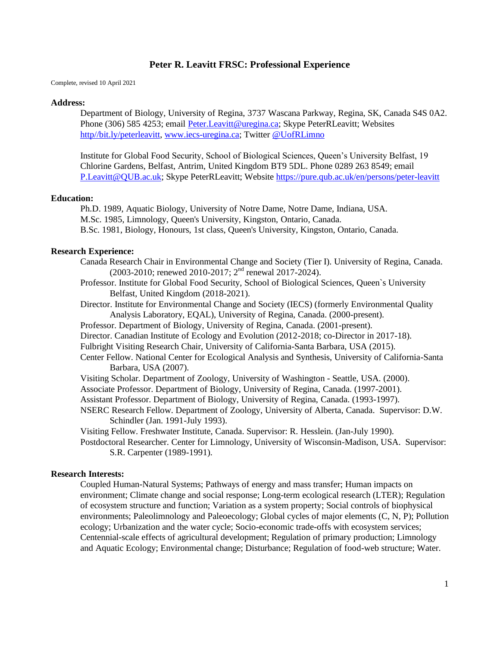Complete, revised 10 April 2021

#### **Address:**

Department of Biology, University of Regina, 3737 Wascana Parkway, Regina, SK, Canada S4S 0A2. Phone (306) 585 4253; email [Peter.Leavitt@uregina.ca;](mailto:Peter.Leavitt@uregina.ca) Skype PeterRLeavitt; Websites [http//bit.ly/peterleavitt,](http://http/bit.ly/peterleavitt) [www.iecs-uregina.ca;](http://www.iecs-uregina.ca/) Twitter [@UofRLimno](https://twitter.com/uofrlimno?lang=en)

Institute for Global Food Security, School of Biological Sciences, Queen's University Belfast, 19 Chlorine Gardens, Belfast, Antrim, United Kingdom BT9 5DL. Phone 0289 263 8549; email [P.Leavitt@QUB.ac.uk;](mailto:P.Leavitt@QUB.ac.uk) Skype PeterRLeavitt; Website<https://pure.qub.ac.uk/en/persons/peter-leavitt>

### **Education:**

Ph.D. 1989, Aquatic Biology, University of Notre Dame, Notre Dame, Indiana, USA. M.Sc. 1985, Limnology, Queen's University, Kingston, Ontario, Canada. B.Sc. 1981, Biology, Honours, 1st class, Queen's University, Kingston, Ontario, Canada.

### **Research Experience:**

- Canada Research Chair in Environmental Change and Society (Tier I). University of Regina, Canada. (2003-2010; renewed 2010-2017; 2nd renewal 2017-2024).
- Professor. Institute for Global Food Security, School of Biological Sciences, Queen`s University Belfast, United Kingdom (2018-2021).
- Director. Institute for Environmental Change and Society (IECS) (formerly Environmental Quality Analysis Laboratory, EQAL), University of Regina, Canada. (2000-present).
- Professor. Department of Biology, University of Regina, Canada. (2001-present).
- Director. Canadian Institute of Ecology and Evolution (2012-2018; co-Director in 2017-18).
- Fulbright Visiting Research Chair, University of California-Santa Barbara, USA (2015).
- Center Fellow. National Center for Ecological Analysis and Synthesis, University of California-Santa Barbara, USA (2007).
- Visiting Scholar. Department of Zoology, University of Washington Seattle, USA. (2000).
- Associate Professor. Department of Biology, University of Regina, Canada. (1997-2001).
- Assistant Professor. Department of Biology, University of Regina, Canada. (1993-1997).
- NSERC Research Fellow. Department of Zoology, University of Alberta, Canada. Supervisor: D.W. Schindler (Jan. 1991-July 1993).
- Visiting Fellow. Freshwater Institute, Canada. Supervisor: R. Hesslein. (Jan-July 1990).
- Postdoctoral Researcher. Center for Limnology, University of Wisconsin-Madison, USA. Supervisor: S.R. Carpenter (1989-1991).

#### **Research Interests:**

Coupled Human-Natural Systems; Pathways of energy and mass transfer; Human impacts on environment; Climate change and social response; Long-term ecological research (LTER); Regulation of ecosystem structure and function; Variation as a system property; Social controls of biophysical environments; Paleolimnology and Paleoecology; Global cycles of major elements (C, N, P); Pollution ecology; Urbanization and the water cycle; Socio-economic trade-offs with ecosystem services; Centennial-scale effects of agricultural development; Regulation of primary production; Limnology and Aquatic Ecology; Environmental change; Disturbance; Regulation of food-web structure; Water.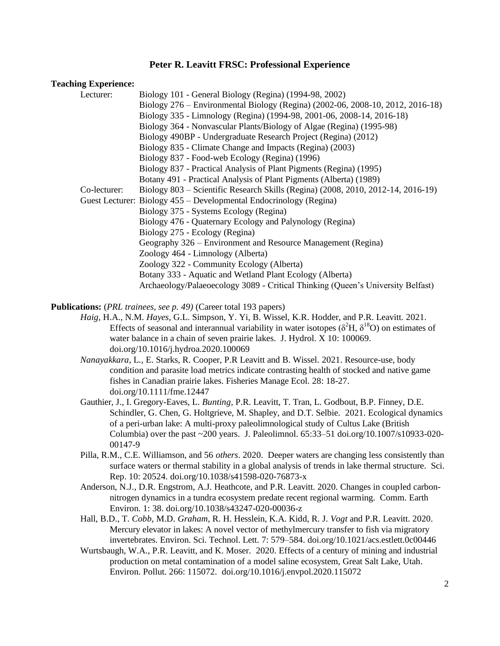#### **Teaching Experience:**

| Lecturer:    | Biology 101 - General Biology (Regina) (1994-98, 2002)                           |
|--------------|----------------------------------------------------------------------------------|
|              | Biology 276 – Environmental Biology (Regina) (2002-06, 2008-10, 2012, 2016-18)   |
|              | Biology 335 - Limnology (Regina) (1994-98, 2001-06, 2008-14, 2016-18)            |
|              | Biology 364 - Nonvascular Plants/Biology of Algae (Regina) (1995-98)             |
|              | Biology 490BP - Undergraduate Research Project (Regina) (2012)                   |
|              | Biology 835 - Climate Change and Impacts (Regina) (2003)                         |
|              | Biology 837 - Food-web Ecology (Regina) (1996)                                   |
|              | Biology 837 - Practical Analysis of Plant Pigments (Regina) (1995)               |
|              | Botany 491 - Practical Analysis of Plant Pigments (Alberta) (1989)               |
| Co-lecturer: | Biology 803 – Scientific Research Skills (Regina) (2008, 2010, 2012-14, 2016-19) |
|              | Guest Lecturer: Biology 455 – Developmental Endocrinology (Regina)               |
|              | Biology 375 - Systems Ecology (Regina)                                           |
|              | Biology 476 - Quaternary Ecology and Palynology (Regina)                         |
|              | Biology 275 - Ecology (Regina)                                                   |
|              | Geography 326 – Environment and Resource Management (Regina)                     |
|              | Zoology 464 - Limnology (Alberta)                                                |
|              | Zoology 322 - Community Ecology (Alberta)                                        |
|              | Botany 333 - Aquatic and Wetland Plant Ecology (Alberta)                         |
|              | Archaeology/Palaeoecology 3089 - Critical Thinking (Queen's University Belfast)  |

**Publications:** (*PRL trainees, see p. 49)* (Career total 193 papers)

- *Haig*, H.A., N.M. *Hayes*, G.L. Simpson, Y. Yi, B. Wissel, K.R. Hodder, and P.R. Leavitt. 2021. Effects of seasonal and interannual variability in water isotopes ( $\delta^2$ H,  $\delta^{18}$ O) on estimates of water balance in a chain of seven prairie lakes. J. Hydrol. X 10: 100069. doi.org/10.1016/j.hydroa.2020.100069
- *Nanayakkara*, L*.*, E. Starks, R. Cooper, P.R Leavitt and B. Wissel. 2021. Resource-use, body condition and parasite load metrics indicate contrasting health of stocked and native game fishes in Canadian prairie lakes. Fisheries Manage Ecol. 28: 18-27. doi.org/10.1111/fme.12447
- Gauthier, J., I. Gregory-Eaves, L. *Bunting*, P.R. Leavitt, T. Tran, L. Godbout, B.P. Finney, D.E. Schindler, G. Chen, G. Holtgrieve, M. Shapley, and D.T. Selbie. 2021. Ecological dynamics of a peri-urban lake: A multi-proxy paleolimnological study of Cultus Lake (British Columbia) over the past  $\sim$  200 years. J. Paleolimnol. 65:33–51 doi.org/10.1007/s10933-020-00147-9
- Pilla, R.M., C.E. Williamson, and 56 *others*. 2020. Deeper waters are changing less consistently than surface waters or thermal stability in a global analysis of trends in lake thermal structure. Sci. Rep. 10: 20524. doi.org/10.1038/s41598-020-76873-x
- Anderson, N.J., D.R. Engstrom, A.J. Heathcote, and P.R. Leavitt. 2020. Changes in coupled carbonnitrogen dynamics in a tundra ecosystem predate recent regional warming. Comm. Earth Environ. 1: 38. doi.org/10.1038/s43247-020-00036-z
- Hall, B.D., T. *Cobb*, M.D. *Graham*, R. H. Hesslein, K.A. Kidd, R. J. *Vogt* and P.R. Leavitt. 2020. Mercury elevator in lakes: A novel vector of methylmercury transfer to fish via migratory invertebrates. Environ. Sci. Technol. Lett. 7: 579–584. doi.org/10.1021/acs.estlett.0c00446
- Wurtsbaugh, W.A., P.R. Leavitt, and K. Moser. 2020. Effects of a century of mining and industrial production on metal contamination of a model saline ecosystem, Great Salt Lake, Utah. Environ. Pollut. 266: 115072. doi.org/10.1016/j.envpol.2020.115072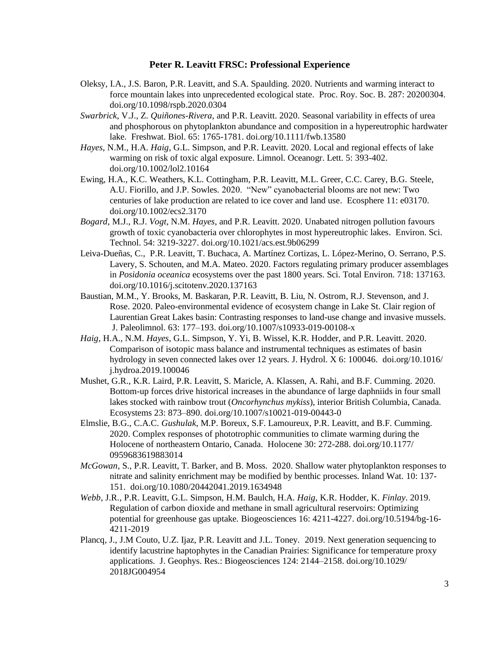- Oleksy, I.A., J.S. Baron, P.R. Leavitt, and S.A. Spaulding. 2020. Nutrients and warming interact to force mountain lakes into unprecedented ecological state. Proc. Roy. Soc. B. 287: 20200304. doi.org/10.1098/rspb.2020.0304
- *Swarbrick*, V.J., Z. *Quiñones-Rivera*, and P.R. Leavitt. 2020. Seasonal variability in effects of urea and phosphorous on phytoplankton abundance and composition in a hypereutrophic hardwater lake. Freshwat. Biol. 65: 1765-1781. doi.org/10.1111/fwb.13580
- *Hayes*, N.M., H.A. *Haig*, G.L. Simpson, and P.R. Leavitt. 2020. Local and regional effects of lake warming on risk of toxic algal exposure. Limnol. Oceanogr. Lett. 5: 393-402. doi.org/10.1002/lol2.10164
- Ewing, H.A., K.C. Weathers, K.L. Cottingham, P.R. Leavitt, M.L. Greer, C.C. Carey, B.G. Steele, A.U. Fiorillo, and J.P. Sowles. 2020. "New" cyanobacterial blooms are not new: Two centuries of lake production are related to ice cover and land use. Ecosphere 11: e03170. doi.org/10.1002/ecs2.3170
- *Bogard*, M.J., R.J. *Vogt*, N.M. *Hayes*, and P.R. Leavitt. 2020. Unabated nitrogen pollution favours growth of toxic cyanobacteria over chlorophytes in most hypereutrophic lakes. Environ. Sci. Technol. 54: 3219-3227. doi.org/10.1021/acs.est.9b06299
- Leiva-Dueñas, C., P.R. Leavitt, T. Buchaca, A. Martínez Cortizas, L. López-Merino, O. Serrano, P.S. Lavery, S. Schouten, and M.A. Mateo. 2020. Factors regulating primary producer assemblages in *Posidonia oceanica* ecosystems over the past 1800 years. Sci. Total Environ. 718: 137163. doi.org/10.1016/j.scitotenv.2020.137163
- Baustian, M.M., Y. Brooks, M. Baskaran, P.R. Leavitt, B. Liu, N. Ostrom, R.J. Stevenson, and J. Rose. 2020. Paleo-environmental evidence of ecosystem change in Lake St. Clair region of Laurentian Great Lakes basin: Contrasting responses to land-use change and invasive mussels. J. Paleolimnol. 63: 177–193. doi.org/10.1007/s10933-019-00108-x
- *Haig*, H.A., N.M. *Hayes*, G.L. Simpson, Y. Yi, B. Wissel, K.R. Hodder, and P.R. Leavitt. 2020. Comparison of isotopic mass balance and instrumental techniques as estimates of basin hydrology in seven connected lakes over 12 years. J. Hydrol. X 6: 100046. doi.org/10.1016/ j.hydroa.2019.100046
- Mushet, G.R., K.R. Laird, P.R. Leavitt, S. Maricle, A. Klassen, A. Rahi, and B.F. Cumming. 2020. Bottom-up forces drive historical increases in the abundance of large daphniids in four small lakes stocked with rainbow trout (*Oncorhynchus mykiss*), interior British Columbia, Canada. Ecosystems 23: 873–890. doi.org/10.1007/s10021-019-00443-0
- Elmslie, B.G., C.A.C. *Gushulak*, M.P. Boreux, S.F. Lamoureux, P.R. Leavitt, and B.F. Cumming. 2020. Complex responses of phototrophic communities to climate warming during the Holocene of northeastern Ontario, Canada. Holocene 30: 272-288. doi.org/10.1177/ 0959683619883014
- *McGowan*, S., P.R. Leavitt, T. Barker, and B. Moss. 2020. Shallow water phytoplankton responses to nitrate and salinity enrichment may be modified by benthic processes. Inland Wat. 10: 137- 151. doi.org/10.1080/20442041.2019.1634948
- *Webb*, J.R., P.R. Leavitt, G.L. Simpson, H.M. Baulch, H.A. *Haig*, K.R. Hodder, K. *Finlay*. 2019. Regulation of carbon dioxide and methane in small agricultural reservoirs: Optimizing potential for greenhouse gas uptake. Biogeosciences 16: 4211-4227. doi.org/10.5194/bg-16- 4211-2019
- Plancq, J., J.M Couto, U.Z. Ijaz, P.R. Leavitt and J.L. Toney. 2019. Next generation sequencing to identify lacustrine haptophytes in the Canadian Prairies: Significance for temperature proxy applications. J. Geophys. Res.: Biogeosciences 124: 2144–2158. doi.org/10.1029/ 2018JG004954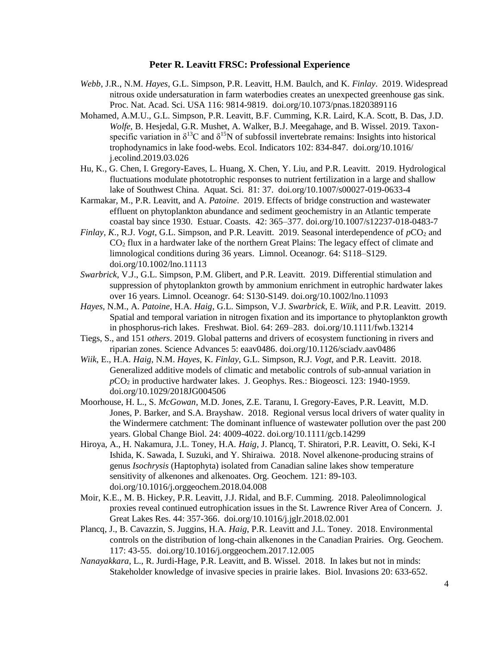- *Webb*, J.R., N.M. *Hayes*, G.L. Simpson, P.R. Leavitt, H.M. Baulch, and K. *Finlay*. 2019. Widespread nitrous oxide undersaturation in farm waterbodies creates an unexpected greenhouse gas sink. Proc. Nat. Acad. Sci. USA 116: 9814-9819. doi.org/10.1073/pnas.1820389116
- Mohamed, A.M.U., G.L. Simpson, P.R. Leavitt, B.F. Cumming, K.R. Laird, K.A. Scott, B. Das, J.D. *Wolfe*, B. Hesjedal, G.R. Mushet, A. Walker, B.J. Meegahage, and B. Wissel. 2019. Taxonspecific variation in  $\delta^{13}C$  and  $\delta^{15}N$  of subfossil invertebrate remains: Insights into historical trophodynamics in lake food-webs. Ecol. Indicators 102: 834-847. doi.org/10.1016/ j.ecolind.2019.03.026
- Hu, K., G. Chen, I. Gregory-Eaves, L. Huang, X. Chen, Y. Liu, and P.R. Leavitt. 2019. Hydrological fluctuations modulate phototrophic responses to nutrient fertilization in a large and shallow lake of Southwest China. Aquat. Sci. 81: 37. doi.org/10.1007/s00027-019-0633-4
- Karmakar, M., P.R. Leavitt, and A. *Patoine*. 2019. Effects of bridge construction and wastewater effluent on phytoplankton abundance and sediment geochemistry in an Atlantic temperate coastal bay since 1930. Estuar. Coasts. 42: 365–377. doi.org/10.1007/s12237-018-0483-7
- *Finlay, K., R.J. <i>Vogt*, G.L. Simpson, and P.R. Leavitt. 2019. Seasonal interdependence of  $pCO_2$  and CO<sup>2</sup> flux in a hardwater lake of the northern Great Plains: The legacy effect of climate and limnological conditions during 36 years. Limnol. Oceanogr. 64: S118–S129. doi.org/10.1002/lno.11113
- *Swarbrick*, V.J., G.L. Simpson, P.M. Glibert, and P.R. Leavitt. 2019. Differential stimulation and suppression of phytoplankton growth by ammonium enrichment in eutrophic hardwater lakes over 16 years. Limnol. Oceanogr. 64: S130-S149. doi.org/10.1002/lno.11093
- *Hayes*, N.M., A. *Patoine*, H.A. *Haig*, G.L. Simpson, V.J. *Swarbrick*, E. *Wiik*, and P.R. Leavitt. 2019. Spatial and temporal variation in nitrogen fixation and its importance to phytoplankton growth in phosphorus-rich lakes. Freshwat. Biol. 64: 269–283. doi.org/10.1111/fwb.13214
- Tiegs, S., and 151 *others*. 2019. Global patterns and drivers of ecosystem functioning in rivers and riparian zones. Science Advances 5: eaav0486. doi.org/10.1126/sciadv.aav0486
- *Wiik*, E., H.A. *Haig*, N.M. *Hayes*, K. *Finlay*, G.L. Simpson, R.J. *Vogt*, and P.R. Leavitt. 2018. Generalized additive models of climatic and metabolic controls of sub-annual variation in *p*CO<sup>2</sup> in productive hardwater lakes. J. Geophys. Res.: Biogeosci. 123: 1940-1959. doi.org/10.1029/2018JG004506
- Moorhouse, H. L., S. *McGowan*, M.D. Jones, Z.E. Taranu, I. Gregory-Eaves, P.R. Leavitt, M.D. Jones, P. Barker, and S.A. Brayshaw. 2018. Regional versus local drivers of water quality in the Windermere catchment: The dominant influence of wastewater pollution over the past 200 years. Global Change Biol. 24: 4009-4022. doi.org/10.1111/gcb.14299
- Hiroya, A., H. Nakamura, J.L. Toney, H.A. *Haig*, J. Plancq, T. Shiratori, P.R. Leavitt, O. Seki, K-I Ishida, K. Sawada, I. Suzuki, and Y. Shiraiwa. 2018. Novel alkenone-producing strains of genus *Isochrysis* (Haptophyta) isolated from Canadian saline lakes show temperature sensitivity of alkenones and alkenoates. Org. Geochem. 121: 89-103. doi.org/10.1016/j.orggeochem.2018.04.008
- Moir, K.E., M. B. Hickey, P.R. Leavitt, J.J. Ridal, and B.F. Cumming. 2018. Paleolimnological proxies reveal continued eutrophication issues in the St. Lawrence River Area of Concern. J. Great Lakes Res. 44: 357-366. doi.org/10.1016/j.jglr.2018.02.001
- Plancq, J., B. Cavazzin, S. Juggins, H.A. *Haig*, P.R. Leavitt and J.L. Toney. 2018. Environmental controls on the distribution of long-chain alkenones in the Canadian Prairies. Org. Geochem. 117: 43-55. doi.org/10.1016/j.orggeochem.2017.12.005
- *Nanayakkara*, L., R. Jurdi-Hage, P.R. Leavitt, and B. Wissel. 2018. In lakes but not in minds: Stakeholder knowledge of invasive species in prairie lakes. Biol. Invasions 20: 633-652.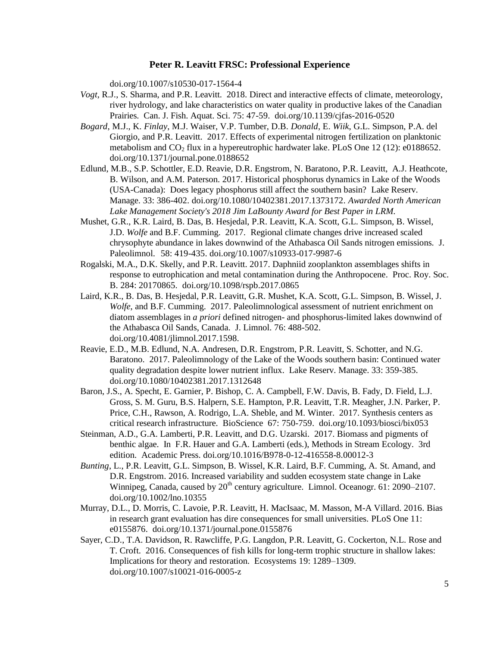doi.org/10.1007/s10530-017-1564-4

- *Vogt*, R.J., S. Sharma, and P.R. Leavitt. 2018. Direct and interactive effects of climate, meteorology, river hydrology, and lake characteristics on water quality in productive lakes of the Canadian Prairies. Can. J. Fish. Aquat. Sci. 75: 47-59. doi.org/10.1139/cjfas-2016-0520
- *Bogard*, M.J., K. *Finlay*, M.J. Waiser, V.P. Tumber, D.B. *Donald*, E. *Wiik*, G.L. Simpson, P.A. del Giorgio, and P.R. Leavitt. 2017. Effects of experimental nitrogen fertilization on planktonic metabolism and  $CO<sub>2</sub>$  flux in a hypereutrophic hardwater lake. PLoS One 12 (12): e0188652. doi.org/10.1371/journal.pone.0188652
- Edlund, M.B., S.P. Schottler, E.D. Reavie, D.R. Engstrom, N. Baratono, P.R. Leavitt, A.J. Heathcote, B. Wilson, and A.M. Paterson. 2017. Historical phosphorus dynamics in Lake of the Woods (USA-Canada): Does legacy phosphorus still affect the southern basin? Lake Reserv. Manage. 33: 386-402. doi.org/10.1080/10402381.2017.1373172. *Awarded North American Lake Management Society's 2018 Jim LaBounty Award for Best Paper in LRM.*
- Mushet, G.R., K.R. Laird, B. Das, B. Hesjedal, P.R. Leavitt, K.A. Scott, G.L. Simpson, B. Wissel, J.D. *Wolfe* and B.F. Cumming. 2017. Regional climate changes drive increased scaled chrysophyte abundance in lakes downwind of the Athabasca Oil Sands nitrogen emissions. J. Paleolimnol. 58: 419-435. doi.org/10.1007/s10933-017-9987-6
- Rogalski, M.A., D.K. Skelly, and P.R. Leavitt. 2017. Daphniid zooplankton assemblages shifts in response to eutrophication and metal contamination during the Anthropocene. Proc. Roy. Soc. B. 284: 20170865. doi.org/10.1098/rspb.2017.0865
- Laird, K.R., B. Das, B. Hesjedal, P.R. Leavitt, G.R. Mushet, K.A. Scott, G.L. Simpson, B. Wissel, J. *Wolfe*, and B.F. Cumming. 2017. Paleolimnological assessment of nutrient enrichment on diatom assemblages in *a priori* defined nitrogen- and phosphorus-limited lakes downwind of the Athabasca Oil Sands, Canada. J. Limnol. 76: 488-502. doi.org/10.4081/jlimnol.2017.1598.
- Reavie, E.D., M.B. Edlund, N.A. Andresen, D.R. Engstrom, P.R. Leavitt, S. Schotter, and N.G. Baratono. 2017. Paleolimnology of the Lake of the Woods southern basin: Continued water quality degradation despite lower nutrient influx. Lake Reserv. Manage. 33: 359-385. doi.org/10.1080/10402381.2017.1312648
- Baron, J.S., A. Specht, E. Garnier, P. Bishop, C. A. Campbell, F.W. Davis, B. Fady, D. Field, L.J. Gross, S. M. Guru, B.S. Halpern, S.E. Hampton, P.R. Leavitt, T.R. Meagher, J.N. Parker, P. Price, C.H., Rawson, A. Rodrigo, L.A. Sheble, and M. Winter. 2017. Synthesis centers as critical research infrastructure. BioScience 67: 750-759. doi.org/10.1093/biosci/bix053
- Steinman, A.D., G.A. Lamberti, P.R. Leavitt, and D.G. Uzarski. 2017. Biomass and pigments of benthic algae. In F.R. Hauer and G.A. Lamberti (eds.), Methods in Stream Ecology. 3rd edition. Academic Press. doi.org/10.1016/B978-0-12-416558-8.00012-3
- *Bunting*, L., P.R. Leavitt, G.L. Simpson, B. Wissel, K.R. Laird, B.F. Cumming, A. St. Amand, and D.R. Engstrom. 2016. Increased variability and sudden ecosystem state change in Lake Winnipeg, Canada, caused by 20<sup>th</sup> century agriculture. Limnol. Oceanogr. 61: 2090–2107. doi.org/10.1002/lno.10355
- Murray, D.L., D. Morris, C. Lavoie, P.R. Leavitt, H. MacIsaac, M. Masson, M-A Villard. 2016. Bias in research grant evaluation has dire consequences for small universities. PLoS One 11: e0155876. doi.org/10.1371/journal.pone.0155876
- Sayer, C.D., T.A. Davidson, R. Rawcliffe, P.G. Langdon, P.R. Leavitt, G. Cockerton, N.L. Rose and T. Croft. 2016. Consequences of fish kills for long-term trophic structure in shallow lakes: Implications for theory and restoration. Ecosystems 19: 1289–1309. doi.org/10.1007/s10021-016-0005-z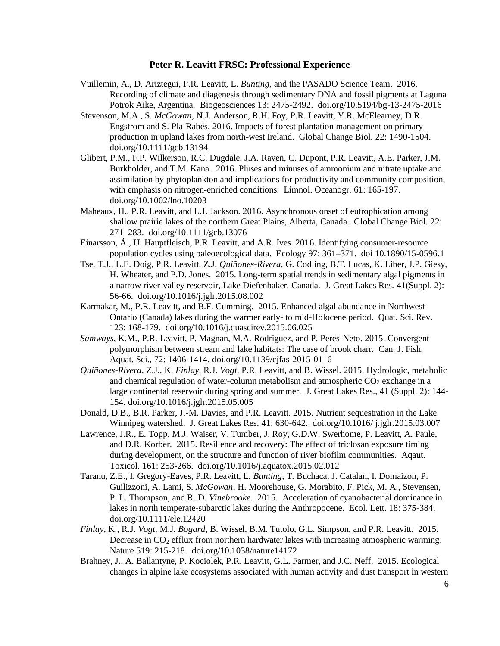- Vuillemin, A., D. Ariztegui, P.R. Leavitt, L. *Bunting*, and the PASADO Science Team. 2016. Recording of climate and diagenesis through sedimentary DNA and fossil pigments at Laguna Potrok Aike, Argentina. Biogeosciences 13: 2475-2492. doi.org/10.5194/bg-13-2475-2016
- Stevenson, M.A., S. *McGowan*, N.J. Anderson, R.H. Foy, P.R. Leavitt, Y.R. McElearney, D.R. Engstrom and S. Pla-Rabés. 2016. Impacts of forest plantation management on primary production in upland lakes from north-west Ireland. Global Change Biol. 22: 1490-1504. doi.org/10.1111/gcb.13194
- Glibert, P.M., F.P. Wilkerson, R.C. Dugdale, J.A. Raven, C. Dupont, P.R. Leavitt, A.E. Parker, J.M. Burkholder, and T.M. Kana. 2016. Pluses and minuses of ammonium and nitrate uptake and assimilation by phytoplankton and implications for productivity and community composition, with emphasis on nitrogen-enriched conditions. Limnol. Oceanogr. 61: 165-197. doi.org/10.1002/lno.10203
- Maheaux, H., P.R. Leavitt, and L.J. Jackson. 2016. Asynchronous onset of eutrophication among shallow prairie lakes of the northern Great Plains, Alberta, Canada. Global Change Biol. 22: 271–283. doi.org/10.1111/gcb.13076
- Einarsson, Á., U. Hauptfleisch, P.R. Leavitt, and A.R. Ives. 2016. Identifying consumer-resource population cycles using paleoecological data. Ecology 97: 361–371. doi 10.1890/15-0596.1
- Tse, T.J., L.E. Doig, P.R. Leavitt, Z.J. *Quiñones-Rivera*, G. Codling, B.T. Lucas, K. Liber, J.P. Giesy, H. Wheater, and P.D. Jones. 2015. Long-term spatial trends in sedimentary algal pigments in a narrow river-valley reservoir, Lake Diefenbaker, Canada. J. Great Lakes Res. 41(Suppl. 2): 56-66. doi.org/10.1016/j.jglr.2015.08.002
- Karmakar, M., P.R. Leavitt, and B.F. Cumming. 2015. Enhanced algal abundance in Northwest Ontario (Canada) lakes during the warmer early- to mid-Holocene period. Quat. Sci. Rev. 123: 168-179. doi.org/10.1016/j.quascirev.2015.06.025
- *Samways*, K.M., P.R. Leavitt, P. Magnan, M.A. Rodriguez, and P. Peres-Neto. 2015. Convergent polymorphism between stream and lake habitats: The case of brook charr. Can. J. Fish. Aquat. Sci., 72: 1406-1414. doi.org/10.1139/cjfas-2015-0116
- *Quiñones-Rivera*, Z.J., K. *Finlay*, R.J. *Vogt*, P.R. Leavitt, and B. Wissel. 2015. Hydrologic, metabolic and chemical regulation of water-column metabolism and atmospheric  $CO<sub>2</sub>$  exchange in a large continental reservoir during spring and summer. J. Great Lakes Res., 41 (Suppl. 2): 144- 154. doi.org/10.1016/j.jglr.2015.05.005
- Donald, D.B., B.R. Parker, J.-M. Davies, and P.R. Leavitt. 2015. Nutrient sequestration in the Lake Winnipeg watershed. J. Great Lakes Res. 41: 630-642. doi.org/10.1016/ j.jglr.2015.03.007
- Lawrence, J.R., E. Topp, M.J. Waiser, V. Tumber, J. Roy, G.D.W. Swerhome, P. Leavitt, A. Paule, and D.R. Korber. 2015. Resilience and recovery: The effect of triclosan exposure timing during development, on the structure and function of river biofilm communities. Aqaut. Toxicol. 161: 253-266. doi.org/10.1016/j.aquatox.2015.02.012
- Taranu, Z.E., I. Gregory-Eaves, P.R. Leavitt, L*. Bunting*, T. Buchaca, J. Catalan, I. Domaizon, P. Guilizzoni, A. Lami, S. *McGowan*, H. Moorehouse, G. Morabito, F. Pick, M. A., Stevensen, P. L. Thompson, and R. D*. Vinebrooke*. 2015. Acceleration of cyanobacterial dominance in lakes in north temperate-subarctic lakes during the Anthropocene. Ecol. Lett. 18: 375-384. doi.org/10.1111/ele.12420
- *Finlay*, K., R.J. *Vogt*, M.J. *Bogard*, B. Wissel, B.M. Tutolo, G.L. Simpson, and P.R. Leavitt. 2015. Decrease in CO<sub>2</sub> efflux from northern hardwater lakes with increasing atmospheric warming. Nature 519: 215-218. doi.org/10.1038/nature14172
- Brahney, J., A. Ballantyne, P. Kociolek, P.R. Leavitt, G.L. Farmer, and J.C. Neff. 2015. Ecological changes in alpine lake ecosystems associated with human activity and dust transport in western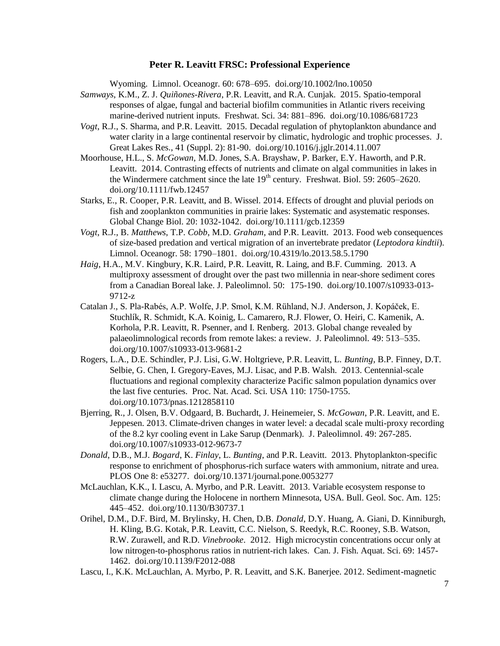Wyoming. Limnol. Oceanogr. 60: 678–695. doi.org/10.1002/lno.10050

- *Samways*, K.M., Z. J. *Quiñones-Rivera*, P.R. Leavitt, and R.A. Cunjak. 2015. Spatio-temporal responses of algae, fungal and bacterial biofilm communities in Atlantic rivers receiving marine-derived nutrient inputs. Freshwat. Sci. 34: 881–896. doi.org/10.1086/681723
- *Vogt*, R.J., S. Sharma, and P.R. Leavitt. 2015. Decadal regulation of phytoplankton abundance and water clarity in a large continental reservoir by climatic, hydrologic and trophic processes. J. Great Lakes Res., 41 (Suppl. 2): 81-90. doi.org/10.1016/j.jglr.2014.11.007
- Moorhouse, H.L., S. *McGowan,* M.D. Jones, S.A. Brayshaw, P. Barker, E.Y. Haworth, and P.R. Leavitt. 2014. Contrasting effects of nutrients and climate on algal communities in lakes in the Windermere catchment since the late  $19<sup>th</sup>$  century. Freshwat. Biol. 59: 2605–2620. doi.org/10.1111/fwb.12457
- Starks, E., R. Cooper, P.R. Leavitt, and B. Wissel. 2014. Effects of drought and pluvial periods on fish and zooplankton communities in prairie lakes: Systematic and asystematic responses. Global Change Biol. 20: 1032-1042. doi.org/10.1111/gcb.12359
- *Vogt*, R.J., B. *Matthews*, T.P. *Cobb*, M.D. *Graham*, and P.R. Leavitt. 2013. Food web consequences of size-based predation and vertical migration of an invertebrate predator (*Leptodora kindtii*). Limnol. Oceanogr. 58: 1790–1801. doi.org/10.4319/lo.2013.58.5.1790
- *Haig*, H.A., M.V. Kingbury, K.R. Laird, P.R. Leavitt, R. Laing, and B.F. Cumming. 2013. A multiproxy assessment of drought over the past two millennia in near-shore sediment cores from a Canadian Boreal lake. J. Paleolimnol. 50: 175-190. doi.org/10.1007/s10933-013- 9712-z
- Catalan J., S. Pla-Rabés, A.P. Wolfe, J.P. Smol, K.M. Rühland, N.J. Anderson, J. Kopáček, E. Stuchlík, R. Schmidt, K.A. Koinig, L. Camarero, R.J. Flower, O. Heiri, C. Kamenik, A. Korhola, P.R. Leavitt, R. Psenner, and I. Renberg. 2013. Global change revealed by palaeolimnological records from remote lakes: a review. J. Paleolimnol. 49: 513–535. doi.org/10.1007/s10933-013-9681-2
- Rogers, L.A., D.E. Schindler, P.J. Lisi, G.W. Holtgrieve, P.R. Leavitt, L. *Bunting*, B.P. Finney, D.T. Selbie, G. Chen, I. Gregory-Eaves, M.J. Lisac, and P.B. Walsh. 2013. Centennial-scale fluctuations and regional complexity characterize Pacific salmon population dynamics over the last five centuries. Proc. Nat. Acad. Sci. USA 110: 1750-1755. doi.org/10.1073/pnas.1212858110
- Bjerring, R., J. Olsen, B.V. Odgaard, B. Buchardt, J. Heinemeier, S. *McGowan*, P.R. Leavitt, and E. Jeppesen. 2013. Climate-driven changes in water level: a decadal scale multi-proxy recording of the 8.2 kyr cooling event in Lake Sarup (Denmark). J. Paleolimnol. 49: 267-285. doi.org/10.1007/s10933-012-9673-7
- *Donald*, D.B., M.J. *Bogard*, K. *Finlay*, L. *Bunting*, and P.R. Leavitt. 2013. Phytoplankton-specific response to enrichment of phosphorus-rich surface waters with ammonium, nitrate and urea. PLOS One 8: e53277. doi.org/10.1371/journal.pone.0053277
- McLauchlan, K.K., I. Lascu, A. Myrbo, and P.R. Leavitt. 2013. Variable ecosystem response to climate change during the Holocene in northern Minnesota, USA. Bull. Geol. Soc. Am. 125: 445–452. doi.org/10.1130/B30737.1
- Orihel, D.M., D.F. Bird, M. Brylinsky, H. Chen, D.B. *Donald*, D.Y. Huang, A. Giani, D. Kinniburgh, H. Kling, B.G. Kotak, P.R. Leavitt, C.C. Nielson, S. Reedyk, R.C. Rooney, S.B. Watson, R.W. Zurawell, and R.D. *Vinebrooke*. 2012. High microcystin concentrations occur only at low nitrogen-to-phosphorus ratios in nutrient-rich lakes. Can. J. Fish. Aquat. Sci. 69: 1457- 1462. doi.org/10.1139/F2012-088
- Lascu, I., K.K. McLauchlan, A. Myrbo, P. R. Leavitt, and S.K. Banerjee. 2012. Sediment-magnetic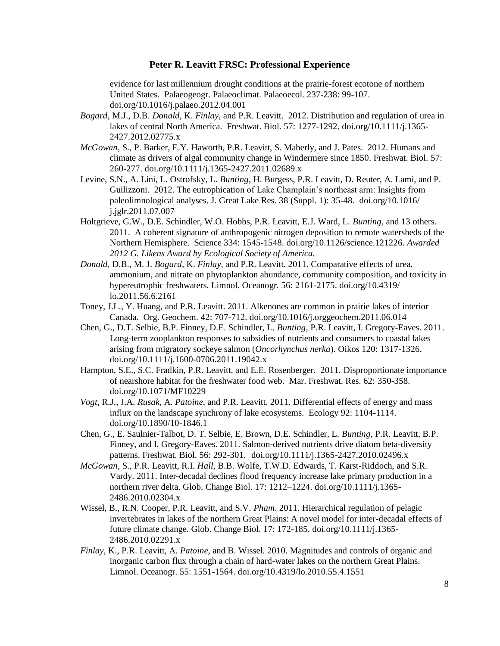evidence for last millennium drought conditions at the prairie-forest ecotone of northern United States. Palaeogeogr. Palaeoclimat. Palaeoecol. 237-238: 99-107. doi.org/10.1016/j.palaeo.2012.04.001

- *Bogard*, M.J., D.B. *Donald*, K. *Finlay*, and P.R. Leavitt. 2012. Distribution and regulation of urea in lakes of central North America. Freshwat. Biol. 57: 1277-1292. doi.org/10.1111/j.1365- 2427.2012.02775.x
- *McGowan*, S., P. Barker, E.Y. Haworth, P.R. Leavitt, S. Maberly, and J. Pates. 2012. Humans and climate as drivers of algal community change in Windermere since 1850. Freshwat. Biol. 57: 260-277. doi.org/10.1111/j.1365-2427.2011.02689.x
- Levine, S.N., A. Lini, L. Ostrofsky, L. *Bunting*, H. Burgess, P.R. Leavitt, D. Reuter, A. Lami, and P. Guilizzoni. 2012. The eutrophication of Lake Champlain's northeast arm: Insights from paleolimnological analyses. J. Great Lake Res. 38 (Suppl. 1): 35-48. doi.org/10.1016/ j.jglr.2011.07.007
- Holtgrieve, G.W., D.E. Schindler, W.O. Hobbs, P.R. Leavitt, E.J. Ward, L. *Bunting*, and 13 others. 2011. A coherent signature of anthropogenic nitrogen deposition to remote watersheds of the Northern Hemisphere. Science 334: 1545-1548. doi.org/10.1126/science.121226. *Awarded 2012 G. Likens Award by Ecological Society of America.*
- *Donald*, D.B., M. J. *Bogard*, K. *Finlay*, and P.R. Leavitt. 2011. Comparative effects of urea, ammonium, and nitrate on phytoplankton abundance, community composition, and toxicity in hypereutrophic freshwaters. Limnol. Oceanogr. 56: 2161-2175. doi.org/10.4319/ lo.2011.56.6.2161
- Toney, J.L., Y. Huang, and P.R. Leavitt. 2011. Alkenones are common in prairie lakes of interior Canada. Org. Geochem. 42: 707-712. doi.org/10.1016/j.orggeochem.2011.06.014
- Chen, G., D.T. Selbie, B.P. Finney, D.E. Schindler, L. *Bunting*, P.R. Leavitt, I. Gregory-Eaves. 2011. Long-term zooplankton responses to subsidies of nutrients and consumers to coastal lakes arising from migratory sockeye salmon (*Oncorhynchus nerka*). Oikos 120: 1317-1326. doi.org/10.1111/j.1600-0706.2011.19042.x
- Hampton, S.E., S.C. Fradkin, P.R. Leavitt, and E.E. Rosenberger. 2011. Disproportionate importance of nearshore habitat for the freshwater food web. Mar. Freshwat. Res. 62: 350-358. doi.org/10.1071/MF10229
- *Vogt*, R.J., J.A. *Rusak*, A. *Patoine*, and P.R. Leavitt. 2011. Differential effects of energy and mass influx on the landscape synchrony of lake ecosystems. Ecology 92: 1104-1114. doi.org/10.1890/10-1846.1
- Chen, G., E. Saulnier-Talbot, D. T. Selbie, E. Brown, D.E. Schindler, L. *Bunting*, P.R. Leavitt, B.P. Finney, and I. Gregory-Eaves. 2011. Salmon-derived nutrients drive diatom beta-diversity patterns. Freshwat. Biol. 56: 292-301. doi.org/10.1111/j.1365-2427.2010.02496.x
- *McGowan*, S., P.R. Leavitt, R.I. *Hall*, B.B. Wolfe, T.W.D. Edwards, T. Karst-Riddoch, and S.R. Vardy. 2011. Inter-decadal declines flood frequency increase lake primary production in a northern river delta. Glob. Change Biol. 17: 1212–1224. doi.org/10.1111/j.1365- 2486.2010.02304.x
- Wissel, B., R.N. Cooper, P.R. Leavitt, and S.V. *Pham*. 2011. Hierarchical regulation of pelagic invertebrates in lakes of the northern Great Plains: A novel model for inter-decadal effects of future climate change. Glob. Change Biol. 17: 172-185. doi.org/10.1111/j.1365- 2486.2010.02291.x
- *Finlay*, K., P.R. Leavitt, A. *Patoine*, and B. Wissel. 2010. Magnitudes and controls of organic and inorganic carbon flux through a chain of hard-water lakes on the northern Great Plains. Limnol. Oceanogr. 55: 1551-1564. doi.org/10.4319/lo.2010.55.4.1551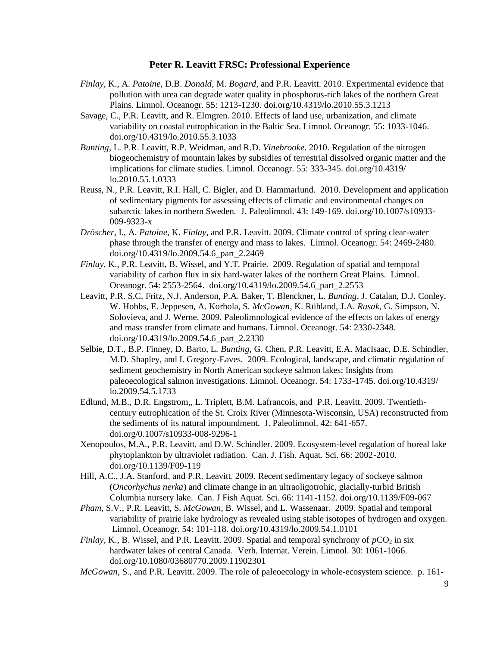- *Finlay*, K., A. *Patoine*, D.B. *Donald*, M. *Bogard*, and P.R. Leavitt. 2010. Experimental evidence that pollution with urea can degrade water quality in phosphorus-rich lakes of the northern Great Plains. Limnol. Oceanogr. 55: 1213-1230. doi.org/10.4319/lo.2010.55.3.1213
- Savage, C., P.R. Leavitt, and R. Elmgren. 2010. Effects of land use, urbanization, and climate variability on coastal eutrophication in the Baltic Sea. Limnol. Oceanogr. 55: 1033-1046. doi.org/10.4319/lo.2010.55.3.1033
- *Bunting*, L. P.R. Leavitt, R.P. Weidman, and R.D. *Vinebrooke*. 2010. Regulation of the nitrogen biogeochemistry of mountain lakes by subsidies of terrestrial dissolved organic matter and the implications for climate studies. Limnol. Oceanogr. 55: 333-345. doi.org/10.4319/ lo.2010.55.1.0333
- Reuss, N., P.R. Leavitt, R.I. Hall, C. Bigler, and D. Hammarlund. 2010. Development and application of sedimentary pigments for assessing effects of climatic and environmental changes on subarctic lakes in northern Sweden. J. Paleolimnol. 43: 149-169. doi.org/10.1007/s10933- 009-9323-x
- *Dröscher*, I., A. *Patoine*, K. *Finlay*, and P.R. Leavitt. 2009. Climate control of spring clear-water phase through the transfer of energy and mass to lakes. Limnol. Oceanogr. 54: 2469-2480. doi.org/10.4319/lo.2009.54.6\_part\_2.2469
- *Finlay*, K., P.R. Leavitt, B. Wissel, and Y.T. Prairie. 2009. Regulation of spatial and temporal variability of carbon flux in six hard-water lakes of the northern Great Plains. Limnol. Oceanogr. 54: 2553-2564. doi.org/10.4319/lo.2009.54.6\_part\_2.2553
- Leavitt, P.R. S.C. Fritz, N.J. Anderson, P.A. Baker, T. Blenckner, L. *Bunting*, J. Catalan, D.J. Conley, W. Hobbs, E. Jeppesen, A. Korhola, S. *McGowan*, K. Rühland, J.A. *Rusak*, G. Simpson, N. Solovieva, and J. Werne. 2009. Paleolimnological evidence of the effects on lakes of energy and mass transfer from climate and humans. Limnol. Oceanogr. 54: 2330-2348. doi.org/10.4319/lo.2009.54.6\_part\_2.2330
- Selbie, D.T., B.P. Finney, D. Barto, L. *Bunting*, G. Chen, P.R. Leavitt, E.A. MacIsaac, D.E. Schindler, M.D. Shapley, and I. Gregory-Eaves. 2009. Ecological, landscape, and climatic regulation of sediment geochemistry in North American sockeye salmon lakes: Insights from paleoecological salmon investigations. Limnol. Oceanogr. 54: 1733-1745. doi.org/10.4319/ lo.2009.54.5.1733
- Edlund, M.B., D.R. Engstrom,, L. Triplett, B.M. Lafrancois, and P.R. Leavitt. 2009. Twentiethcentury eutrophication of the St. Croix River (Minnesota-Wisconsin, USA) reconstructed from the sediments of its natural impoundment. J. Paleolimnol. 42: 641-657. doi.org/0.1007/s10933-008-9296-1
- Xenopoulos, M.A., P.R. Leavitt, and D.W. Schindler. 2009. Ecosystem-level regulation of boreal lake phytoplankton by ultraviolet radiation. Can. J. Fish. Aquat. Sci. 66: 2002-2010. doi.org/10.1139/F09-119
- Hill, A.C., J.A. Stanford, and P.R. Leavitt. 2009. Recent sedimentary legacy of sockeye salmon (*Oncorhychus nerka*) and climate change in an ultraoligotrohic, glacially-turbid British Columbia nursery lake. Can. J Fish Aquat. Sci. 66: 1141-1152. doi.org/10.1139/F09-067
- *Pham*, S.V., P.R. Leavitt, S. *McGowan*, B. Wissel, and L. Wassenaar. 2009. Spatial and temporal variability of prairie lake hydrology as revealed using stable isotopes of hydrogen and oxygen. Limnol. Oceanogr. 54: 101-118. doi.org/10.4319/lo.2009.54.1.0101
- *Finlay*, K., B. Wissel, and P.R. Leavitt. 2009. Spatial and temporal synchrony of  $pCO_2$  in six hardwater lakes of central Canada. Verh. Internat. Verein. Limnol. 30: 1061-1066. doi.org/10.1080/03680770.2009.11902301
- *McGowan*, S., and P.R. Leavitt. 2009. The role of paleoecology in whole-ecosystem science. p. 161-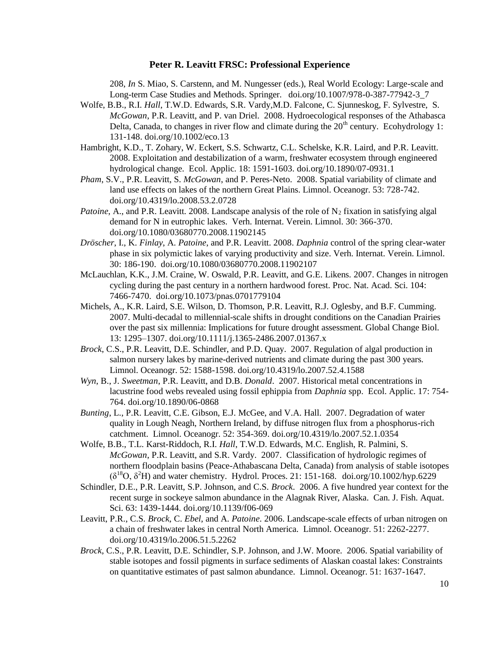208, *In* S. Miao, S. Carstenn, and M. Nungesser (eds.), Real World Ecology: Large-scale and Long-term Case Studies and Methods. Springer. doi.org/10.1007/978-0-387-77942-3\_7

- Wolfe, B.B., R.I. *Hall*, T.W.D. Edwards, S.R. Vardy,M.D. Falcone, C. Sjunneskog, F. Sylvestre, S. *McGowan*, P.R. Leavitt, and P. van Driel. 2008. Hydroecological responses of the Athabasca Delta, Canada, to changes in river flow and climate during the  $20<sup>th</sup>$  century. Ecohydrology 1: 131-148. doi.org/10.1002/eco.13
- Hambright, K.D., T. Zohary, W. Eckert, S.S. Schwartz, C.L. Schelske, K.R. Laird, and P.R. Leavitt. 2008. Exploitation and destabilization of a warm, freshwater ecosystem through engineered hydrological change. Ecol. Applic. 18: 1591-1603. doi.org/10.1890/07-0931.1
- *Pham*, S.V., P.R. Leavitt, S. *McGowan*, and P. Peres-Neto. 2008. Spatial variability of climate and land use effects on lakes of the northern Great Plains. Limnol. Oceanogr. 53: 728-742. doi.org/10.4319/lo.2008.53.2.0728
- *Patoine*, A., and P.R. Leavitt. 2008. Landscape analysis of the role of  $N_2$  fixation in satisfying algal demand for N in eutrophic lakes. Verh. Internat. Verein. Limnol. 30: 366-370. doi.org/10.1080/03680770.2008.11902145
- *Dröscher*, I., K. *Finlay*, A. *Patoine*, and P.R. Leavitt. 2008. *Daphnia* control of the spring clear-water phase in six polymictic lakes of varying productivity and size. Verh. Internat. Verein. Limnol. 30: 186-190. doi.org/10.1080/03680770.2008.11902107
- McLauchlan, K.K., J.M. Craine, W. Oswald, P.R. Leavitt, and G.E. Likens. 2007. Changes in nitrogen cycling during the past century in a northern hardwood forest. Proc. Nat. Acad. Sci. 104: 7466-7470. doi.org/10.1073/pnas.0701779104
- Michels, A., K.R. Laird, S.E. Wilson, D. Thomson, P.R. Leavitt, R.J. Oglesby, and B.F. Cumming. 2007. Multi-decadal to millennial-scale shifts in drought conditions on the Canadian Prairies over the past six millennia: Implications for future drought assessment. Global Change Biol. 13: 1295–1307. doi.org/10.1111/j.1365-2486.2007.01367.x
- *Brock*, C.S., P.R. Leavitt, D.E. Schindler, and P.D. Quay. 2007. Regulation of algal production in salmon nursery lakes by marine-derived nutrients and climate during the past 300 years. Limnol. Oceanogr. 52: 1588-1598. doi.org/10.4319/lo.2007.52.4.1588
- *Wyn*, B., J. *Sweetman*, P.R. Leavitt, and D.B. *Donald*. 2007. Historical metal concentrations in lacustrine food webs revealed using fossil ephippia from *Daphnia* spp. Ecol. Applic. 17: 754- 764. doi.org/10.1890/06-0868
- *Bunting*, L., P.R. Leavitt, C.E. Gibson, E.J. McGee, and V.A. Hall. 2007. Degradation of water quality in Lough Neagh, Northern Ireland, by diffuse nitrogen flux from a phosphorus-rich catchment. Limnol. Oceanogr. 52: 354-369. doi.org/10.4319/lo.2007.52.1.0354
- Wolfe, B.B., T.L. Karst-Riddoch, R.I. *Hall*, T.W.D. Edwards, M.C. English, R. Palmini, S. *McGowan*, P.R. Leavitt, and S.R. Vardy. 2007. Classification of hydrologic regimes of northern floodplain basins (Peace-Athabascana Delta, Canada) from analysis of stable isotopes  $(\delta^{18}O, \delta^2H)$  and water chemistry. Hydrol. Proces. 21: 151-168. doi.org/10.1002/hyp.6229
- Schindler, D.E., P.R. Leavitt, S.P. Johnson, and C.S. *Brock*. 2006. A five hundred year context for the recent surge in sockeye salmon abundance in the Alagnak River, Alaska. Can. J. Fish. Aquat. Sci. 63: 1439-1444. doi.org/10.1139/f06-069
- Leavitt, P.R., C.S. *Brock*, C. *Ebel*, and A. *Patoine*. 2006. Landscape-scale effects of urban nitrogen on a chain of freshwater lakes in central North America. Limnol. Oceanogr. 51: 2262-2277. doi.org/10.4319/lo.2006.51.5.2262
- *Brock*, C.S., P.R. Leavitt, D.E. Schindler, S.P. Johnson, and J.W. Moore. 2006. Spatial variability of stable isotopes and fossil pigments in surface sediments of Alaskan coastal lakes: Constraints on quantitative estimates of past salmon abundance. Limnol. Oceanogr. 51: 1637-1647.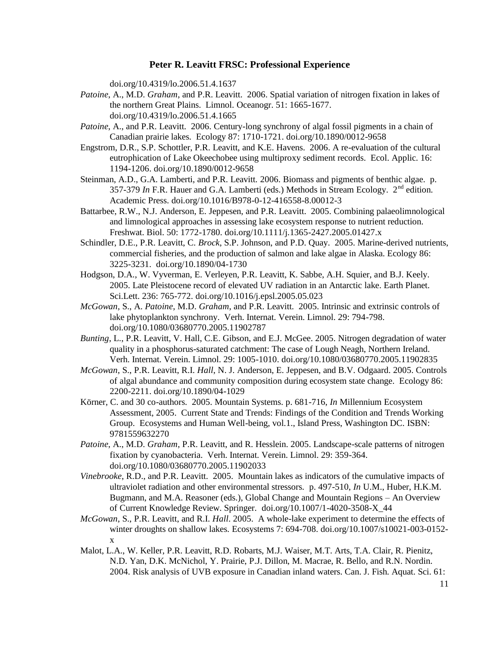doi.org/10.4319/lo.2006.51.4.1637

- *Patoine*, A., M.D. *Graham*, and P.R. Leavitt. 2006. Spatial variation of nitrogen fixation in lakes of the northern Great Plains. Limnol. Oceanogr. 51: 1665-1677. doi.org/10.4319/lo.2006.51.4.1665
- *Patoine*, A., and P.R. Leavitt. 2006. Century-long synchrony of algal fossil pigments in a chain of Canadian prairie lakes. Ecology 87: 1710-1721. doi.org/10.1890/0012-9658
- Engstrom, D.R., S.P. Schottler, P.R. Leavitt, and K.E. Havens. 2006. A re-evaluation of the cultural eutrophication of Lake Okeechobee using multiproxy sediment records. Ecol. Applic. 16: 1194-1206. doi.org/10.1890/0012-9658
- Steinman, A.D., G.A. Lamberti, and P.R. Leavitt. 2006. Biomass and pigments of benthic algae. p. 357-379 *In* F.R. Hauer and G.A. Lamberti (eds.) Methods in Stream Ecology.  $2<sup>nd</sup>$  edition. Academic Press. doi.org/10.1016/B978-0-12-416558-8.00012-3
- Battarbee, R.W., N.J. Anderson, E. Jeppesen, and P.R. Leavitt. 2005. Combining palaeolimnological and limnological approaches in assessing lake ecosystem response to nutrient reduction. Freshwat. Biol. 50: 1772-1780. doi.org/10.1111/j.1365-2427.2005.01427.x
- Schindler, D.E., P.R. Leavitt, C. *Brock*, S.P. Johnson, and P.D. Quay. 2005. Marine-derived nutrients, commercial fisheries, and the production of salmon and lake algae in Alaska. Ecology 86: 3225-3231. doi.org/10.1890/04-1730
- Hodgson, D.A., W. Vyverman, E. Verleyen, P.R. Leavitt, K. Sabbe, A.H. Squier, and B.J. Keely. 2005. Late Pleistocene record of elevated UV radiation in an Antarctic lake. Earth Planet. Sci.Lett. 236: 765-772. doi.org/10.1016/j.epsl.2005.05.023
- *McGowan*, S., A. *Patoine*, M.D. *Graham*, and P.R. Leavitt. 2005. Intrinsic and extrinsic controls of lake phytoplankton synchrony. Verh. Internat. Verein. Limnol. 29: 794-798. doi.org/10.1080/03680770.2005.11902787
- *Bunting*, L., P.R. Leavitt, V. Hall, C.E. Gibson, and E.J. McGee. 2005. Nitrogen degradation of water quality in a phosphorus-saturated catchment: The case of Lough Neagh, Northern Ireland. Verh. Internat. Verein. Limnol. 29: 1005-1010. doi.org/10.1080/03680770.2005.11902835
- *McGowan*, S., P.R. Leavitt, R.I. *Hall*, N. J. Anderson, E. Jeppesen, and B.V. Odgaard. 2005. Controls of algal abundance and community composition during ecosystem state change. Ecology 86: 2200-2211. doi.org/10.1890/04-1029
- Körner, C. and 30 co-authors. 2005. Mountain Systems. p. 681-716, *In* Millennium Ecosystem Assessment, 2005. Current State and Trends: Findings of the Condition and Trends Working Group. Ecosystems and Human Well-being, vol.1., Island Press, Washington DC. ISBN: 9781559632270
- *Patoine*, A., M.D. *Graham*, P.R. Leavitt, and R. Hesslein. 2005. Landscape-scale patterns of nitrogen fixation by cyanobacteria. Verh. Internat. Verein. Limnol. 29: 359-364. doi.org/10.1080/03680770.2005.11902033
- *Vinebrooke*, R.D., and P.R. Leavitt. 2005. Mountain lakes as indicators of the cumulative impacts of ultraviolet radiation and other environmental stressors. p. 497-510, *In* U.M., Huber, H.K.M. Bugmann, and M.A. Reasoner (eds.), Global Change and Mountain Regions – An Overview of Current Knowledge Review. Springer. doi.org/10.1007/1-4020-3508-X\_44
- *McGowan*, S., P.R. Leavitt, and R.I. *Hall*. 2005. A whole-lake experiment to determine the effects of winter droughts on shallow lakes. Ecosystems 7: 694-708. doi.org/10.1007/s10021-003-0152 x
- Malot, L.A., W. Keller, P.R. Leavitt, R.D. Robarts, M.J. Waiser, M.T. Arts, T.A. Clair, R. Pienitz, N.D. Yan, D.K. McNichol, Y. Prairie, P.J. Dillon, M. Macrae, R. Bello, and R.N. Nordin. 2004. Risk analysis of UVB exposure in Canadian inland waters. Can. J. Fish. Aquat. Sci. 61: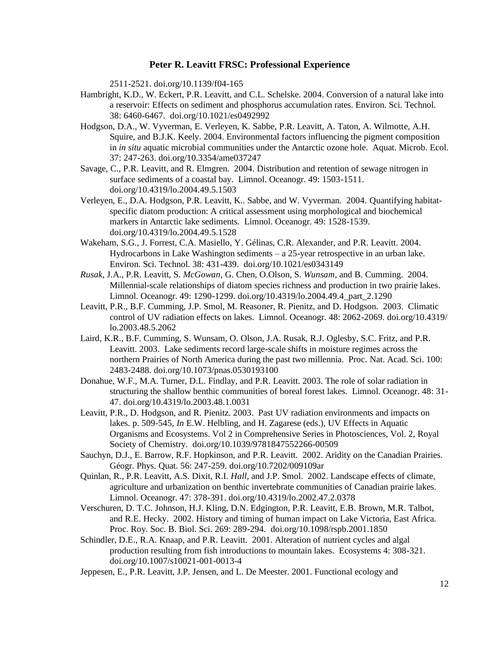2511-2521. doi.org/10.1139/f04-165

- Hambright, K.D., W. Eckert, P.R. Leavitt, and C.L. Schelske. 2004. Conversion of a natural lake into a reservoir: Effects on sediment and phosphorus accumulation rates. Environ. Sci. Technol. 38: 6460-6467. doi.org/10.1021/es0492992
- Hodgson, D.A., W. Vyverman, E. Verleyen, K. Sabbe, P.R. Leavitt, A. Taton, A. Wilmotte, A.H. Squire, and B.J.K. Keely. 2004. Environmental factors influencing the pigment composition in *in situ* aquatic microbial communities under the Antarctic ozone hole. Aquat. Microb. Ecol. 37: 247-263. doi.org/10.3354/ame037247
- Savage, C., P.R. Leavitt, and R. Elmgren. 2004. Distribution and retention of sewage nitrogen in surface sediments of a coastal bay. Limnol. Oceanogr. 49: 1503-1511. doi.org/10.4319/lo.2004.49.5.1503
- Verleyen, E., D.A. Hodgson, P.R. Leavitt, K.. Sabbe, and W. Vyverman. 2004. Quantifying habitatspecific diatom production: A critical assessment using morphological and biochemical markers in Antarctic lake sediments. Limnol. Oceanogr. 49: 1528-1539. doi.org/10.4319/lo.2004.49.5.1528
- Wakeham, S.G., J. Forrest, C.A. Masiello, Y. Gélinas, C.R. Alexander, and P.R. Leavitt. 2004. Hydrocarbons in Lake Washington sediments  $- a 25$ -year retrospective in an urban lake. Environ. Sci. Technol. 38: 431-439. doi.org/10.1021/es0343149
- *Rusak*, J.A., P.R. Leavitt, S. *McGowan*, G. Chen, O.Olson, S. *Wunsam*, and B. Cumming. 2004. Millennial-scale relationships of diatom species richness and production in two prairie lakes. Limnol. Oceanogr. 49: 1290-1299. doi.org/10.4319/lo.2004.49.4\_part\_2.1290
- Leavitt, P.R., B.F. Cumming, J.P. Smol, M. Reasoner, R. Pienitz, and D. Hodgson. 2003. Climatic control of UV radiation effects on lakes. Limnol. Oceanogr. 48: 2062-2069. doi.org/10.4319/ lo.2003.48.5.2062
- Laird, K.R., B.F. Cumming, S. Wunsam, O. Olson, J.A. Rusak, R.J. Oglesby, S.C. Fritz, and P.R. Leavitt. 2003. Lake sediments record large-scale shifts in moisture regimes across the northern Prairies of North America during the past two millennia. Proc. Nat. Acad. Sci. 100: 2483-2488. doi.org/10.1073/pnas.0530193100
- Donahue, W.F., M.A. Turner, D.L. Findlay, and P.R. Leavitt. 2003. The role of solar radiation in structuring the shallow benthic communities of boreal forest lakes. Limnol. Oceanogr. 48: 31- 47. doi.org/10.4319/lo.2003.48.1.0031
- Leavitt, P.R., D. Hodgson, and R. Pienitz. 2003. Past UV radiation environments and impacts on lakes. p. 509-545, *In* E.W. Helbling, and H. Zagarese (eds.), UV Effects in Aquatic Organisms and Ecosystems. Vol 2 in Comprehensive Series in Photosciences, Vol. 2, Royal Society of Chemistry. doi.org/10.1039/9781847552266-00509
- Sauchyn, D.J., E. Barrow, R.F. Hopkinson, and P.R. Leavitt. 2002. Aridity on the Canadian Prairies. Géogr. Phys. Quat. 56: 247-259. doi.org/10.7202/009109ar
- Quinlan, R., P.R. Leavitt, A.S. Dixit, R.I. *Hall*, and J.P. Smol. 2002. Landscape effects of climate, agriculture and urbanization on benthic invertebrate communities of Canadian prairie lakes. Limnol. Oceanogr. 47: 378-391. doi.org/10.4319/lo.2002.47.2.0378
- Verschuren, D. T.C. Johnson, H.J. Kling, D.N. Edgington, P.R. Leavitt, E.B. Brown, M.R. Talbot, and R.E. Hecky. 2002. History and timing of human impact on Lake Victoria, East Africa. Proc. Roy. Soc. B. Biol. Sci. 269: 289-294. doi.org/10.1098/rspb.2001.1850
- Schindler, D.E., R.A. Knaap, and P.R. Leavitt. 2001. Alteration of nutrient cycles and algal production resulting from fish introductions to mountain lakes. Ecosystems 4: 308-321. doi.org/10.1007/s10021-001-0013-4
- Jeppesen, E., P.R. Leavitt, J.P. Jensen, and L. De Meester. 2001. Functional ecology and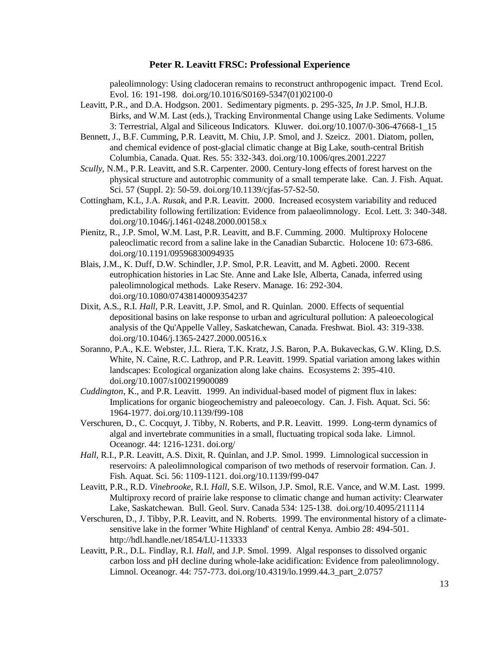paleolimnology: Using cladoceran remains to reconstruct anthropogenic impact. Trend Ecol. Evol. 16: 191-198. doi.org/10.1016/S0169-5347(01)02100-0

- Leavitt, P.R., and D.A. Hodgson. 2001. Sedimentary pigments. p. 295-325, *In* J.P. Smol, H.J.B. Birks, and W.M. Last (eds.), Tracking Environmental Change using Lake Sediments. Volume 3: Terrestrial, Algal and Siliceous Indicators. Kluwer. doi.org/10.1007/0-306-47668-1\_15
- Bennett, J., B.F. Cumming, P.R. Leavitt, M. Chiu, J.P. Smol, and J. Szeicz. 2001. Diatom, pollen, and chemical evidence of post-glacial climatic change at Big Lake, south-central British Columbia, Canada. Quat. Res. 55: 332-343. doi.org/10.1006/qres.2001.2227
- *Scully*, N.M., P.R. Leavitt, and S.R. Carpenter. 2000. Century-long effects of forest harvest on the physical structure and autotrophic community of a small temperate lake. Can. J. Fish. Aquat. Sci. 57 (Suppl. 2): 50-59. doi.org/10.1139/cjfas-57-S2-50.
- Cottingham, K.L, J.A. *Rusak*, and P.R. Leavitt. 2000. Increased ecosystem variability and reduced predictability following fertilization: Evidence from palaeolimnology. Ecol. Lett. 3: 340-348. doi.org/10.1046/j.1461-0248.2000.00158.x
- Pienitz, R., J.P. Smol, W.M. Last, P.R. Leavitt, and B.F. Cumming. 2000. Multiproxy Holocene paleoclimatic record from a saline lake in the Canadian Subarctic. Holocene 10: 673-686. doi.org/10.1191/09596830094935
- Blais, J.M., K. Duff, D.W. Schindler, J.P. Smol, P.R. Leavitt, and M. Agbeti. 2000. Recent eutrophication histories in Lac Ste. Anne and Lake Isle, Alberta, Canada, inferred using paleolimnological methods. Lake Reserv. Manage. 16: 292-304. doi.org/10.1080/07438140009354237
- Dixit, A.S., R.I. *Hall*, P.R. Leavitt, J.P. Smol, and R. Quinlan. 2000. Effects of sequential depositional basins on lake response to urban and agricultural pollution: A paleoecological analysis of the Qu'Appelle Valley, Saskatchewan, Canada. Freshwat. Biol. 43: 319-338. doi.org/10.1046/j.1365-2427.2000.00516.x
- Soranno, P.A., K.E. Webster, J.L. Riera, T.K. Kratz, J.S. Baron, P.A. Bukaveckas, G.W. Kling, D.S. White, N. Caine, R.C. Lathrop, and P.R. Leavitt. 1999. Spatial variation among lakes within landscapes: Ecological organization along lake chains. Ecosystems 2: 395-410. doi.org/10.1007/s100219900089
- *Cuddington*, K., and P.R. Leavitt. 1999. An individual-based model of pigment flux in lakes: Implications for organic biogeochemistry and paleoecology. Can. J. Fish. Aquat. Sci. 56: 1964-1977. doi.org/10.1139/f99-108
- Verschuren, D., C. Cocquyt, J. Tibby, N. Roberts, and P.R. Leavitt. 1999. Long-term dynamics of algal and invertebrate communities in a small, fluctuating tropical soda lake. Limnol. Oceanogr. 44: 1216-1231. doi.org/
- *Hall*, R.I., P.R. Leavitt, A.S. Dixit, R. Quinlan, and J.P. Smol. 1999. Limnological succession in reservoirs: A paleolimnological comparison of two methods of reservoir formation. Can. J. Fish. Aquat. Sci. 56: 1109-1121. doi.org/10.1139/f99-047
- Leavitt, P.R., R.D. *Vinebrooke*, R.I. *Hall*, S.E. Wilson, J.P. Smol, R.E. Vance, and W.M. Last. 1999. Multiproxy record of prairie lake response to climatic change and human activity: Clearwater Lake, Saskatchewan. Bull. Geol. Surv. Canada 534: 125-138. doi.org/10.4095/211114
- Verschuren, D., J. Tibby, P.R. Leavitt, and N. Roberts. 1999. The environmental history of a climatesensitive lake in the former 'White Highland' of central Kenya. Ambio 28: 494-501. http://hdl.handle.net/1854/LU-113333
- Leavitt, P.R., D.L. Findlay, R.I. *Hall*, and J.P. Smol. 1999. Algal responses to dissolved organic carbon loss and pH decline during whole-lake acidification: Evidence from paleolimnology. Limnol. Oceanogr. 44: 757-773. doi.org/10.4319/lo.1999.44.3\_part\_2.0757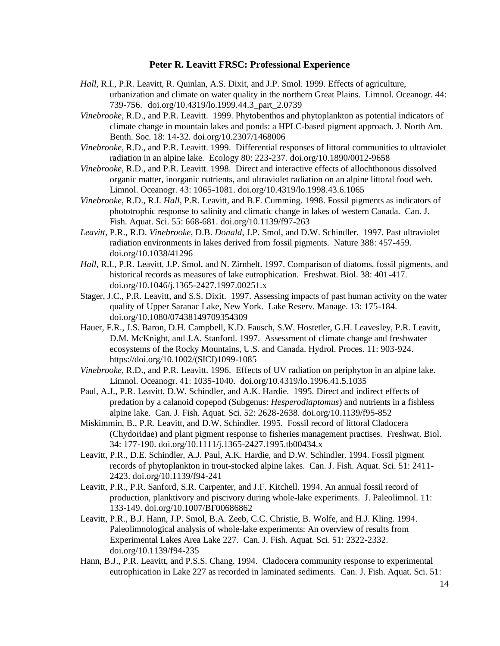- *Hall*, R.I., P.R. Leavitt, R. Quinlan, A.S. Dixit, and J.P. Smol. 1999. Effects of agriculture, urbanization and climate on water quality in the northern Great Plains. Limnol. Oceanogr. 44: 739-756. doi.org/10.4319/lo.1999.44.3\_part\_2.0739
- *Vinebrooke*, R.D., and P.R. Leavitt. 1999. Phytobenthos and phytoplankton as potential indicators of climate change in mountain lakes and ponds: a HPLC-based pigment approach. J. North Am. Benth. Soc. 18: 14-32. doi.org/10.2307/1468006
- *Vinebrooke*, R.D., and P.R. Leavitt. 1999. Differential responses of littoral communities to ultraviolet radiation in an alpine lake. Ecology 80: 223-237. doi.org/10.1890/0012-9658
- *Vinebrooke*, R.D., and P.R. Leavitt. 1998. Direct and interactive effects of allochthonous dissolved organic matter, inorganic nutrients, and ultraviolet radiation on an alpine littoral food web. Limnol. Oceanogr. 43: 1065-1081. doi.org/10.4319/lo.1998.43.6.1065
- *Vinebrooke*, R.D., R.I. *Hall*, P.R. Leavitt, and B.F. Cumming. 1998. Fossil pigments as indicators of phototrophic response to salinity and climatic change in lakes of western Canada. Can. J. Fish. Aquat. Sci. 55: 668-681. doi.org/10.1139/f97-263
- *Leavitt*, P.R., R.D. *Vinebrooke*, D.B. *Donald*, J.P. Smol, and D.W. Schindler. 1997. Past ultraviolet radiation environments in lakes derived from fossil pigments. Nature 388: 457-459. doi.org/10.1038/41296
- *Hall*, R.I., P.R. Leavitt, J.P. Smol, and N. Zirnhelt. 1997. Comparison of diatoms, fossil pigments, and historical records as measures of lake eutrophication. Freshwat. Biol. 38: 401-417. doi.org/10.1046/j.1365-2427.1997.00251.x
- Stager, J.C., P.R. Leavitt, and S.S. Dixit. 1997. Assessing impacts of past human activity on the water quality of Upper Saranac Lake, New York. Lake Reserv. Manage. 13: 175-184. doi.org/10.1080/07438149709354309
- Hauer, F.R., J.S. Baron, D.H. Campbell, K.D. Fausch, S.W. Hostetler, G.H. Leavesley, P.R. Leavitt, D.M. McKnight, and J.A. Stanford. 1997. Assessment of climate change and freshwater ecosystems of the Rocky Mountains, U.S. and Canada. Hydrol. Proces. 11: 903-924. https://doi.org/10.1002/(SICI)1099-1085
- *Vinebrooke*, R.D., and P.R. Leavitt. 1996. Effects of UV radiation on periphyton in an alpine lake. Limnol. Oceanogr. 41: 1035-1040. doi.org/10.4319/lo.1996.41.5.1035
- Paul, A.J., P.R. Leavitt, D.W. Schindler, and A.K. Hardie. 1995. Direct and indirect effects of predation by a calanoid copepod (Subgenus: *Hesperodiaptomus*) and nutrients in a fishless alpine lake. Can. J. Fish. Aquat. Sci. 52: 2628-2638. doi.org/10.1139/f95-852
- Miskimmin, B., P.R. Leavitt, and D.W. Schindler. 1995. Fossil record of littoral Cladocera (Chydoridae) and plant pigment response to fisheries management practises. Freshwat. Biol. 34: 177-190. doi.org/10.1111/j.1365-2427.1995.tb00434.x
- Leavitt, P.R., D.E. Schindler, A.J. Paul, A.K. Hardie, and D.W. Schindler. 1994. Fossil pigment records of phytoplankton in trout-stocked alpine lakes. Can. J. Fish. Aquat. Sci. 51: 2411- 2423. doi.org/10.1139/f94-241
- Leavitt, P.R., P.R. Sanford, S.R. Carpenter, and J.F. Kitchell. 1994. An annual fossil record of production, planktivory and piscivory during whole-lake experiments. J. Paleolimnol. 11: 133-149. doi.org/10.1007/BF00686862
- Leavitt, P.R., B.J. Hann, J.P. Smol, B.A. Zeeb, C.C. Christie, B. Wolfe, and H.J. Kling. 1994. Paleolimnological analysis of whole-lake experiments: An overview of results from Experimental Lakes Area Lake 227. Can. J. Fish. Aquat. Sci. 51: 2322-2332. doi.org/10.1139/f94-235
- Hann, B.J., P.R. Leavitt, and P.S.S. Chang. 1994. Cladocera community response to experimental eutrophication in Lake 227 as recorded in laminated sediments. Can. J. Fish. Aquat. Sci. 51: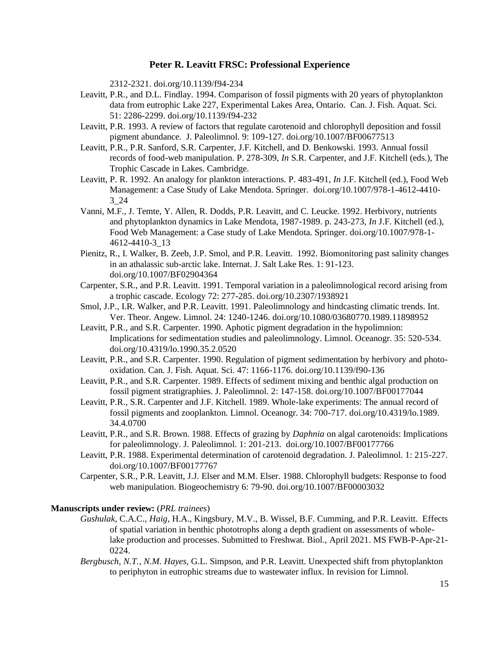2312-2321. doi.org/10.1139/f94-234

- Leavitt, P.R., and D.L. Findlay. 1994. Comparison of fossil pigments with 20 years of phytoplankton data from eutrophic Lake 227, Experimental Lakes Area, Ontario. Can. J. Fish. Aquat. Sci. 51: 2286-2299. doi.org/10.1139/f94-232
- Leavitt, P.R. 1993. A review of factors that regulate carotenoid and chlorophyll deposition and fossil pigment abundance. J. Paleolimnol. 9: 109-127. doi.org/10.1007/BF00677513
- Leavitt, P.R., P.R. Sanford, S.R. Carpenter, J.F. Kitchell, and D. Benkowski. 1993. Annual fossil records of food-web manipulation. P. 278-309, *In* S.R. Carpenter, and J.F. Kitchell (eds.), The Trophic Cascade in Lakes. Cambridge.
- Leavitt, P. R. 1992. An analogy for plankton interactions. P. 483-491, *In* J.F. Kitchell (ed.), Food Web Management: a Case Study of Lake Mendota. Springer. doi.org/10.1007/978-1-4612-4410- 3\_24
- Vanni, M.F., J. Temte, Y. Allen, R. Dodds, P.R. Leavitt, and C. Leucke. 1992. Herbivory, nutrients and phytoplankton dynamics in Lake Mendota, 1987-1989. p. 243-273, *In* J.F. Kitchell (ed.), Food Web Management: a Case study of Lake Mendota. Springer. doi.org/10.1007/978-1- 4612-4410-3\_13
- Pienitz, R., I. Walker, B. Zeeb, J.P. Smol, and P.R. Leavitt. 1992. Biomonitoring past salinity changes in an athalassic sub-arctic lake. Internat. J. Salt Lake Res. 1: 91-123. doi.org/10.1007/BF02904364
- Carpenter, S.R., and P.R. Leavitt. 1991. Temporal variation in a paleolimnological record arising from a trophic cascade. Ecology 72: 277-285. doi.org/10.2307/1938921
- Smol, J.P., I.R. Walker, and P.R. Leavitt. 1991. Paleolimnology and hindcasting climatic trends. Int. Ver. Theor. Angew. Limnol. 24: 1240-1246. doi.org/10.1080/03680770.1989.11898952
- Leavitt, P.R., and S.R. Carpenter. 1990. Aphotic pigment degradation in the hypolimnion: Implications for sedimentation studies and paleolimnology. Limnol. Oceanogr. 35: 520-534. doi.org/10.4319/lo.1990.35.2.0520
- Leavitt, P.R., and S.R. Carpenter. 1990. Regulation of pigment sedimentation by herbivory and photooxidation. Can. J. Fish. Aquat. Sci. 47: 1166-1176. doi.org/10.1139/f90-136
- Leavitt, P.R., and S.R. Carpenter. 1989. Effects of sediment mixing and benthic algal production on fossil pigment stratigraphies. J. Paleolimnol. 2: 147-158. doi.org/10.1007/BF00177044
- Leavitt, P.R., S.R. Carpenter and J.F. Kitchell. 1989. Whole-lake experiments: The annual record of fossil pigments and zooplankton. Limnol. Oceanogr. 34: 700-717. doi.org/10.4319/lo.1989. 34.4.0700
- Leavitt, P.R., and S.R. Brown. 1988. Effects of grazing by *Daphnia* on algal carotenoids: Implications for paleolimnology. J. Paleolimnol. 1: 201-213. doi.org/10.1007/BF00177766
- Leavitt, P.R. 1988. Experimental determination of carotenoid degradation. J. Paleolimnol. 1: 215-227. doi.org/10.1007/BF00177767
- Carpenter, S.R., P.R. Leavitt, J.J. Elser and M.M. Elser. 1988. Chlorophyll budgets: Response to food web manipulation. Biogeochemistry 6: 79-90. doi.org/10.1007/BF00003032

#### **Manuscripts under review:** (*PRL trainees*)

- *Gushulak*, C.A.C., *Haig*, H.A., Kingsbury, M.V., B. Wissel, B.F. Cumming, and P.R. Leavitt. Effects of spatial variation in benthic phototrophs along a depth gradient on assessments of wholelake production and processes. Submitted to Freshwat. Biol., April 2021. MS FWB-P-Apr-21- 0224.
- *Bergbusch, N.T.*, *N.M. Hayes*, G.L. Simpson, and P.R. Leavitt. Unexpected shift from phytoplankton to periphyton in eutrophic streams due to wastewater influx. In revision for Limnol.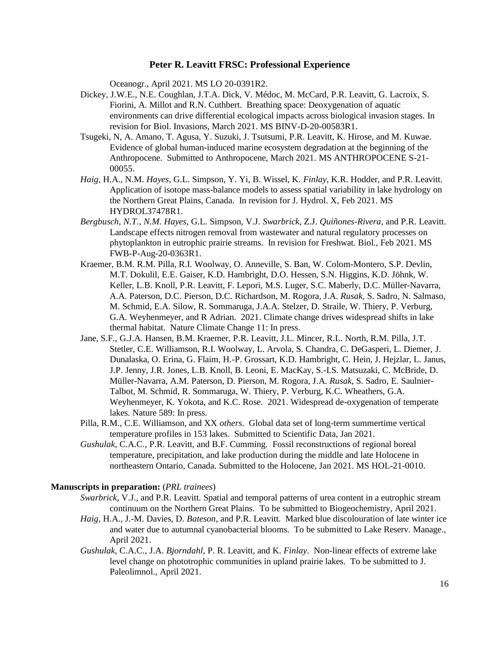Oceanogr., April 2021. MS LO 20-0391R2.

- Dickey, J.W.E., N.E. Coughlan, J.T.A. Dick, V. Médoc, M. McCard, P.R. Leavitt, G. Lacroix, S. Fiorini, A. Millot and R.N. Cuthbert. Breathing space: Deoxygenation of aquatic environments can drive differential ecological impacts across biological invasion stages. In revision for Biol. Invasions, March 2021. MS BINV-D-20-00583R1.
- Tsugeki, N, A. Amano, T. Agusa, Y. Suzuki, J. Tsutsumi, P.R. Leavitt, K. Hirose, and M. Kuwae. Evidence of global human-induced marine ecosystem degradation at the beginning of the Anthropocene. Submitted to Anthropocene, March 2021. MS ANTHROPOCENE S-21- 00055.
- *Haig*, H.A., N.M. *Hayes*, G.L. Simpson, Y. Yi, B. Wissel, K. *Finlay*, K.R. Hodder, and P.R. Leavitt. Application of isotope mass-balance models to assess spatial variability in lake hydrology on the Northern Great Plains, Canada. In revision for J. Hydrol. X, Feb 2021. MS HYDROL37478R1.
- *Bergbusch, N.T.*, *N.M. Hayes*, G.L. Simpson, V.J. *Swarbrick*, Z.J. *Quiñones-Rivera*, and P.R. Leavitt. Landscape effects nitrogen removal from wastewater and natural regulatory processes on phytoplankton in eutrophic prairie streams. In revision for Freshwat. Biol., Feb 2021. MS FWB-P-Aug-20-0363R1.
- Kraemer, B.M. R.M. Pilla, R.I. Woolway, O. Anneville, S. Ban, W. Colom-Montero, S.P. Devlin, M.T. Dokulil, E.E. Gaiser, K.D. Hambright, D.O. Hessen, S.N. Higgins, K.D. Jöhnk, W. Keller, L.B. Knoll, P.R. Leavitt, F. Lepori, M.S. Luger, S.C. Maberly, D.C. Müller-Navarra, A.A. Paterson, D.C. Pierson, D.C. Richardson, M. Rogora, J.A. *Rusak,* S. Sadro, N. Salmaso, M. Schmid, E.A. Silow, R. Sommaruga, J.A.A. Stelzer, D. Straile, W. Thiery, P. Verburg, G.A. Weyhenmeyer, and R Adrian. 2021. Climate change drives widespread shifts in lake thermal habitat. Nature Climate Change 11: In press.
- Jane, S.F., G.J.A. Hansen, B.M. Kraemer, P.R. Leavitt, J.L. Mincer, R.L. North, R.M. Pilla, J.T. Stetler, C.E. Williamson, R.I. Woolway, L. Arvola, S. Chandra, C. DeGasperi, L. Diemer, J. Dunalaska, O. Erina, G. Flaim, H.-P. Grossart, K.D. Hambright, C. Hein, J. Hejzlar, L. Janus, J.P. Jenny, J.R. Jones, L.B. Knoll, B. Leoni, E. MacKay, S.-I.S. Matsuzaki, C. McBride, D. Müller-Navarra, A.M. Paterson, D. Pierson, M. Rogora, J.A. *Rusak*, S. Sadro, E. Saulnier-Talbot, M. Schmid, R. Sommaruga, W. Thiery, P. Verburg, K.C. Wheathers, G.A. Weyhenmeyer, K. Yokota, and K.C. Rose. 2021. Widespread de-oxygenation of temperate lakes. Nature 589: In press.
- Pilla, R.M., C.E. Williamson, and XX *others*. Global data set of long-term summertime vertical temperature profiles in 153 lakes. Submitted to Scientific Data, Jan 2021.
- *Gushulak,* C.A.C., P.R. Leavitt, and B.F. Cumming. Fossil reconstructions of regional boreal temperature, precipitation, and lake production during the middle and late Holocene in northeastern Ontario, Canada. Submitted to the Holocene, Jan 2021. MS HOL-21-0010.

#### **Manuscripts in preparation:** (*PRL trainees*)

- *Swarbrick*, V.J., and P.R. Leavitt. Spatial and temporal patterns of urea content in a eutrophic stream continuum on the Northern Great Plains. To be submitted to Biogeochemistry, April 2021.
- *Haig*, H.A., J.-M. Davies, D. *Bateson*, and P.R. Leavitt. Marked blue discolouration of late winter ice and water due to autumnal cyanobacterial blooms. To be submitted to Lake Reserv. Manage., April 2021.
- *Gushulak,* C.A.C., J.A. *Bjorndahl*, P. R. Leavitt, and K. *Finlay*. Non-linear effects of extreme lake level change on phototrophic communities in upland prairie lakes. To be submitted to J. Paleolimnol., April 2021.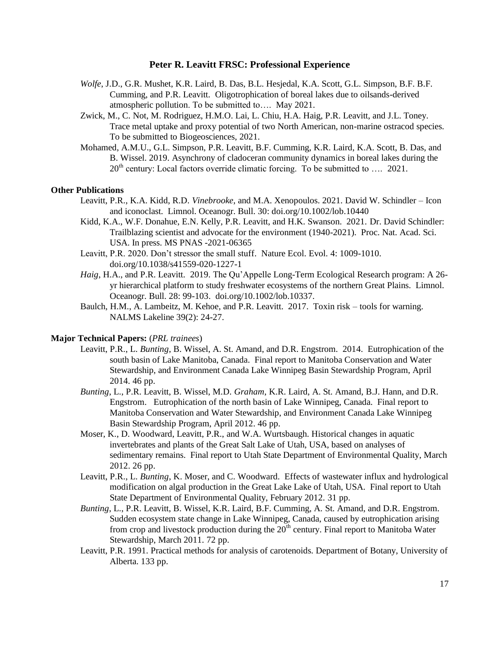- *Wolfe*, J.D., G.R. Mushet, K.R. Laird, B. Das, B.L. Hesjedal, K.A. Scott, G.L. Simpson, B.F. B.F. Cumming, and P.R. Leavitt. Oligotrophication of boreal lakes due to oilsands-derived atmospheric pollution. To be submitted to…. May 2021.
- Zwick, M., C. Not, M. Rodriguez, H.M.O. Lai, L. Chiu, H.A. Haig, P.R. Leavitt, and J.L. Toney. Trace metal uptake and proxy potential of two North American, non-marine ostracod species. To be submitted to Biogeosciences, 2021.
- Mohamed, A.M.U., G.L. Simpson, P.R. Leavitt, B.F. Cumming, K.R. Laird, K.A. Scott, B. Das, and B. Wissel. 2019. Asynchrony of cladoceran community dynamics in boreal lakes during the  $20<sup>th</sup>$  century: Local factors override climatic forcing. To be submitted to .... 2021.

#### **Other Publications**

- Leavitt, P.R., K.A. Kidd, R.D. *Vinebrooke*, and M.A. Xenopoulos. 2021. David W. Schindler Icon and iconoclast. Limnol. Oceanogr. Bull. 30: doi.org/10.1002/lob.10440
- Kidd, K.A., W.F. Donahue, E.N. Kelly, P.R. Leavitt, and H.K. Swanson. 2021. Dr. David Schindler: Trailblazing scientist and advocate for the environment (1940-2021). Proc. Nat. Acad. Sci. USA. In press. MS PNAS -2021-06365
- Leavitt, P.R. 2020. Don't stressor the small stuff. Nature Ecol. Evol. 4: 1009-1010. doi.org/10.1038/s41559-020-1227-1
- *Haig*, H.A., and P.R. Leavitt. 2019. The Qu'Appelle Long-Term Ecological Research program: A 26 yr hierarchical platform to study freshwater ecosystems of the northern Great Plains. Limnol. Oceanogr. Bull. 28: 99-103. doi.org/10.1002/lob.10337.
- Baulch, H.M., A. Lambeitz, M. Kehoe, and P.R. Leavitt. 2017. Toxin risk tools for warning. NALMS Lakeline 39(2): 24-27.

#### **Major Technical Papers:** (*PRL trainees*)

- Leavitt, P.R., L. *Bunting*, B. Wissel, A. St. Amand, and D.R. Engstrom. 2014. Eutrophication of the south basin of Lake Manitoba, Canada. Final report to Manitoba Conservation and Water Stewardship, and Environment Canada Lake Winnipeg Basin Stewardship Program, April 2014. 46 pp.
- *Bunting*, L., P.R. Leavitt, B. Wissel, M.D. *Graham*, K.R. Laird, A. St. Amand, B.J. Hann, and D.R. Engstrom. Eutrophication of the north basin of Lake Winnipeg, Canada. Final report to Manitoba Conservation and Water Stewardship, and Environment Canada Lake Winnipeg Basin Stewardship Program, April 2012. 46 pp.
- Moser, K., D. Woodward, Leavitt, P.R., and W.A. Wurtsbaugh. Historical changes in aquatic invertebrates and plants of the Great Salt Lake of Utah, USA, based on analyses of sedimentary remains. Final report to Utah State Department of Environmental Quality, March 2012. 26 pp.
- Leavitt, P.R., L. *Bunting*, K. Moser, and C. Woodward. Effects of wastewater influx and hydrological modification on algal production in the Great Lake Lake of Utah, USA. Final report to Utah State Department of Environmental Quality, February 2012. 31 pp.
- *Bunting*, L., P.R. Leavitt, B. Wissel, K.R. Laird, B.F. Cumming, A. St. Amand, and D.R. Engstrom. Sudden ecosystem state change in Lake Winnipeg, Canada, caused by eutrophication arising from crop and livestock production during the  $20<sup>th</sup>$  century. Final report to Manitoba Water Stewardship, March 2011. 72 pp.
- Leavitt, P.R. 1991. Practical methods for analysis of carotenoids. Department of Botany, University of Alberta. 133 pp.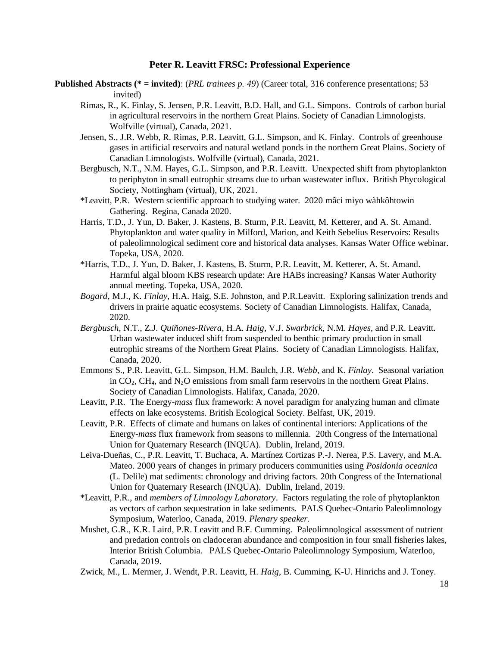- **Published Abstracts (\* = invited)**: (*PRL trainees p. 49*) (Career total, 316 conference presentations; 53 invited)
	- Rimas, R., K. Finlay, S. Jensen, P.R. Leavitt, B.D. Hall, and G.L. Simpons. Controls of carbon burial in agricultural reservoirs in the northern Great Plains. Society of Canadian Limnologists. Wolfville (virtual), Canada, 2021.
	- Jensen, S., J.R. Webb, R. Rimas, P.R. Leavitt, G.L. Simpson, and K. Finlay. Controls of greenhouse gases in artificial reservoirs and natural wetland ponds in the northern Great Plains. Society of Canadian Limnologists. Wolfville (virtual), Canada, 2021.
	- Bergbusch, N.T., N.M. Hayes, G.L. Simpson, and P.R. Leavitt. Unexpected shift from phytoplankton to periphyton in small eutrophic streams due to urban wastewater influx. British Phycological Society, Nottingham (virtual), UK, 2021.
	- \*Leavitt, P.R. Western scientific approach to studying water. 2020 mâci miyo wàhkôhtowin Gathering. Regina, Canada 2020.
	- Harris, T.D., J. Yun, D. Baker, J. Kastens, B. Sturm, P.R. Leavitt, M. Ketterer, and A. St. Amand. Phytoplankton and water quality in Milford, Marion, and Keith Sebelius Reservoirs: Results of paleolimnological sediment core and historical data analyses. Kansas Water Office webinar. Topeka, USA, 2020.
	- \*Harris, T.D., J. Yun, D. Baker, J. Kastens, B. Sturm, P.R. Leavitt, M. Ketterer, A. St. Amand. Harmful algal bloom KBS research update: Are HABs increasing? Kansas Water Authority annual meeting. Topeka, USA, 2020.
	- *Bogard,* M.J., K. *Finlay,* H.A. Haig, S.E. Johnston, and P.R.Leavitt. Exploring salinization trends and drivers in prairie aquatic ecosystems. Society of Canadian Limnologists. Halifax, Canada, 2020.
	- *Bergbusch,* N.T., Z.J. *Quiñones-Rivera*, H.A. *Haig*, V.J. *Swarbrick*, N.M. *Hayes*, and P.R. Leavitt. Urban wastewater induced shift from suspended to benthic primary production in small eutrophic streams of the Northern Great Plains. Society of Canadian Limnologists. Halifax, Canada, 2020.
	- Emmons, S., P.R. Leavitt, G.L. Simpson, H.M. Baulch, J.R. *Webb*, and K. *Finlay*. Seasonal variation in  $CO<sub>2</sub>$ , CH<sub>4</sub>, and N<sub>2</sub>O emissions from small farm reservoirs in the northern Great Plains. Society of Canadian Limnologists. Halifax, Canada, 2020.
	- Leavitt, P.R. The Energy-*mass* flux framework: A novel paradigm for analyzing human and climate effects on lake ecosystems. British Ecological Society. Belfast, UK, 2019.
	- Leavitt, P.R. Effects of climate and humans on lakes of continental interiors: Applications of the Energy-*mass* flux framework from seasons to millennia. 20th Congress of the International Union for Quaternary Research (INQUA). Dublin, Ireland, 2019.
	- Leiva-Dueñas, C., P.R. Leavitt, T. Buchaca, A. Martínez Cortizas P.-J. Nerea, P.S. Lavery, and M.A. Mateo. 2000 years of changes in primary producers communities using *Posidonia oceanica* (L. Delile) mat sediments: chronology and driving factors. 20th Congress of the International Union for Quaternary Research (INQUA). Dublin, Ireland, 2019.
	- \*Leavitt, P.R., and *members of Limnology Laboratory*. Factors regulating the role of phytoplankton as vectors of carbon sequestration in lake sediments. PALS Quebec-Ontario Paleolimnology Symposium, Waterloo, Canada, 2019. *Plenary speaker.*
	- Mushet, G.R., K.R. Laird, P.R. Leavitt and B.F. Cumming. Paleolimnological assessment of nutrient and predation controls on cladoceran abundance and composition in four small fisheries lakes, Interior British Columbia. PALS Quebec-Ontario Paleolimnology Symposium, Waterloo, Canada, 2019.
	- Zwick, M., L. Mermer, J. Wendt, P.R. Leavitt, H. *Haig*, B. Cumming, K-U. Hinrichs and J. Toney.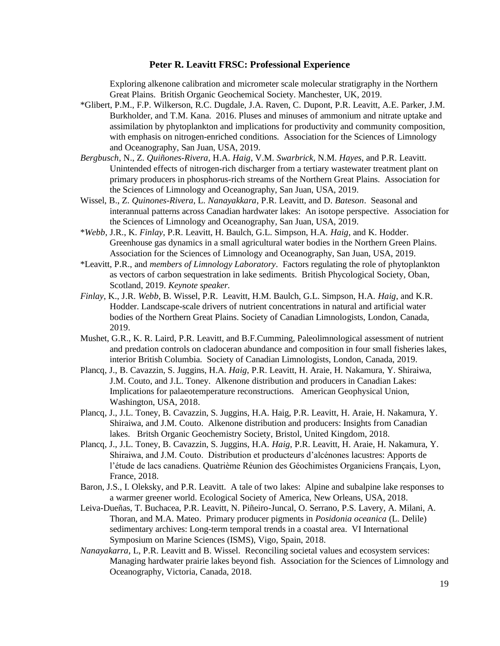Exploring alkenone calibration and micrometer scale molecular stratigraphy in the Northern Great Plains. British Organic Geochemical Society. Manchester, UK, 2019.

- \*Glibert, P.M., F.P. Wilkerson, R.C. Dugdale, J.A. Raven, C. Dupont, P.R. Leavitt, A.E. Parker, J.M. Burkholder, and T.M. Kana. 2016. Pluses and minuses of ammonium and nitrate uptake and assimilation by phytoplankton and implications for productivity and community composition, with emphasis on nitrogen-enriched conditions. Association for the Sciences of Limnology and Oceanography, San Juan, USA, 2019.
- *Bergbusch*, N., Z. *Quiñones-Rivera*, H.A. *Haig*, V.M. *Swarbrick*, N.M. *Hayes*, and P.R. Leavitt. Unintended effects of nitrogen-rich discharger from a tertiary wastewater treatment plant on primary producers in phosphorus-rich streams of the Northern Great Plains. Association for the Sciences of Limnology and Oceanography, San Juan, USA, 2019.
- Wissel, B., Z. *Quinones-Rivera*, L. *Nanayakkara*, P.R. Leavitt, and D. *Bateson*. Seasonal and interannual patterns across Canadian hardwater lakes: An isotope perspective. Association for the Sciences of Limnology and Oceanography, San Juan, USA, 2019.
- \**Webb*, J.R., K. *Finlay*, P.R. Leavitt, H. Baulch, G.L. Simpson, H.A. *Haig*, and K. Hodder. Greenhouse gas dynamics in a small agricultural water bodies in the Northern Green Plains. Association for the Sciences of Limnology and Oceanography, San Juan, USA, 2019.
- \*Leavitt, P.R., and *members of Limnology Laboratory*. Factors regulating the role of phytoplankton as vectors of carbon sequestration in lake sediments. British Phycological Society, Oban, Scotland, 2019. *Keynote speaker.*
- *Finlay*, K., J.R. *Webb*, B. Wissel, P.R. Leavitt, H.M. Baulch, G.L. Simpson, H.A. *Haig*, and K.R. Hodder. Landscape-scale drivers of nutrient concentrations in natural and artificial water bodies of the Northern Great Plains. Society of Canadian Limnologists, London, Canada, 2019.
- Mushet, G.R., K. R. Laird, P.R. Leavitt, and B.F.Cumming, Paleolimnological assessment of nutrient and predation controls on cladoceran abundance and composition in four small fisheries lakes, interior British Columbia. Society of Canadian Limnologists, London, Canada, 2019.
- Plancq, J., B. Cavazzin, S. Juggins, H.A. *Haig*, P.R. Leavitt, H. Araie, H. Nakamura, Y. Shiraiwa, J.M. Couto, and J.L. Toney. Alkenone distribution and producers in Canadian Lakes: Implications for palaeotemperature reconstructions. American Geophysical Union, Washington, USA, 2018.
- Plancq, J., J.L. Toney, B. Cavazzin, S. Juggins, H.A. Haig, P.R. Leavitt, H. Araie, H. Nakamura, Y. Shiraiwa, and J.M. Couto. Alkenone distribution and producers: Insights from Canadian lakes. Britsh Organic Geochemistry Society, Bristol, United Kingdom, 2018.
- Plancq, J., J.L. Toney, B. Cavazzin, S. Juggins, H.A. *Haig*, P.R. Leavitt, H. Araie, H. Nakamura, Y. Shiraiwa, and J.M. Couto. Distribution et producteurs d'alcénones lacustres: Apports de l'étude de lacs canadiens. Quatrième Réunion des Géochimistes Organiciens Français, Lyon, France, 2018.
- Baron, J.S., I. Oleksky, and P.R. Leavitt. A tale of two lakes: Alpine and subalpine lake responses to a warmer greener world. Ecological Society of America, New Orleans, USA, 2018.
- Leiva-Dueñas, T. Buchacea, P.R. Leavitt, N. Piñeiro-Juncal, O. Serrano, P.S. Lavery, A. Milani, A. Thoran, and M.A. Mateo. Primary producer pigments in *Posidonia oceanica* (L. Delile) sedimentary archives: Long-term temporal trends in a coastal area. VI International Symposium on Marine Sciences (ISMS), Vigo, Spain, 2018.
- *Nanayakarra*, L, P.R. Leavitt and B. Wissel. Reconciling societal values and ecosystem services: Managing hardwater prairie lakes beyond fish. Association for the Sciences of Limnology and Oceanography, Victoria, Canada, 2018.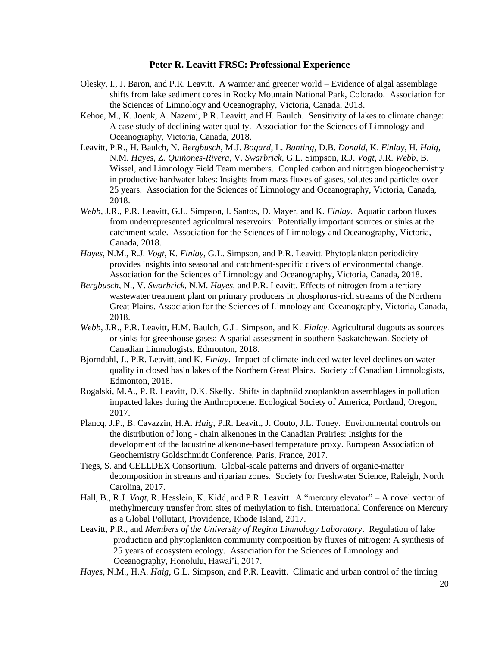- Olesky, I., J. Baron, and P.R. Leavitt. A warmer and greener world Evidence of algal assemblage shifts from lake sediment cores in Rocky Mountain National Park, Colorado. Association for the Sciences of Limnology and Oceanography, Victoria, Canada, 2018.
- Kehoe, M., K. Joenk, A. Nazemi, P.R. Leavitt, and H. Baulch. Sensitivity of lakes to climate change: A case study of declining water quality. Association for the Sciences of Limnology and Oceanography, Victoria, Canada, 2018.
- Leavitt, P.R., H. Baulch, N. *Bergbusch*, M.J. *Bogard*, L. *Bunting*, D.B. *Donald*, K. *Finlay*, H. *Haig*, N.M. *Hayes*, Z. *Quiñones-Rivera*, V. *Swarbrick*, G.L. Simpson, R.J. *Vogt*, J.R. *Webb*, B. Wissel, and Limnology Field Team members. Coupled carbon and nitrogen biogeochemistry in productive hardwater lakes: Insights from mass fluxes of gases, solutes and particles over 25 years. Association for the Sciences of Limnology and Oceanography, Victoria, Canada, 2018.
- *Webb*, J.R., P.R. Leavitt, G.L. Simpson, I. Santos, D. Mayer, and K. *Finlay*. Aquatic carbon fluxes from underrepresented agricultural reservoirs: Potentially important sources or sinks at the catchment scale. Association for the Sciences of Limnology and Oceanography, Victoria, Canada, 2018.
- *Hayes*, N.M., R.J. *Vogt*, K. *Finlay*, G.L. Simpson, and P.R. Leavitt. Phytoplankton periodicity provides insights into seasonal and catchment-specific drivers of environmental change. Association for the Sciences of Limnology and Oceanography, Victoria, Canada, 2018.
- *Bergbusch*, N., V. *Swarbrick*, N.M. *Hayes*, and P.R. Leavitt. Effects of nitrogen from a tertiary wastewater treatment plant on primary producers in phosphorus-rich streams of the Northern Great Plains. Association for the Sciences of Limnology and Oceanography, Victoria, Canada, 2018.
- *Webb*, J.R., P.R. Leavitt, H.M. Baulch, G.L. Simpson, and K. *Finlay*. Agricultural dugouts as sources or sinks for greenhouse gases: A spatial assessment in southern Saskatchewan. Society of Canadian Limnologists, Edmonton, 2018.
- Bjorndahl, J., P.R. Leavitt, and K. *Finlay*. Impact of climate-induced water level declines on water quality in closed basin lakes of the Northern Great Plains. Society of Canadian Limnologists, Edmonton, 2018.
- Rogalski, M.A., P. R. Leavitt, D.K. Skelly. Shifts in daphniid zooplankton assemblages in pollution impacted lakes during the Anthropocene. Ecological Society of America, Portland, Oregon, 2017.
- Plancq, J.P., B. Cavazzin, H.A. *Haig*, P.R. Leavitt, J. Couto, J.L. Toney. Environmental controls on the distribution of long - chain alkenones in the Canadian Prairies: Insights for the development of the lacustrine alkenone-based temperature proxy. European Association of Geochemistry Goldschmidt Conference, Paris, France, 2017.
- Tiegs, S. and CELLDEX Consortium. Global-scale patterns and drivers of organic-matter decomposition in streams and riparian zones. Society for Freshwater Science, Raleigh, North Carolina, 2017.
- Hall, B., R.J. *Vogt*, R. Hesslein, K. Kidd, and P.R. Leavitt. A "mercury elevator" A novel vector of methylmercury transfer from sites of methylation to fish. International Conference on Mercury as a Global Pollutant, Providence, Rhode Island, 2017.
- Leavitt, P.R., and *Members of the University of Regina Limnology Laboratory*. Regulation of lake production and phytoplankton community composition by fluxes of nitrogen: A synthesis of 25 years of ecosystem ecology. Association for the Sciences of Limnology and Oceanography, Honolulu, Hawai'i, 2017.
- *Hayes*, N.M., H.A. *Haig*, G.L. Simpson, and P.R. Leavitt. Climatic and urban control of the timing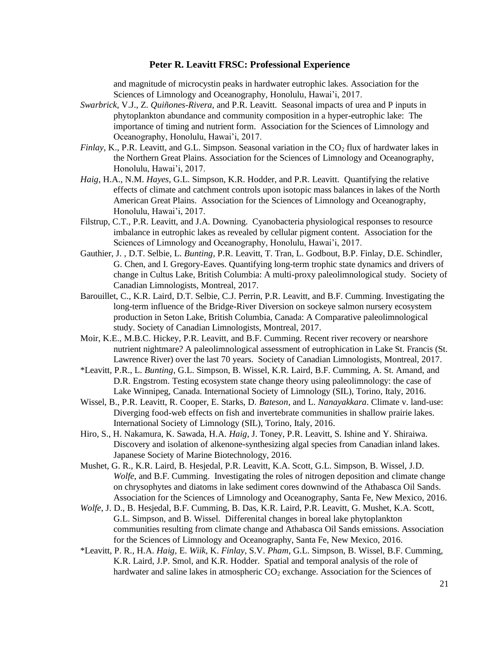and magnitude of microcystin peaks in hardwater eutrophic lakes. Association for the Sciences of Limnology and Oceanography, Honolulu, Hawai'i, 2017.

- *Swarbrick*, V.J., Z. *Quiñones-Rivera*, and P.R. Leavitt. Seasonal impacts of urea and P inputs in phytoplankton abundance and community composition in a hyper-eutrophic lake: The importance of timing and nutrient form. Association for the Sciences of Limnology and Oceanography, Honolulu, Hawai'i, 2017.
- *Finlay*, K., P.R. Leavitt, and G.L. Simpson. Seasonal variation in the CO<sub>2</sub> flux of hardwater lakes in the Northern Great Plains. Association for the Sciences of Limnology and Oceanography, Honolulu, Hawai'i, 2017.
- *Haig*, H.A., N.M. *Hayes*, G.L. Simpson, K.R. Hodder, and P.R. Leavitt. Quantifying the relative effects of climate and catchment controls upon isotopic mass balances in lakes of the North American Great Plains. Association for the Sciences of Limnology and Oceanography, Honolulu, Hawai'i, 2017.
- Filstrup, C.T., P.R. Leavitt, and J.A. Downing. Cyanobacteria physiological responses to resource imbalance in eutrophic lakes as revealed by cellular pigment content. Association for the Sciences of Limnology and Oceanography, Honolulu, Hawai'i, 2017.
- Gauthier, J. , D.T. Selbie, L. *Bunting*, P.R. Leavitt, T. Tran, L. Godbout, B.P. Finlay, D.E. Schindler, G. Chen, and I. Gregory-Eaves. Quantifying long-term trophic state dynamics and drivers of change in Cultus Lake, British Columbia: A multi-proxy paleolimnological study. Society of Canadian Limnologists, Montreal, 2017.
- Barouillet, C., K.R. Laird, D.T. Selbie, C.J. Perrin, P.R. Leavitt, and B.F. Cumming. Investigating the long-term influence of the Bridge-River Diversion on sockeye salmon nursery ecosystem production in Seton Lake, British Columbia, Canada: A Comparative paleolimnological study. Society of Canadian Limnologists, Montreal, 2017.
- Moir, K.E., M.B.C. Hickey, P.R. Leavitt, and B.F. Cumming. Recent river recovery or nearshore nutrient nightmare? A paleolimnological assessment of eutrophication in Lake St. Francis (St. Lawrence River) over the last 70 years. Society of Canadian Limnologists, Montreal, 2017.
- \*Leavitt, P.R., L. *Bunting*, G.L. Simpson, B. Wissel, K.R. Laird, B.F. Cumming, A. St. Amand, and D.R. Engstrom. Testing ecosystem state change theory using paleolimnology: the case of Lake Winnipeg, Canada. International Society of Limnology (SIL), Torino, Italy, 2016.
- Wissel, B., P.R. Leavitt, R. Cooper, E. Starks, D. *Bateson*, and L. *Nanayakkara*. Climate v. land-use: Diverging food-web effects on fish and invertebrate communities in shallow prairie lakes. International Society of Limnology (SIL), Torino, Italy, 2016.
- Hiro, S., H. Nakamura, K. Sawada, H.A. *Haig*, J. Toney, P.R. Leavitt, S. Ishine and Y. Shiraiwa. Discovery and isolation of alkenone-synthesizing algal species from Canadian inland lakes. Japanese Society of Marine Biotechnology, 2016.
- Mushet, G. R., K.R. Laird, B. Hesjedal, P.R. Leavitt, K.A. Scott, G.L. Simpson, B. Wissel, J.D. *Wolfe*, and B.F. Cumming. Investigating the roles of nitrogen deposition and climate change on chrysophytes and diatoms in lake sediment cores downwind of the Athabasca Oil Sands. Association for the Sciences of Limnology and Oceanography, Santa Fe, New Mexico, 2016.
- *Wolfe*, J. D., B. Hesjedal, B.F. Cumming, B. Das, K.R. Laird, P.R. Leavitt, G. Mushet, K.A. Scott, G.L. Simpson, and B. Wissel. Differenital changes in boreal lake phytoplankton communities resulting from climate change and Athabasca Oil Sands emissions. Association for the Sciences of Limnology and Oceanography, Santa Fe, New Mexico, 2016.
- \*Leavitt, P. R., H.A. *Haig*, E. *Wiik*, K. *Finlay*, S.V. *Pham*, G.L. Simpson, B. Wissel, B.F. Cumming, K.R. Laird, J.P. Smol, and K.R. Hodder. Spatial and temporal analysis of the role of hardwater and saline lakes in atmospheric  $CO<sub>2</sub>$  exchange. Association for the Sciences of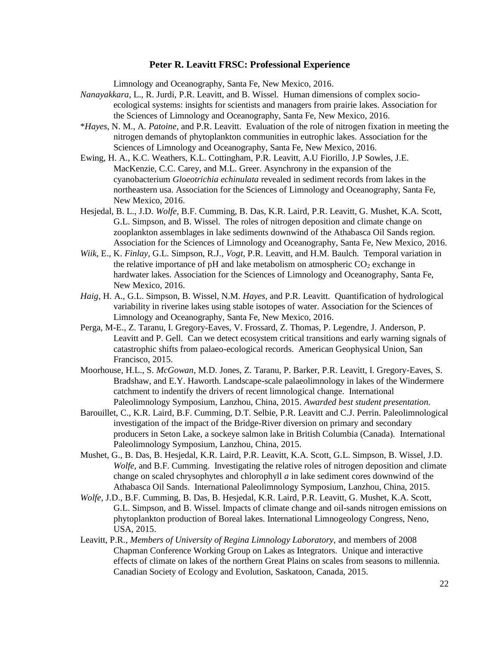Limnology and Oceanography, Santa Fe, New Mexico, 2016.

- *Nanayakkara*, L., R. Jurdi, P.R. Leavitt, and B. Wissel. Human dimensions of complex socioecological systems: insights for scientists and managers from prairie lakes. Association for the Sciences of Limnology and Oceanography, Santa Fe, New Mexico, 2016.
- \**Hayes*, N. M., A. *Patoine,* and P.R. Leavitt. Evaluation of the role of nitrogen fixation in meeting the nitrogen demands of phytoplankton communities in eutrophic lakes. Association for the Sciences of Limnology and Oceanography, Santa Fe, New Mexico, 2016.
- Ewing, H. A., K.C. Weathers, K.L. Cottingham, P.R. Leavitt, A.U Fiorillo, J.P Sowles, J.E. MacKenzie, C.C. Carey, and M.L. Greer. Asynchrony in the expansion of the cyanobacterium *Gloeotrichia echinulata* revealed in sediment records from lakes in the northeastern usa. Association for the Sciences of Limnology and Oceanography, Santa Fe, New Mexico, 2016.
- Hesjedal, B. L., J.D. *Wolfe*, B.F. Cumming, B. Das, K.R. Laird, P.R. Leavitt, G. Mushet, K.A. Scott, G.L. Simpson, and B. Wissel. The roles of nitrogen deposition and climate change on zooplankton assemblages in lake sediments downwind of the Athabasca Oil Sands region. Association for the Sciences of Limnology and Oceanography, Santa Fe, New Mexico, 2016.
- *Wiik*, E., K. *Finlay*, G.L. Simpson, R.J., *Vogt*, P.R. Leavitt, and H.M. Baulch. Temporal variation in the relative importance of pH and lake metabolism on atmospheric  $CO<sub>2</sub>$  exchange in hardwater lakes. Association for the Sciences of Limnology and Oceanography, Santa Fe, New Mexico, 2016.
- *Haig*, H. A., G.L. Simpson, B. Wissel, N.M. *Hayes*, and P.R. Leavitt. Quantification of hydrological variability in riverine lakes using stable isotopes of water. Association for the Sciences of Limnology and Oceanography, Santa Fe, New Mexico, 2016.
- Perga, M-E., Z. Taranu, I. Gregory-Eaves, V. Frossard, Z. Thomas, P. Legendre, J. Anderson, P. Leavitt and P. Gell. Can we detect ecosystem critical transitions and early warning signals of catastrophic shifts from palaeo-ecological records. American Geophysical Union, San Francisco, 2015.
- Moorhouse, H.L., S. *McGowan*, M.D. Jones, Z. Taranu, P. Barker, P.R. Leavitt, I. Gregory-Eaves, S. Bradshaw, and E.Y. Haworth. Landscape-scale palaeolimnology in lakes of the Windermere catchment to indentify the drivers of recent limnological change. International Paleolimnology Symposium, Lanzhou, China, 2015. *Awarded best student presentation.*
- Barouillet, C., K.R. Laird, B.F. Cumming, D.T. Selbie, P.R. Leavitt and C.J. Perrin. Paleolimnological investigation of the impact of the Bridge-River diversion on primary and secondary producers in Seton Lake, a sockeye salmon lake in British Columbia (Canada). International Paleolimnology Symposium, Lanzhou, China, 2015.
- Mushet, G., B. Das, B. Hesjedal, K.R. Laird, P.R. Leavitt, K.A. Scott, G.L. Simpson, B. Wissel, J.D. *Wolfe*, and B.F. Cumming. Investigating the relative roles of nitrogen deposition and climate change on scaled chrysophytes and chlorophyll *a* in lake sediment cores downwind of the Athabasca Oil Sands. International Paleolimnology Symposium, Lanzhou, China, 2015.
- *Wolfe*, J.D., B.F. Cumming, B. Das, B. Hesjedal, K.R. Laird, P.R. Leavitt, G. Mushet, K.A. Scott, G.L. Simpson, and B. Wissel. Impacts of climate change and oil-sands nitrogen emissions on phytoplankton production of Boreal lakes. International Limnogeology Congress, Neno, USA, 2015.
- Leavitt, P.R., *Members of University of Regina Limnology Laboratory,* and members of 2008 Chapman Conference Working Group on Lakes as Integrators. Unique and interactive effects of climate on lakes of the northern Great Plains on scales from seasons to millennia. Canadian Society of Ecology and Evolution, Saskatoon, Canada, 2015.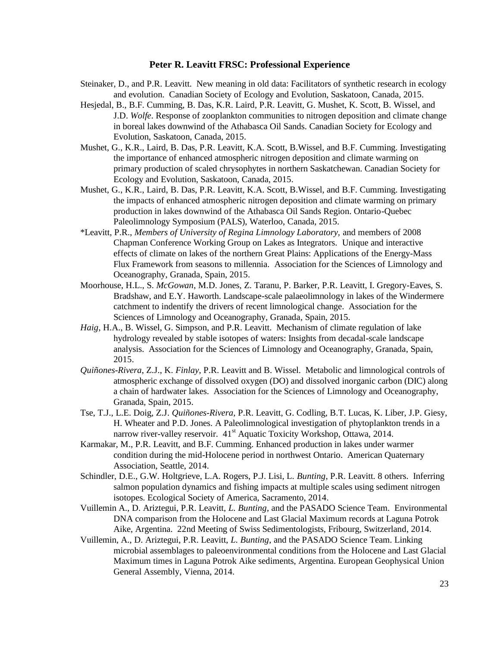- Steinaker, D., and P.R. Leavitt. New meaning in old data: Facilitators of synthetic research in ecology and evolution. Canadian Society of Ecology and Evolution, Saskatoon, Canada, 2015.
- Hesjedal, B., B.F. Cumming, B. Das, K.R. Laird, P.R. Leavitt, G. Mushet, K. Scott, B. Wissel, and J.D. *Wolfe*. Response of zooplankton communities to nitrogen deposition and climate change in boreal lakes downwind of the Athabasca Oil Sands. Canadian Society for Ecology and Evolution, Saskatoon, Canada, 2015.
- Mushet, G., K.R., Laird, B. Das, P.R. Leavitt, K.A. Scott, B.Wissel, and B.F. Cumming. Investigating the importance of enhanced atmospheric nitrogen deposition and climate warming on primary production of scaled chrysophytes in northern Saskatchewan. Canadian Society for Ecology and Evolution, Saskatoon, Canada, 2015.
- Mushet, G., K.R., Laird, B. Das, P.R. Leavitt, K.A. Scott, B.Wissel, and B.F. Cumming. Investigating the impacts of enhanced atmospheric nitrogen deposition and climate warming on primary production in lakes downwind of the Athabasca Oil Sands Region. Ontario-Quebec Paleolimnology Symposium (PALS), Waterloo, Canada, 2015.
- \*Leavitt, P.R., *Members of University of Regina Limnology Laboratory,* and members of 2008 Chapman Conference Working Group on Lakes as Integrators. Unique and interactive effects of climate on lakes of the northern Great Plains: Applications of the Energy-Mass Flux Framework from seasons to millennia. Association for the Sciences of Limnology and Oceanography, Granada, Spain, 2015.
- Moorhouse, H.L., S. *McGowan*, M.D. Jones, Z. Taranu, P. Barker, P.R. Leavitt, I. Gregory-Eaves, S. Bradshaw, and E.Y. Haworth. Landscape-scale palaeolimnology in lakes of the Windermere catchment to indentify the drivers of recent limnological change. Association for the Sciences of Limnology and Oceanography, Granada, Spain, 2015.
- *Haig*, H.A., B. Wissel, G. Simpson, and P.R. Leavitt. Mechanism of climate regulation of lake hydrology revealed by stable isotopes of waters: Insights from decadal-scale landscape analysis. Association for the Sciences of Limnology and Oceanography, Granada, Spain, 2015.
- *Quiñones-Rivera*, Z.J., K. *Finlay*, P.R. Leavitt and B. Wissel. Metabolic and limnological controls of atmospheric exchange of dissolved oxygen (DO) and dissolved inorganic carbon (DIC) along a chain of hardwater lakes. Association for the Sciences of Limnology and Oceanography, Granada, Spain, 2015.
- Tse, T.J., L.E. Doig, Z.J. *Quiñones-Rivera*, P.R. Leavitt, G. Codling, B.T. Lucas, K. Liber, J.P. Giesy, H. Wheater and P.D. Jones. A Paleolimnological investigation of phytoplankton trends in a narrow river-valley reservoir. 41<sup>st</sup> Aquatic Toxicity Workshop, Ottawa, 2014.
- Karmakar, M., P.R. Leavitt, and B.F. Cumming. Enhanced production in lakes under warmer condition during the mid-Holocene period in northwest Ontario. American Quaternary Association, Seattle, 2014.
- Schindler, D.E., G.W. Holtgrieve, L.A. Rogers, P.J. Lisi, L. *Bunting*, P.R. Leavitt. 8 others. Inferring salmon population dynamics and fishing impacts at multiple scales using sediment nitrogen isotopes. Ecological Society of America, Sacramento, 2014.
- Vuillemin A., D. Ariztegui, P.R. Leavitt, *L. Bunting*, and the PASADO Science Team. Environmental DNA comparison from the Holocene and Last Glacial Maximum records at Laguna Potrok Aike, Argentina. 22nd Meeting of Swiss Sedimentologists, Fribourg, Switzerland, 2014.
- Vuillemin, A., D. Ariztegui, P.R. Leavitt, *L. Bunting*, and the PASADO Science Team. Linking microbial assemblages to paleoenvironmental conditions from the Holocene and Last Glacial Maximum times in Laguna Potrok Aike sediments, Argentina. European Geophysical Union General Assembly, Vienna, 2014.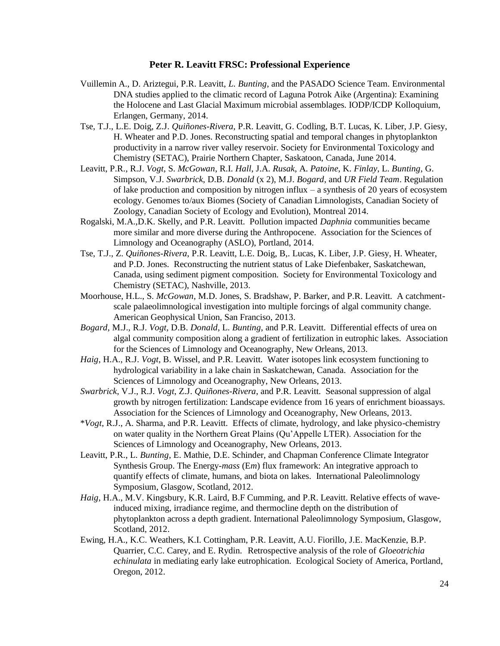- Vuillemin A., D. Ariztegui, P.R. Leavitt, *L. Bunting*, and the PASADO Science Team. Environmental DNA studies applied to the climatic record of Laguna Potrok Aike (Argentina): Examining the Holocene and Last Glacial Maximum microbial assemblages. IODP/ICDP Kolloquium, Erlangen, Germany, 2014.
- Tse, T.J., L.E. Doig, Z.J. *Quiñones-Rivera*, P.R. Leavitt, G. Codling, B.T. Lucas, K. Liber, J.P. Giesy, H. Wheater and P.D. Jones. Reconstructing spatial and temporal changes in phytoplankton productivity in a narrow river valley reservoir. Society for Environmental Toxicology and Chemistry (SETAC), Prairie Northern Chapter, Saskatoon, Canada, June 2014.
- Leavitt, P.R., R.J. *Vogt*, S. *McGowan*, R.I. *Hall*, J.A. *Rusak*, A. *Patoine*, K. *Finlay*, L. *Bunting*, G. Simpson, V.J. *Swarbrick*, D.B. *Donald* (x 2), M.J. *Bogard*, and *UR Field Team*. Regulation of lake production and composition by nitrogen influx – a synthesis of 20 years of ecosystem ecology. Genomes to/aux Biomes (Society of Canadian Limnologists, Canadian Society of Zoology, Canadian Society of Ecology and Evolution), Montreal 2014.
- Rogalski, M.A.,D.K. Skelly, and P.R. Leavitt. Pollution impacted *Daphnia* communities became more similar and more diverse during the Anthropocene. Association for the Sciences of Limnology and Oceanography (ASLO), Portland, 2014.
- Tse, T.J., Z. *Quiñones-Rivera*, P.R. Leavitt, L.E. Doig, B,. Lucas, K. Liber, J.P. Giesy, H. Wheater, and P.D. Jones. Reconstructing the nutrient status of Lake Diefenbaker, Saskatchewan, Canada, using sediment pigment composition. Society for Environmental Toxicology and Chemistry (SETAC), Nashville, 2013.
- Moorhouse, H.L., S. *McGowan*, M.D. Jones, S. Bradshaw, P. Barker, and P.R. Leavitt. A catchmentscale palaeolimnological investigation into multiple forcings of algal community change. American Geophysical Union, San Franciso, 2013.
- *Bogard*, M.J., R.J. *Vogt*, D.B. *Donald*, L. *Bunting*, and P.R. Leavitt. Differential effects of urea on algal community composition along a gradient of fertilization in eutrophic lakes. Association for the Sciences of Limnology and Oceanography, New Orleans, 2013.
- *Haig*, H.A., R.J. *Vogt*, B. Wissel, and P.R. Leavitt. Water isotopes link ecosystem functioning to hydrological variability in a lake chain in Saskatchewan, Canada. Association for the Sciences of Limnology and Oceanography, New Orleans, 2013.
- *Swarbrick*, V.J., R.J. *Vogt*, Z.J. *Quiñones-Rivera*, and P.R. Leavitt. Seasonal suppression of algal growth by nitrogen fertilization: Landscape evidence from 16 years of enrichment bioassays. Association for the Sciences of Limnology and Oceanography, New Orleans, 2013.
- \**Vogt*, R.J., A. Sharma, and P.R. Leavitt. Effects of climate, hydrology, and lake physico-chemistry on water quality in the Northern Great Plains (Qu'Appelle LTER). Association for the Sciences of Limnology and Oceanography, New Orleans, 2013.
- Leavitt, P.R., L. *Bunting*, E. Mathie, D.E. Schinder, and Chapman Conference Climate Integrator Synthesis Group. The Energy-*mass* (E*m*) flux framework: An integrative approach to quantify effects of climate, humans, and biota on lakes. International Paleolimnology Symposium, Glasgow, Scotland, 2012.
- *Haig*, H.A., M.V. Kingsbury, K.R. Laird, B.F Cumming, and P.R. Leavitt. Relative effects of waveinduced mixing, irradiance regime, and thermocline depth on the distribution of phytoplankton across a depth gradient. International Paleolimnology Symposium, Glasgow, Scotland, 2012.
- Ewing, H.A., K.C. Weathers, K.I. Cottingham, P.R. Leavitt, A.U. Fiorillo, J.E. MacKenzie, B.P. Quarrier, C.C. Carey, and E. Rydin. Retrospective analysis of the role of *Gloeotrichia echinulata* in mediating early lake eutrophication. Ecological Society of America, Portland, Oregon, 2012.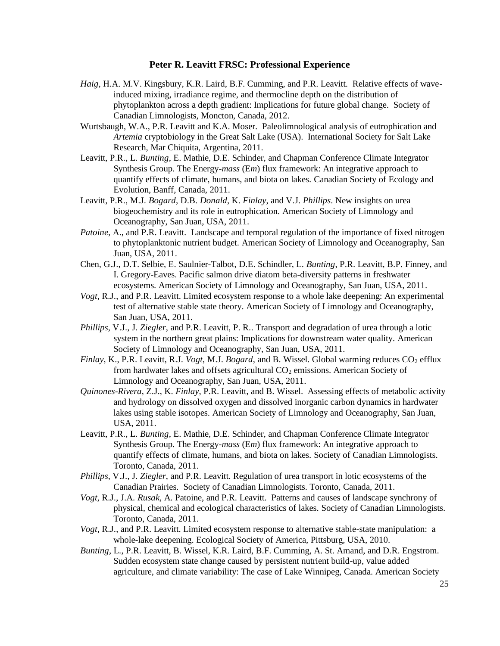- *Haig*, H.A. M.V. Kingsbury, K.R. Laird, B.F. Cumming, and P.R. Leavitt. Relative effects of waveinduced mixing, irradiance regime, and thermocline depth on the distribution of phytoplankton across a depth gradient: Implications for future global change. Society of Canadian Limnologists, Moncton, Canada, 2012.
- Wurtsbaugh, W.A., P.R. Leavitt and K.A. Moser. Paleolimnological analysis of eutrophication and *Artemia* cryptobiology in the Great Salt Lake (USA). International Society for Salt Lake Research, Mar Chiquita, Argentina, 2011.
- Leavitt, P.R., L. *Bunting*, E. Mathie, D.E. Schinder, and Chapman Conference Climate Integrator Synthesis Group. The Energy-*mass* (E*m*) flux framework: An integrative approach to quantify effects of climate, humans, and biota on lakes. Canadian Society of Ecology and Evolution, Banff, Canada, 2011.
- Leavitt, P.R., M.J. *Bogard*, D.B. *Donald*, K. *Finlay*, and V.J. *Phillips*. New insights on urea biogeochemistry and its role in eutrophication. American Society of Limnology and Oceanography, San Juan, USA, 2011.
- *Patoine*, A., and P.R. Leavitt. Landscape and temporal regulation of the importance of fixed nitrogen to phytoplanktonic nutrient budget. American Society of Limnology and Oceanography, San Juan, USA, 2011.
- Chen, G.J., D.T. Selbie, E. Saulnier-Talbot, D.E. Schindler, L. *Bunting*, P.R. Leavitt, B.P. Finney, and I. Gregory-Eaves. Pacific salmon drive diatom beta-diversity patterns in freshwater ecosystems. American Society of Limnology and Oceanography, San Juan, USA, 2011.
- *Vogt*, R.J., and P.R. Leavitt. Limited ecosystem response to a whole lake deepening: An experimental test of alternative stable state theory. American Society of Limnology and Oceanography, San Juan, USA, 2011.
- *Phillips*, V.J., J. *Ziegler*, and P.R. Leavitt, P. R.. Transport and degradation of urea through a lotic system in the northern great plains: Implications for downstream water quality. American Society of Limnology and Oceanography, San Juan, USA, 2011.
- *Finlay*, K., P.R. Leavitt, R.J. *Vogt*, M.J. *Bogard*, and B. Wissel. Global warming reduces CO<sub>2</sub> efflux from hardwater lakes and offsets agricultural  $CO<sub>2</sub>$  emissions. American Society of Limnology and Oceanography, San Juan, USA, 2011.
- *Quinones-Rivera*, Z.J., K. *Finlay*, P.R. Leavitt, and B. Wissel. Assessing effects of metabolic activity and hydrology on dissolved oxygen and dissolved inorganic carbon dynamics in hardwater lakes using stable isotopes. American Society of Limnology and Oceanography, San Juan, USA, 2011.
- Leavitt, P.R., L. *Bunting*, E. Mathie, D.E. Schinder, and Chapman Conference Climate Integrator Synthesis Group. The Energy-*mass* (E*m*) flux framework: An integrative approach to quantify effects of climate, humans, and biota on lakes. Society of Canadian Limnologists. Toronto, Canada, 2011.
- *Phillips*, V.J., J. *Ziegler*, and P.R. Leavitt. Regulation of urea transport in lotic ecosystems of the Canadian Prairies. Society of Canadian Limnologists. Toronto, Canada, 2011.
- *Vogt*, R.J., J.A. *Rusak*, A. Patoine, and P.R. Leavitt. Patterns and causes of landscape synchrony of physical, chemical and ecological characteristics of lakes. Society of Canadian Limnologists. Toronto, Canada, 2011.
- *Vogt*, R.J., and P.R. Leavitt. Limited ecosystem response to alternative stable-state manipulation: a whole-lake deepening. Ecological Society of America, Pittsburg, USA, 2010.
- *Bunting*, L., P.R. Leavitt, B. Wissel, K.R. Laird, B.F. Cumming, A. St. Amand, and D.R. Engstrom. Sudden ecosystem state change caused by persistent nutrient build-up, value added agriculture, and climate variability: The case of Lake Winnipeg, Canada. American Society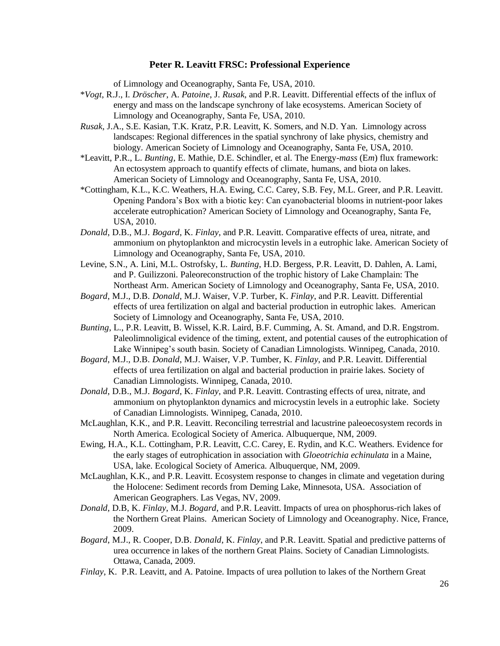of Limnology and Oceanography, Santa Fe, USA, 2010.

- \**Vogt*, R.J., I. *Dröscher*, A. *Patoine*, J. *Rusak*, and P.R. Leavitt. Differential effects of the influx of energy and mass on the landscape synchrony of lake ecosystems. American Society of Limnology and Oceanography, Santa Fe, USA, 2010.
- *Rusak*, J.A., S.E. Kasian, T.K. Kratz, P.R. Leavitt, K. Somers, and N.D. Yan. Limnology across landscapes: Regional differences in the spatial synchrony of lake physics, chemistry and biology. American Society of Limnology and Oceanography, Santa Fe, USA, 2010.
- \*Leavitt, P.R., L. *Bunting*, E. Mathie, D.E. Schindler, et al. The Energy-*mass* (E*m*) flux framework: An ectosystem approach to quantify effects of climate, humans, and biota on lakes. American Society of Limnology and Oceanography, Santa Fe, USA, 2010.
- \*Cottingham, K.L., K.C. Weathers, H.A. Ewing, C.C. Carey, S.B. Fey, M.L. Greer, and P.R. Leavitt. Opening Pandora's Box with a biotic key: Can cyanobacterial blooms in nutrient-poor lakes accelerate eutrophication? American Society of Limnology and Oceanography, Santa Fe, USA, 2010.
- *Donald*, D.B., M.J. *Bogard*, K. *Finlay*, and P.R. Leavitt. Comparative effects of urea, nitrate, and ammonium on phytoplankton and microcystin levels in a eutrophic lake. American Society of Limnology and Oceanography, Santa Fe, USA, 2010.
- Levine, S.N., A. Lini, M.L. Ostrofsky, L. *Bunting*, H.D. Bergess, P.R. Leavitt, D. Dahlen, A. Lami, and P. Guilizzoni. Paleoreconstruction of the trophic history of Lake Champlain: The Northeast Arm. American Society of Limnology and Oceanography, Santa Fe, USA, 2010.
- *Bogard*, M.J., D.B. *Donald*, M.J. Waiser, V.P. Turber, K. *Finlay*, and P.R. Leavitt. Differential effects of urea fertilization on algal and bacterial production in eutrophic lakes. American Society of Limnology and Oceanography, Santa Fe, USA, 2010.
- *Bunting*, L., P.R. Leavitt, B. Wissel, K.R. Laird, B.F. Cumming, A. St. Amand, and D.R. Engstrom. Paleolimnoligical evidence of the timing, extent, and potential causes of the eutrophication of Lake Winnipeg's south basin. Society of Canadian Limnologists. Winnipeg, Canada, 2010.
- *Bogard*, M.J., D.B. *Donald*, M.J. Waiser, V.P. Tumber, K. *Finlay*, and P.R. Leavitt. Differential effects of urea fertilization on algal and bacterial production in prairie lakes. Society of Canadian Limnologists. Winnipeg, Canada, 2010.
- *Donald*, D.B., M.J. *Bogard*, K. *Finlay*, and P.R. Leavitt. Contrasting effects of urea, nitrate, and ammonium on phytoplankton dynamics and microcystin levels in a eutrophic lake. Society of Canadian Limnologists. Winnipeg, Canada, 2010.
- McLaughlan, K.K., and P.R. Leavitt. Reconciling terrestrial and lacustrine paleoecosystem records in North America. Ecological Society of America. Albuquerque, NM, 2009.
- Ewing, H.A., K.L. Cottingham, P.R. Leavitt, C.C. Carey, E. Rydin, and K.C. Weathers. Evidence for the early stages of eutrophication in association with *Gloeotrichia echinulata* in a Maine, USA, lake. Ecological Society of America. Albuquerque, NM, 2009.
- McLaughlan, K.K., and P.R. Leavitt. Ecosystem response to changes in climate and vegetation during the Holocene: Sediment records from Deming Lake, Minnesota, USA. Association of American Geographers. Las Vegas, NV, 2009.
- *Donald*, D.B, K. *Finlay*, M.J. *Bogard*, and P.R. Leavitt. Impacts of urea on phosphorus-rich lakes of the Northern Great Plains. American Society of Limnology and Oceanography. Nice, France, 2009.
- *Bogard*, M.J., R. Cooper, D.B. *Donald*, K. *Finlay*, and P.R. Leavitt. Spatial and predictive patterns of urea occurrence in lakes of the northern Great Plains. Society of Canadian Limnologists. Ottawa, Canada, 2009.
- *Finlay*, K. P.R. Leavitt, and A. Patoine. Impacts of urea pollution to lakes of the Northern Great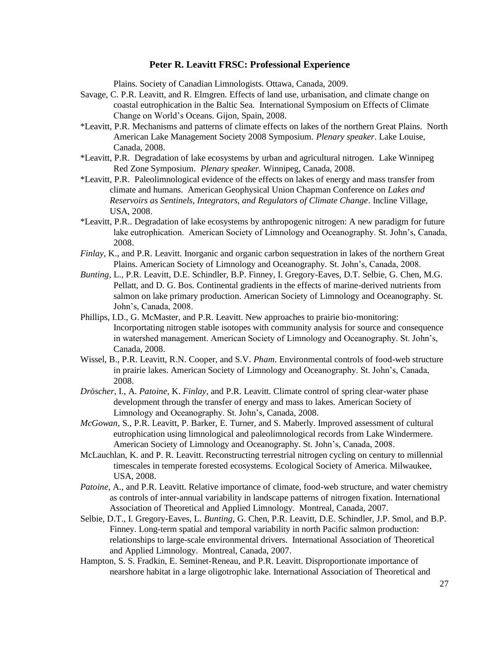Plains. Society of Canadian Limnologists. Ottawa, Canada, 2009.

- Savage, C. P.R. Leavitt, and R. Elmgren. Effects of land use, urbanisation, and climate change on coastal eutrophication in the Baltic Sea. International Symposium on Effects of Climate Change on World's Oceans. Gijon, Spain, 2008.
- \*Leavitt, P.R. Mechanisms and patterns of climate effects on lakes of the northern Great Plains. North American Lake Management Society 2008 Symposium. *Plenary speaker*. Lake Louise, Canada, 2008.
- \*Leavitt, P.R. Degradation of lake ecosystems by urban and agricultural nitrogen. Lake Winnipeg Red Zone Symposium. *Plenary speaker.* Winnipeg, Canada, 2008.
- \*Leavitt, P.R. Paleolimnological evidence of the effects on lakes of energy and mass transfer from climate and humans. American Geophysical Union Chapman Conference on *Lakes and Reservoirs as Sentinels, Integrators, and Regulators of Climate Change*. Incline Village, USA, 2008.
- \*Leavitt, P.R.. Degradation of lake ecosystems by anthropogenic nitrogen: A new paradigm for future lake eutrophication. American Society of Limnology and Oceanography. St. John's, Canada, 2008.
- *Finlay,* K., and P.R. Leavitt. Inorganic and organic carbon sequestration in lakes of the northern Great Plains. American Society of Limnology and Oceanography. St. John's, Canada, 2008.
- *Bunting*, L., P.R. Leavitt, D.E. Schindler, B.P. Finney, I. Gregory-Eaves, D.T. Selbie, G. Chen, M.G. Pellatt, and D. G. Bos. Continental gradients in the effects of marine-derived nutrients from salmon on lake primary production. American Society of Limnology and Oceanography. St. John's, Canada, 2008.
- Phillips, I.D., G. McMaster, and P.R. Leavitt. New approaches to prairie bio-monitoring: Incorportating nitrogen stable isotopes with community analysis for source and consequence in watershed management. American Society of Limnology and Oceanography. St. John's, Canada, 2008.
- Wissel, B., P.R. Leavitt, R.N. Cooper, and S.V. *Pham*. Environmental controls of food-web structure in prairie lakes. American Society of Limnology and Oceanography. St. John's, Canada, 2008.
- *Dröscher*, I., A. *Patoine*, K. *Finlay*, and P.R. Leavitt. Climate control of spring clear-water phase development through the transfer of energy and mass to lakes. American Society of Limnology and Oceanography. St. John's, Canada, 2008.
- *McGowan*, S., P.R. Leavitt, P. Barker, E. Turner, and S. Maberly. Improved assessment of cultural eutrophication using limnological and paleolimnological records from Lake Windermere. American Society of Limnology and Oceanography. St. John's, Canada, 2008.
- McLauchlan, K. and P. R. Leavitt. Reconstructing terrestrial nitrogen cycling on century to millennial timescales in temperate forested ecosystems. Ecological Society of America. Milwaukee, USA, 2008.
- *Patoine*, A., and P.R. Leavitt. Relative importance of climate, food-web structure, and water chemistry as controls of inter-annual variability in landscape patterns of nitrogen fixation. International Association of Theoretical and Applied Limnology. Montreal, Canada, 2007.
- Selbie, D.T., I. Gregory-Eaves, L. *Bunting*, G. Chen, P.R. Leavitt, D.E. Schindler, J.P. Smol, and B.P. Finney. Long-term spatial and temporal variability in north Pacific salmon production: relationships to large-scale environmental drivers. International Association of Theoretical and Applied Limnology. Montreal, Canada, 2007.
- Hampton, S. S. Fradkin, E. Seminet-Reneau, and P.R. Leavitt. Disproportionate importance of nearshore habitat in a large oligotrophic lake. International Association of Theoretical and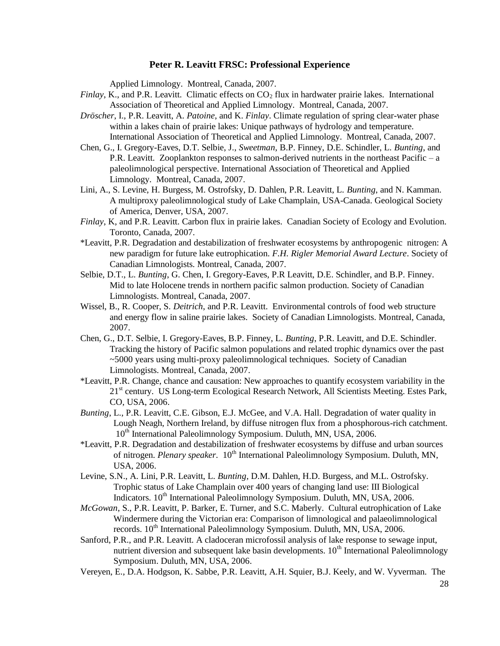Applied Limnology. Montreal, Canada, 2007.

- *Finlay*, K., and P.R. Leavitt. Climatic effects on CO<sub>2</sub> flux in hardwater prairie lakes. International Association of Theoretical and Applied Limnology. Montreal, Canada, 2007.
- *Dröscher*, I., P.R. Leavitt, A. *Patoine*, and K. *Finlay*. Climate regulation of spring clear-water phase within a lakes chain of prairie lakes: Unique pathways of hydrology and temperature. International Association of Theoretical and Applied Limnology. Montreal, Canada, 2007.
- Chen, G., I. Gregory-Eaves, D.T. Selbie, J., *Sweetman*, B.P. Finney, D.E. Schindler, L. *Bunting*, and P.R. Leavitt. Zooplankton responses to salmon-derived nutrients in the northeast Pacific – a paleolimnological perspective. International Association of Theoretical and Applied Limnology. Montreal, Canada, 2007.
- Lini, A., S. Levine, H. Burgess, M. Ostrofsky, D. Dahlen, P.R. Leavitt, L. *Bunting*, and N. Kamman. A multiproxy paleolimnological study of Lake Champlain, USA-Canada. Geological Society of America, Denver, USA, 2007.
- *Finlay*, K, and P.R. Leavitt. Carbon flux in prairie lakes. Canadian Society of Ecology and Evolution. Toronto, Canada, 2007.
- \*Leavitt, P.R. Degradation and destabilization of freshwater ecosystems by anthropogenic nitrogen: A new paradigm for future lake eutrophication. *F.H. Rigler Memorial Award Lecture*. Society of Canadian Limnologists. Montreal, Canada, 2007.
- Selbie, D.T., L. *Bunting*, G. Chen, I. Gregory-Eaves, P.R Leavitt, D.E. Schindler, and B.P. Finney. Mid to late Holocene trends in northern pacific salmon production. Society of Canadian Limnologists. Montreal, Canada, 2007.
- Wissel, B., R. Cooper, S. *Deitrich*, and P.R. Leavitt. Environmental controls of food web structure and energy flow in saline prairie lakes. Society of Canadian Limnologists. Montreal, Canada, 2007.
- Chen, G., D.T. Selbie, I. Gregory-Eaves, B.P. Finney, L. *Bunting*, P.R. Leavitt, and D.E. Schindler. Tracking the history of Pacific salmon populations and related trophic dynamics over the past ~5000 years using multi-proxy paleolimnological techniques. Society of Canadian Limnologists. Montreal, Canada, 2007.
- \*Leavitt, P.R. Change, chance and causation: New approaches to quantify ecosystem variability in the 21<sup>st</sup> century. US Long-term Ecological Research Network, All Scientists Meeting. Estes Park, CO, USA, 2006.
- *Bunting*, L., P.R. Leavitt, C.E. Gibson, E.J. McGee, and V.A. Hall. Degradation of water quality in Lough Neagh, Northern Ireland, by diffuse nitrogen flux from a phosphorous-rich catchment. 10<sup>th</sup> International Paleolimnology Symposium. Duluth, MN, USA, 2006.
- \*Leavitt, P.R. Degradation and destabilization of freshwater ecosystems by diffuse and urban sources of nitrogen. *Plenary speaker.* 10<sup>th</sup> International Paleolimnology Symposium. Duluth, MN, USA, 2006.
- Levine, S.N., A. Lini, P.R. Leavitt, L. *Bunting*, D.M. Dahlen, H.D. Burgess, and M.L. Ostrofsky. Trophic status of Lake Champlain over 400 years of changing land use: III Biological Indicators. 10<sup>th</sup> International Paleolimnology Symposium. Duluth, MN, USA, 2006.
- *McGowan*, S., P.R. Leavitt, P. Barker, E. Turner, and S.C. Maberly. Cultural eutrophication of Lake Windermere during the Victorian era: Comparison of limnological and palaeolimnological records. 10<sup>th</sup> International Paleolimnology Symposium. Duluth, MN, USA, 2006.
- Sanford, P.R., and P.R. Leavitt. A cladoceran microfossil analysis of lake response to sewage input, nutrient diversion and subsequent lake basin developments.  $10<sup>th</sup>$  International Paleolimnology Symposium. Duluth, MN, USA, 2006.
- Vereyen, E., D.A. Hodgson, K. Sabbe, P.R. Leavitt, A.H. Squier, B.J. Keely, and W. Vyverman. The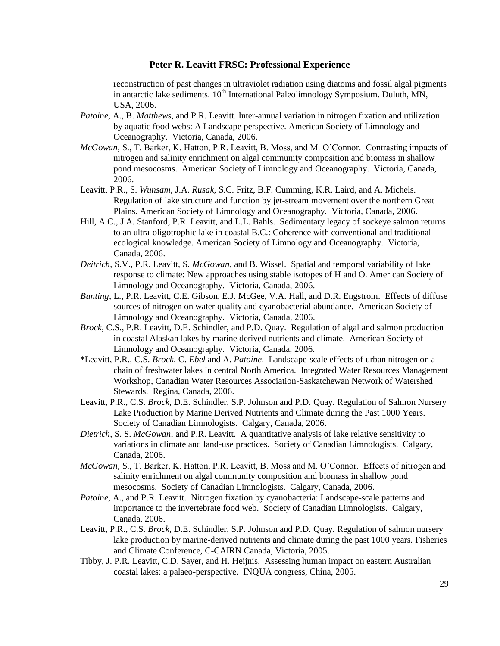reconstruction of past changes in ultraviolet radiation using diatoms and fossil algal pigments in antarctic lake sediments.  $10<sup>th</sup>$  International Paleolimnology Symposium. Duluth, MN, USA, 2006.

- *Patoine,* A., B. *Matthews*, and P.R. Leavitt. Inter-annual variation in nitrogen fixation and utilization by aquatic food webs: A Landscape perspective. American Society of Limnology and Oceanography. Victoria, Canada, 2006.
- *McGowan*, S., T. Barker, K. Hatton, P.R. Leavitt, B. Moss, and M. O'Connor. Contrasting impacts of nitrogen and salinity enrichment on algal community composition and biomass in shallow pond mesocosms. American Society of Limnology and Oceanography. Victoria, Canada, 2006.
- Leavitt, P.R., S. *Wunsam*, J.A. *Rusak*, S.C. Fritz, B.F. Cumming, K.R. Laird, and A. Michels. Regulation of lake structure and function by jet-stream movement over the northern Great Plains. American Society of Limnology and Oceanography. Victoria, Canada, 2006.
- Hill, A.C., J.A. Stanford, P.R. Leavitt, and L.L. Bahls. Sedimentary legacy of sockeye salmon returns to an ultra-oligotrophic lake in coastal B.C.: Coherence with conventional and traditional ecological knowledge. American Society of Limnology and Oceanography. Victoria, Canada, 2006.
- *Deitrich*, S.V., P.R. Leavitt, S. *McGowan*, and B. Wissel. Spatial and temporal variability of lake response to climate: New approaches using stable isotopes of H and O. American Society of Limnology and Oceanography. Victoria, Canada, 2006.
- *Bunting*, L., P.R. Leavitt, C.E. Gibson, E.J. McGee, V.A. Hall, and D.R. Engstrom. Effects of diffuse sources of nitrogen on water quality and cyanobacterial abundance. American Society of Limnology and Oceanography. Victoria, Canada, 2006.
- *Brock*, C.S., P.R. Leavitt, D.E. Schindler, and P.D. Quay. Regulation of algal and salmon production in coastal Alaskan lakes by marine derived nutrients and climate. American Society of Limnology and Oceanography. Victoria, Canada, 2006.
- \*Leavitt, P.R., C.S. *Brock*, C. *Ebel* and A. *Patoine*. Landscape-scale effects of urban nitrogen on a chain of freshwater lakes in central North America. Integrated Water Resources Management Workshop, Canadian Water Resources Association-Saskatchewan Network of Watershed Stewards. Regina, Canada, 2006.
- Leavitt, P.R., C.S. *Brock*, D.E. Schindler, S.P. Johnson and P.D. Quay. Regulation of Salmon Nursery Lake Production by Marine Derived Nutrients and Climate during the Past 1000 Years. Society of Canadian Limnologists. Calgary, Canada, 2006.
- *Dietrich*, S. S. *McGowan*, and P.R. Leavitt. A quantitative analysis of lake relative sensitivity to variations in climate and land-use practices. Society of Canadian Limnologists. Calgary, Canada, 2006.
- *McGowan*, S., T. Barker, K. Hatton, P.R. Leavitt, B. Moss and M. O'Connor. Effects of nitrogen and salinity enrichment on algal community composition and biomass in shallow pond mesocosms. Society of Canadian Limnologists. Calgary, Canada, 2006.
- *Patoine*, A., and P.R. Leavitt. Nitrogen fixation by cyanobacteria: Landscape-scale patterns and importance to the invertebrate food web. Society of Canadian Limnologists. Calgary, Canada, 2006.
- Leavitt, P.R., C.S. *Brock*, D.E. Schindler, S.P. Johnson and P.D. Quay. Regulation of salmon nursery lake production by marine-derived nutrients and climate during the past 1000 years. Fisheries and Climate Conference, C-CAIRN Canada, Victoria, 2005.
- Tibby, J. P.R. Leavitt, C.D. Sayer, and H. Heijnis. Assessing human impact on eastern Australian coastal lakes: a palaeo-perspective. INQUA congress, China, 2005.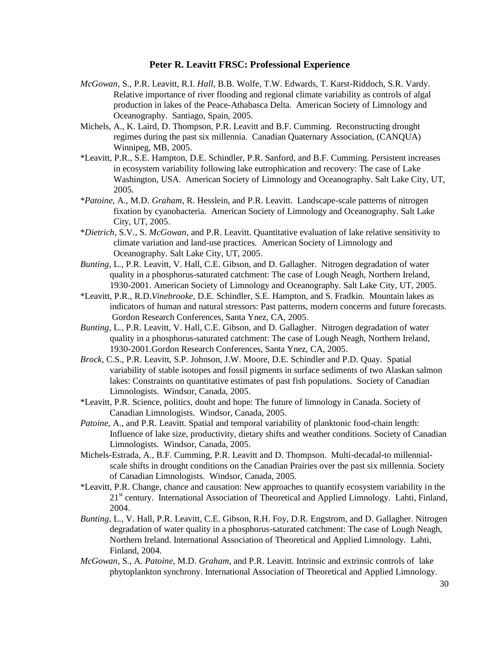- *McGowan*, S., P.R. Leavitt, R.I. *Hall*, B.B. Wolfe, T.W. Edwards, T. Karst-Riddoch, S.R. Vardy. Relative importance of river flooding and regional climate variability as controls of algal production in lakes of the Peace-Athabasca Delta. American Society of Limnology and Oceanography. Santiago, Spain, 2005.
- Michels, A., K. Laird, D. Thompson, P.R. Leavitt and B.F. Cumming. Reconstructing drought regimes during the past six millennia. Canadian Quaternary Association, (CANQUA) Winnipeg, MB, 2005.
- \*Leavitt, P.R., S.E. Hampton, D.E. Schindler, P.R. Sanford, and B.F. Cumming. Persistent increases in ecosystem variability following lake eutrophication and recovery: The case of Lake Washington, USA. American Society of Limnology and Oceanography. Salt Lake City, UT, 2005.
- \**Patoine*, A., M.D. *Graham*, R. Hesslein, and P.R. Leavitt. Landscape-scale patterns of nitrogen fixation by cyanobacteria. American Society of Limnology and Oceanography. Salt Lake City, UT, 2005.
- \**Dietrich*, S.V., S. *McGowan*, and P.R. Leavitt. Quantitative evaluation of lake relative sensitivity to climate variation and land-use practices. American Society of Limnology and Oceanography. Salt Lake City, UT, 2005.
- *Bunting*, L., P.R. Leavitt, V. Hall, C.E. Gibson, and D. Gallagher. Nitrogen degradation of water quality in a phosphorus-saturated catchment: The case of Lough Neagh, Northern Ireland, 1930-2001. American Society of Limnology and Oceanography. Salt Lake City, UT, 2005.
- \*Leavitt, P.R., R.D.*Vinebrooke*, D.E. Schindler, S.E. Hampton, and S. Fradkin. Mountain lakes as indicators of human and natural stressors: Past patterns, modern concerns and future forecasts. Gordon Research Conferences, Santa Ynez, CA, 2005.
- *Bunting*, L., P.R. Leavitt, V. Hall, C.E. Gibson, and D. Gallagher. Nitrogen degradation of water quality in a phosphorus-saturated catchment: The case of Lough Neagh, Northern Ireland, 1930-2001.Gordon Research Conferences, Santa Ynez, CA, 2005.
- *Brock*, C.S., P.R. Leavitt, S.P. Johnson, J.W. Moore, D.E. Schindler and P.D. Quay. Spatial variability of stable isotopes and fossil pigments in surface sediments of two Alaskan salmon lakes: Constraints on quantitative estimates of past fish populations. Society of Canadian Limnologists. Windsor, Canada, 2005.
- \*Leavitt, P.R. Science, politics, doubt and hope: The future of limnology in Canada. Society of Canadian Limnologists. Windsor, Canada, 2005.
- *Patoine*, A., and P.R. Leavitt. Spatial and temporal variability of planktonic food-chain length: Influence of lake size, productivity, dietary shifts and weather conditions. Society of Canadian Limnologists. Windsor, Canada, 2005.
- Michels-Estrada, A., B.F. Cumming, P.R. Leavitt and D. Thompson. Multi-decadal-to millennialscale shifts in drought conditions on the Canadian Prairies over the past six millennia. Society of Canadian Limnologists. Windsor, Canada, 2005.
- \*Leavitt, P.R. Change, chance and causation: New approaches to quantify ecosystem variability in the 21<sup>st</sup> century. International Association of Theoretical and Applied Limnology. Lahti, Finland, 2004.
- *Bunting*, L., V. Hall, P.R. Leavitt, C.E. Gibson, R.H. Foy, D.R. Engstrom, and D. Gallagher. Nitrogen degradation of water quality in a phosphorus-saturated catchment: The case of Lough Neagh, Northern Ireland. International Association of Theoretical and Applied Limnology. Lahti, Finland, 2004.
- *McGowan*, S., A. *Patoine*, M.D. *Graham*, and P.R. Leavitt. Intrinsic and extrinsic controls of lake phytoplankton synchrony. International Association of Theoretical and Applied Limnology.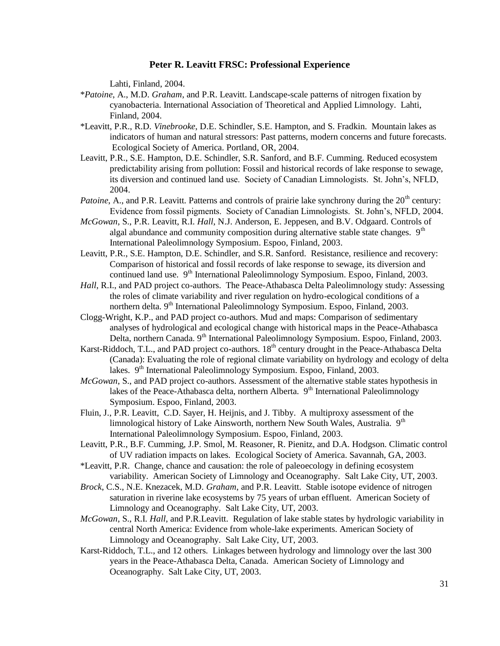Lahti, Finland, 2004.

- \**Patoine*, A., M.D. *Graham*, and P.R. Leavitt. Landscape-scale patterns of nitrogen fixation by cyanobacteria. International Association of Theoretical and Applied Limnology. Lahti, Finland, 2004.
- \*Leavitt, P.R., R.D. *Vinebrooke*, D.E. Schindler, S.E. Hampton, and S. Fradkin. Mountain lakes as indicators of human and natural stressors: Past patterns, modern concerns and future forecasts. Ecological Society of America. Portland, OR, 2004.
- Leavitt, P.R., S.E. Hampton, D.E. Schindler, S.R. Sanford, and B.F. Cumming. Reduced ecosystem predictability arising from pollution: Fossil and historical records of lake response to sewage, its diversion and continued land use. Society of Canadian Limnologists. St. John's, NFLD, 2004.
- *Patoine*, A., and P.R. Leavitt. Patterns and controls of prairie lake synchrony during the 20<sup>th</sup> century: Evidence from fossil pigments. Society of Canadian Limnologists. St. John's, NFLD, 2004.
- *McGowan*, S., P.R. Leavitt, R.I. *Hall*, N.J. Anderson, E. Jeppesen, and B.V. Odgaard. Controls of algal abundance and community composition during alternative stable state changes.  $9<sup>th</sup>$ International Paleolimnology Symposium. Espoo, Finland, 2003.
- Leavitt, P.R., S.E. Hampton, D.E. Schindler, and S.R. Sanford. Resistance, resilience and recovery: Comparison of historical and fossil records of lake response to sewage, its diversion and continued land use. 9<sup>th</sup> International Paleolimnology Symposium. Espoo, Finland, 2003.
- *Hall*, R.I., and PAD project co-authors. The Peace-Athabasca Delta Paleolimnology study: Assessing the roles of climate variability and river regulation on hydro-ecological conditions of a northern delta. 9<sup>th</sup> International Paleolimnology Symposium. Espoo, Finland, 2003.
- Clogg-Wright, K.P., and PAD project co-authors. Mud and maps: Comparison of sedimentary analyses of hydrological and ecological change with historical maps in the Peace-Athabasca Delta, northern Canada. 9<sup>th</sup> International Paleolimnology Symposium. Espoo, Finland, 2003.
- Karst-Riddoch, T.L., and PAD project co-authors. 18<sup>th</sup> century drought in the Peace-Athabasca Delta (Canada): Evaluating the role of regional climate variability on hydrology and ecology of delta lakes. 9<sup>th</sup> International Paleolimnology Symposium. Espoo, Finland, 2003.
- *McGowan*, S., and PAD project co-authors. Assessment of the alternative stable states hypothesis in lakes of the Peace-Athabasca delta, northern Alberta.  $9<sup>th</sup>$  International Paleolimnology Symposium. Espoo, Finland, 2003.
- Fluin, J., P.R. Leavitt, C.D. Sayer, H. Heijnis, and J. Tibby. A multiproxy assessment of the limnological history of Lake Ainsworth, northern New South Wales, Australia.  $9<sup>th</sup>$ International Paleolimnology Symposium. Espoo, Finland, 2003.
- Leavitt, P.R., B.F. Cumming, J.P. Smol, M. Reasoner, R. Pienitz, and D.A. Hodgson. Climatic control of UV radiation impacts on lakes. Ecological Society of America. Savannah, GA, 2003.
- \*Leavitt, P.R. Change, chance and causation: the role of paleoecology in defining ecosystem variability. American Society of Limnology and Oceanography. Salt Lake City, UT, 2003.
- *Brock*, C.S., N.E. Knezacek, M.D. *Graham*, and P.R. Leavitt. Stable isotope evidence of nitrogen saturation in riverine lake ecosystems by 75 years of urban effluent. American Society of Limnology and Oceanography. Salt Lake City, UT, 2003.
- *McGowan*, S., R.I. *Hall*, and P.R.Leavitt. Regulation of lake stable states by hydrologic variability in central North America: Evidence from whole-lake experiments. American Society of Limnology and Oceanography. Salt Lake City, UT, 2003.
- Karst-Riddoch, T.L., and 12 others. Linkages between hydrology and limnology over the last 300 years in the Peace-Athabasca Delta, Canada. American Society of Limnology and Oceanography. Salt Lake City, UT, 2003.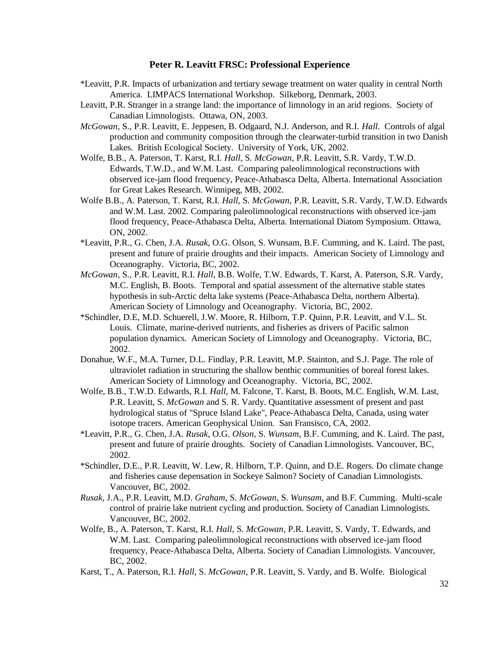- \*Leavitt, P.R. Impacts of urbanization and tertiary sewage treatment on water quality in central North America. LIMPACS International Workshop. Silkeborg, Denmark, 2003.
- Leavitt, P.R. Stranger in a strange land: the importance of limnology in an arid regions. Society of Canadian Limnologists. Ottawa, ON, 2003.
- *McGowan*, S., P.R. Leavitt, E. Jeppesen, B. Odgaard, N.J. Anderson, and R.I. *Hall*. Controls of algal production and community composition through the clearwater-turbid transition in two Danish Lakes. British Ecological Society. University of York, UK, 2002.
- Wolfe, B.B., A. Paterson, T. Karst, R.I. *Hall*, S. *McGowan*, P.R. Leavitt, S.R. Vardy, T.W.D. Edwards, T.W.D., and W.M. Last. Comparing paleolimnological reconstructions with observed ice-jam flood frequency, Peace-Athabasca Delta, Alberta. International Association for Great Lakes Research. Winnipeg, MB, 2002.
- Wolfe B.B., A. Paterson, T. Karst, R.I. *Hall*, S. *McGowan*, P.R. Leavitt, S.R. Vardy, T.W.D. Edwards and W.M. Last. 2002. Comparing paleolimnological reconstructions with observed ice-jam flood frequency, Peace-Athabasca Delta, Alberta. International Diatom Symposium. Ottawa, ON, 2002.
- \*Leavitt, P.R., G. Chen, J.A. *Rusak*, O.G. Olson, S. Wunsam, B.F. Cumming, and K. Laird. The past, present and future of prairie droughts and their impacts. American Society of Limnology and Oceanography. Victoria, BC, 2002.
- *McGowan*, S., P.R. Leavitt, R.I. *Hall*, B.B. Wolfe, T.W. Edwards, T. Karst, A. Paterson, S.R. Vardy, M.C. English, B. Boots. Temporal and spatial assessment of the alternative stable states hypothesis in sub-Arctic delta lake systems (Peace-Athabasca Delta, northern Alberta). American Society of Limnology and Oceanography. Victoria, BC, 2002.
- \*Schindler, D.E, M.D. Schuerell, J.W. Moore, R. Hilborn, T.P. Quinn, P.R. Leavitt, and V.L. St. Louis. Climate, marine-derived nutrients, and fisheries as drivers of Pacific salmon population dynamics. American Society of Limnology and Oceanography. Victoria, BC, 2002.
- Donahue, W.F., M.A. Turner, D.L. Findlay, P.R. Leavitt, M.P. Stainton, and S.J. Page. The role of ultraviolet radiation in structuring the shallow benthic communities of boreal forest lakes. American Society of Limnology and Oceanography. Victoria, BC, 2002.
- Wolfe, B.B., T.W.D. Edwards, R.I. *Hall*, M. Falcone, T. Karst, B. Boots, M.C. English, W.M. Last, P.R. Leavitt, S. *McGowan* and S. R. Vardy. Quantitative assessment of present and past hydrological status of "Spruce Island Lake", Peace-Athabasca Delta, Canada, using water isotope tracers. American Geophysical Union. San Fransisco, CA, 2002.
- \*Leavitt, P.R., G. Chen, J.A. *Rusak*, O.G. *Olson*, S. *Wunsam*, B.F. Cumming, and K. Laird. The past, present and future of prairie droughts. Society of Canadian Limnologists. Vancouver, BC, 2002.
- \*Schindler, D.E., P.R. Leavitt, W. Lew, R. Hilborn, T.P. Quinn, and D.E. Rogers. Do climate change and fisheries cause depensation in Sockeye Salmon? Society of Canadian Limnologists. Vancouver, BC, 2002.
- *Rusak*, J.A., P.R. Leavitt, M.D. *Graham*, S. *McGowan*, S. *Wunsam*, and B.F. Cumming. Multi-scale control of prairie lake nutrient cycling and production. Society of Canadian Limnologists. Vancouver, BC, 2002.
- Wolfe, B., A. Paterson, T. Karst, R.I. *Hall*, S. *McGowan*, P.R. Leavitt, S. Vardy, T. Edwards, and W.M. Last. Comparing paleolimnological reconstructions with observed ice-jam flood frequency, Peace-Athabasca Delta, Alberta. Society of Canadian Limnologists. Vancouver, BC, 2002.
- Karst, T., A. Paterson, R.I. *Hall*, S. *McGowan*, P.R. Leavitt, S. Vardy, and B. Wolfe. Biological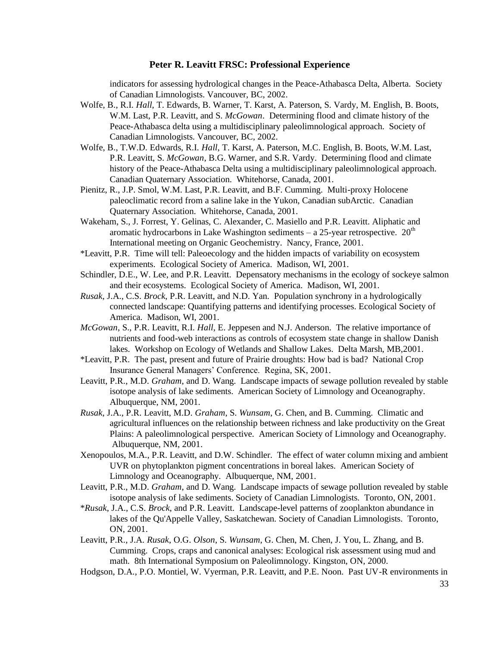indicators for assessing hydrological changes in the Peace-Athabasca Delta, Alberta. Society of Canadian Limnologists. Vancouver, BC, 2002.

- Wolfe, B., R.I. *Hall*, T. Edwards, B. Warner, T. Karst, A. Paterson, S. Vardy, M. English, B. Boots, W.M. Last, P.R. Leavitt, and S. *McGowan*. Determining flood and climate history of the Peace-Athabasca delta using a multidisciplinary paleolimnological approach. Society of Canadian Limnologists. Vancouver, BC, 2002.
- Wolfe, B., T.W.D. Edwards, R.I. *Hall*, T. Karst, A. Paterson, M.C. English, B. Boots, W.M. Last, P.R. Leavitt, S. *McGowan*, B.G. Warner, and S.R. Vardy. Determining flood and climate history of the Peace-Athabasca Delta using a multidisciplinary paleolimnological approach. Canadian Quaternary Association. Whitehorse, Canada, 2001.
- Pienitz, R., J.P. Smol, W.M. Last, P.R. Leavitt, and B.F. Cumming. Multi-proxy Holocene paleoclimatic record from a saline lake in the Yukon, Canadian subArctic. Canadian Quaternary Association. Whitehorse, Canada, 2001.
- Wakeham, S., J. Forrest, Y. Gelinas, C. Alexander, C. Masiello and P.R. Leavitt. Aliphatic and aromatic hydrocarbons in Lake Washington sediments – a 25-year retrospective.  $20<sup>th</sup>$ International meeting on Organic Geochemistry. Nancy, France, 2001.
- \*Leavitt, P.R. Time will tell: Paleoecology and the hidden impacts of variability on ecosystem experiments. Ecological Society of America. Madison, WI, 2001.
- Schindler, D.E., W. Lee, and P.R. Leavitt. Depensatory mechanisms in the ecology of sockeye salmon and their ecosystems. Ecological Society of America. Madison, WI, 2001.
- *Rusak*, J.A., C.S. *Brock*, P.R. Leavitt, and N.D. Yan. Population synchrony in a hydrologically connected landscape: Quantifying patterns and identifying processes. Ecological Society of America. Madison, WI, 2001.
- *McGowan*, S., P.R. Leavitt, R.I. *Hall*, E. Jeppesen and N.J. Anderson. The relative importance of nutrients and food-web interactions as controls of ecosystem state change in shallow Danish lakes. Workshop on Ecology of Wetlands and Shallow Lakes. Delta Marsh, MB,2001.
- \*Leavitt, P.R. The past, present and future of Prairie droughts: How bad is bad? National Crop Insurance General Managers' Conference. Regina, SK, 2001.
- Leavitt, P.R., M.D. *Graham*, and D. Wang. Landscape impacts of sewage pollution revealed by stable isotope analysis of lake sediments. American Society of Limnology and Oceanography. Albuquerque, NM, 2001.
- *Rusak*, J.A., P.R. Leavitt, M.D. *Graham*, S. *Wunsam*, G. Chen, and B. Cumming. Climatic and agricultural influences on the relationship between richness and lake productivity on the Great Plains: A paleolimnological perspective. American Society of Limnology and Oceanography. Albuquerque, NM, 2001.
- Xenopoulos, M.A., P.R. Leavitt, and D.W. Schindler. The effect of water column mixing and ambient UVR on phytoplankton pigment concentrations in boreal lakes. American Society of Limnology and Oceanography. Albuquerque, NM, 2001.
- Leavitt, P.R., M.D. *Graham*, and D. Wang. Landscape impacts of sewage pollution revealed by stable isotope analysis of lake sediments. Society of Canadian Limnologists. Toronto, ON, 2001.
- \**Rusak*, J.A., C.S. *Brock*, and P.R. Leavitt. Landscape-level patterns of zooplankton abundance in lakes of the Qu'Appelle Valley, Saskatchewan. Society of Canadian Limnologists. Toronto, ON, 2001.
- Leavitt, P.R., J.A. *Rusak*, O.G. *Olson*, S. *Wunsam*, G. Chen, M. Chen, J. You, L. Zhang, and B. Cumming. Crops, craps and canonical analyses: Ecological risk assessment using mud and math. 8th International Symposium on Paleolimnology. Kingston, ON, 2000.
- Hodgson, D.A., P.O. Montiel, W. Vyerman, P.R. Leavitt, and P.E. Noon. Past UV-R environments in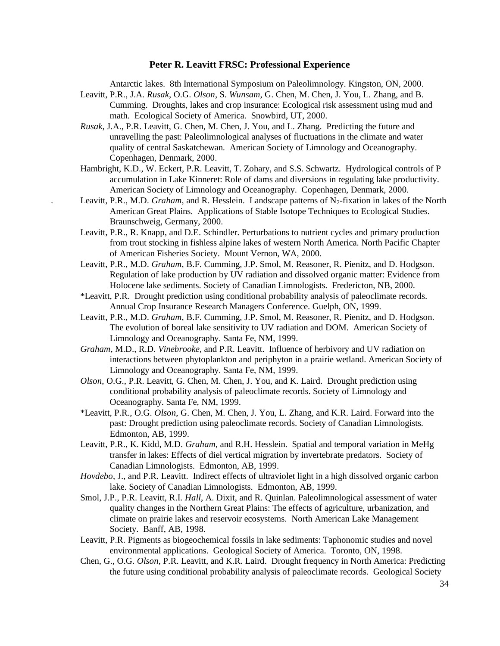Antarctic lakes. 8th International Symposium on Paleolimnology. Kingston, ON, 2000.

- Leavitt, P.R., J.A. *Rusak*, O.G. *Olson*, S. *Wunsam*, G. Chen, M. Chen, J. You, L. Zhang, and B. Cumming. Droughts, lakes and crop insurance: Ecological risk assessment using mud and math. Ecological Society of America. Snowbird, UT, 2000.
- *Rusak*, J.A., P.R. Leavitt, G. Chen, M. Chen, J. You, and L. Zhang. Predicting the future and unravelling the past: Paleolimnological analyses of fluctuations in the climate and water quality of central Saskatchewan. American Society of Limnology and Oceanography. Copenhagen, Denmark, 2000.
- Hambright, K.D., W. Eckert, P.R. Leavitt, T. Zohary, and S.S. Schwartz. Hydrological controls of P accumulation in Lake Kinneret: Role of dams and diversions in regulating lake productivity. American Society of Limnology and Oceanography. Copenhagen, Denmark, 2000.
- Leavitt, P.R., M.D. *Graham*, and R. Hesslein. Landscape patterns of  $N_2$ -fixation in lakes of the North American Great Plains. Applications of Stable Isotope Techniques to Ecological Studies. Braunschweig, Germany, 2000.
- Leavitt, P.R., R. Knapp, and D.E. Schindler. Perturbations to nutrient cycles and primary production from trout stocking in fishless alpine lakes of western North America. North Pacific Chapter of American Fisheries Society. Mount Vernon, WA, 2000.
- Leavitt, P.R., M.D. *Graham*, B.F. Cumming, J.P. Smol, M. Reasoner, R. Pienitz, and D. Hodgson. Regulation of lake production by UV radiation and dissolved organic matter: Evidence from Holocene lake sediments. Society of Canadian Limnologists. Fredericton, NB, 2000.
- \*Leavitt, P.R. Drought prediction using conditional probability analysis of paleoclimate records. Annual Crop Insurance Research Managers Conference. Guelph, ON, 1999.
- Leavitt, P.R., M.D. *Graham*, B.F. Cumming, J.P. Smol, M. Reasoner, R. Pienitz, and D. Hodgson. The evolution of boreal lake sensitivity to UV radiation and DOM. American Society of Limnology and Oceanography. Santa Fe, NM, 1999.
- *Graham*, M.D., R.D. *Vinebrooke*, and P.R. Leavitt. Influence of herbivory and UV radiation on interactions between phytoplankton and periphyton in a prairie wetland. American Society of Limnology and Oceanography. Santa Fe, NM, 1999.
- *Olson*, O.G., P.R. Leavitt, G. Chen, M. Chen, J. You, and K. Laird. Drought prediction using conditional probability analysis of paleoclimate records. Society of Limnology and Oceanography. Santa Fe, NM, 1999.
- \*Leavitt, P.R., O.G. *Olson*, G. Chen, M. Chen, J. You, L. Zhang, and K.R. Laird. Forward into the past: Drought prediction using paleoclimate records. Society of Canadian Limnologists. Edmonton, AB, 1999.
- Leavitt, P.R., K. Kidd, M.D. *Graham*, and R.H. Hesslein. Spatial and temporal variation in MeHg transfer in lakes: Effects of diel vertical migration by invertebrate predators. Society of Canadian Limnologists. Edmonton, AB, 1999.
- *Hovdebo*, J., and P.R. Leavitt. Indirect effects of ultraviolet light in a high dissolved organic carbon lake. Society of Canadian Limnologists. Edmonton, AB, 1999.
- Smol, J.P., P.R. Leavitt, R.I. *Hall*, A. Dixit, and R. Quinlan. Paleolimnological assessment of water quality changes in the Northern Great Plains: The effects of agriculture, urbanization, and climate on prairie lakes and reservoir ecosystems. North American Lake Management Society. Banff, AB, 1998.
- Leavitt, P.R. Pigments as biogeochemical fossils in lake sediments: Taphonomic studies and novel environmental applications. Geological Society of America. Toronto, ON, 1998.
- Chen, G., O.G. *Olson*, P.R. Leavitt, and K.R. Laird. Drought frequency in North America: Predicting the future using conditional probability analysis of paleoclimate records. Geological Society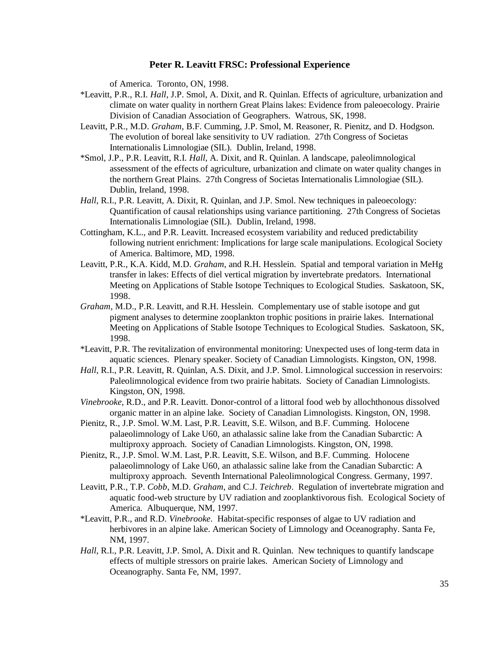of America. Toronto, ON, 1998.

- \*Leavitt, P.R., R.I. *Hall*, J.P. Smol, A. Dixit, and R. Quinlan. Effects of agriculture, urbanization and climate on water quality in northern Great Plains lakes: Evidence from paleoecology. Prairie Division of Canadian Association of Geographers. Watrous, SK, 1998.
- Leavitt, P.R., M.D. *Graham*, B.F. Cumming, J.P. Smol, M. Reasoner, R. Pienitz, and D. Hodgson. The evolution of boreal lake sensitivity to UV radiation. 27th Congress of Societas Internationalis Limnologiae (SIL). Dublin, Ireland, 1998.
- \*Smol, J.P., P.R. Leavitt, R.I. *Hall*, A. Dixit, and R. Quinlan. A landscape, paleolimnological assessment of the effects of agriculture, urbanization and climate on water quality changes in the northern Great Plains. 27th Congress of Societas Internationalis Limnologiae (SIL). Dublin, Ireland, 1998.
- *Hall*, R.I., P.R. Leavitt, A. Dixit, R. Quinlan, and J.P. Smol. New techniques in paleoecology: Quantification of causal relationships using variance partitioning. 27th Congress of Societas Internationalis Limnologiae (SIL). Dublin, Ireland, 1998.
- Cottingham, K.L., and P.R. Leavitt. Increased ecosystem variability and reduced predictability following nutrient enrichment: Implications for large scale manipulations. Ecological Society of America. Baltimore, MD, 1998.
- Leavitt, P.R., K.A. Kidd, M.D. *Graham*, and R.H. Hesslein. Spatial and temporal variation in MeHg transfer in lakes: Effects of diel vertical migration by invertebrate predators. International Meeting on Applications of Stable Isotope Techniques to Ecological Studies. Saskatoon, SK, 1998.
- *Graham*, M.D., P.R. Leavitt, and R.H. Hesslein. Complementary use of stable isotope and gut pigment analyses to determine zooplankton trophic positions in prairie lakes. International Meeting on Applications of Stable Isotope Techniques to Ecological Studies. Saskatoon, SK, 1998.
- \*Leavitt, P.R. The revitalization of environmental monitoring: Unexpected uses of long-term data in aquatic sciences. Plenary speaker. Society of Canadian Limnologists. Kingston, ON, 1998.
- *Hall*, R.I., P.R. Leavitt, R. Quinlan, A.S. Dixit, and J.P. Smol. Limnological succession in reservoirs: Paleolimnological evidence from two prairie habitats. Society of Canadian Limnologists. Kingston, ON, 1998.
- *Vinebrooke*, R.D., and P.R. Leavitt. Donor-control of a littoral food web by allochthonous dissolved organic matter in an alpine lake. Society of Canadian Limnologists. Kingston, ON, 1998.
- Pienitz, R., J.P. Smol. W.M. Last, P.R. Leavitt, S.E. Wilson, and B.F. Cumming. Holocene palaeolimnology of Lake U60, an athalassic saline lake from the Canadian Subarctic: A multiproxy approach. Society of Canadian Limnologists. Kingston, ON, 1998.
- Pienitz, R., J.P. Smol. W.M. Last, P.R. Leavitt, S.E. Wilson, and B.F. Cumming. Holocene palaeolimnology of Lake U60, an athalassic saline lake from the Canadian Subarctic: A multiproxy approach. Seventh International Paleolimnological Congress. Germany, 1997.
- Leavitt, P.R., T.P. *Cobb*, M.D. *Graham*, and C.J. *Teichreb*. Regulation of invertebrate migration and aquatic food-web structure by UV radiation and zooplanktivorous fish. Ecological Society of America. Albuquerque, NM, 1997.
- \*Leavitt, P.R., and R.D. *Vinebrooke*. Habitat-specific responses of algae to UV radiation and herbivores in an alpine lake. American Society of Limnology and Oceanography. Santa Fe, NM, 1997.
- *Hall*, R.I., P.R. Leavitt, J.P. Smol, A. Dixit and R. Quinlan. New techniques to quantify landscape effects of multiple stressors on prairie lakes. American Society of Limnology and Oceanography. Santa Fe, NM, 1997.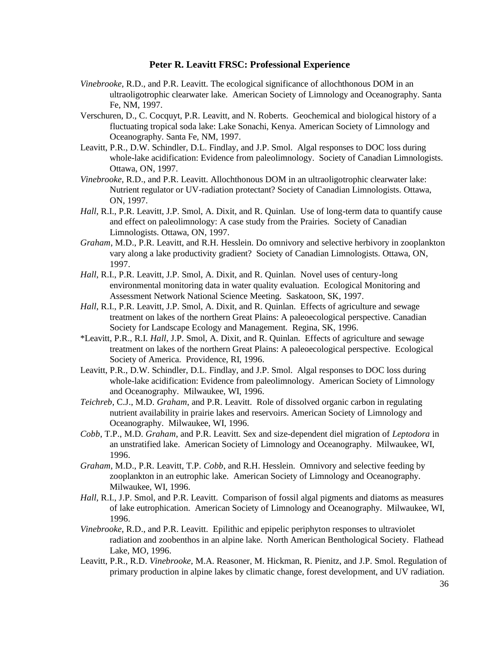- *Vinebrooke*, R.D., and P.R. Leavitt. The ecological significance of allochthonous DOM in an ultraoligotrophic clearwater lake. American Society of Limnology and Oceanography. Santa Fe, NM, 1997.
- Verschuren, D., C. Cocquyt, P.R. Leavitt, and N. Roberts. Geochemical and biological history of a fluctuating tropical soda lake: Lake Sonachi, Kenya. American Society of Limnology and Oceanography. Santa Fe, NM, 1997.
- Leavitt, P.R., D.W. Schindler, D.L. Findlay, and J.P. Smol. Algal responses to DOC loss during whole-lake acidification: Evidence from paleolimnology. Society of Canadian Limnologists. Ottawa, ON, 1997.
- *Vinebrooke*, R.D., and P.R. Leavitt. Allochthonous DOM in an ultraoligotrophic clearwater lake: Nutrient regulator or UV-radiation protectant? Society of Canadian Limnologists. Ottawa, ON, 1997.
- *Hall*, R.I., P.R. Leavitt, J.P. Smol, A. Dixit, and R. Quinlan. Use of long-term data to quantify cause and effect on paleolimnology: A case study from the Prairies. Society of Canadian Limnologists. Ottawa, ON, 1997.
- *Graham*, M.D., P.R. Leavitt, and R.H. Hesslein. Do omnivory and selective herbivory in zooplankton vary along a lake productivity gradient? Society of Canadian Limnologists. Ottawa, ON, 1997.
- *Hall*, R.I., P.R. Leavitt, J.P. Smol, A. Dixit, and R. Quinlan. Novel uses of century-long environmental monitoring data in water quality evaluation. Ecological Monitoring and Assessment Network National Science Meeting. Saskatoon, SK, 1997.
- *Hall*, R.I., P.R. Leavitt, J.P. Smol, A. Dixit, and R. Quinlan. Effects of agriculture and sewage treatment on lakes of the northern Great Plains: A paleoecological perspective. Canadian Society for Landscape Ecology and Management. Regina, SK, 1996.
- \*Leavitt, P.R., R.I. *Hall*, J.P. Smol, A. Dixit, and R. Quinlan. Effects of agriculture and sewage treatment on lakes of the northern Great Plains: A paleoecological perspective. Ecological Society of America. Providence, RI, 1996.
- Leavitt, P.R., D.W. Schindler, D.L. Findlay, and J.P. Smol. Algal responses to DOC loss during whole-lake acidification: Evidence from paleolimnology. American Society of Limnology and Oceanography. Milwaukee, WI, 1996.
- *Teichreb*, C.J., M.D. *Graham*, and P.R. Leavitt. Role of dissolved organic carbon in regulating nutrient availability in prairie lakes and reservoirs. American Society of Limnology and Oceanography. Milwaukee, WI, 1996.
- *Cobb*, T.P., M.D. *Graham*, and P.R. Leavitt. Sex and size-dependent diel migration of *Leptodora* in an unstratified lake. American Society of Limnology and Oceanography. Milwaukee, WI, 1996.
- *Graham*, M.D., P.R. Leavitt, T.P. *Cobb*, and R.H. Hesslein. Omnivory and selective feeding by zooplankton in an eutrophic lake. American Society of Limnology and Oceanography. Milwaukee, WI, 1996.
- *Hall*, R.I., J.P. Smol, and P.R. Leavitt. Comparison of fossil algal pigments and diatoms as measures of lake eutrophication. American Society of Limnology and Oceanography. Milwaukee, WI, 1996.
- *Vinebrooke*, R.D., and P.R. Leavitt. Epilithic and epipelic periphyton responses to ultraviolet radiation and zoobenthos in an alpine lake. North American Benthological Society. Flathead Lake, MO, 1996.
- Leavitt, P.R., R.D. *Vinebrooke*, M.A. Reasoner, M. Hickman, R. Pienitz, and J.P. Smol. Regulation of primary production in alpine lakes by climatic change, forest development, and UV radiation.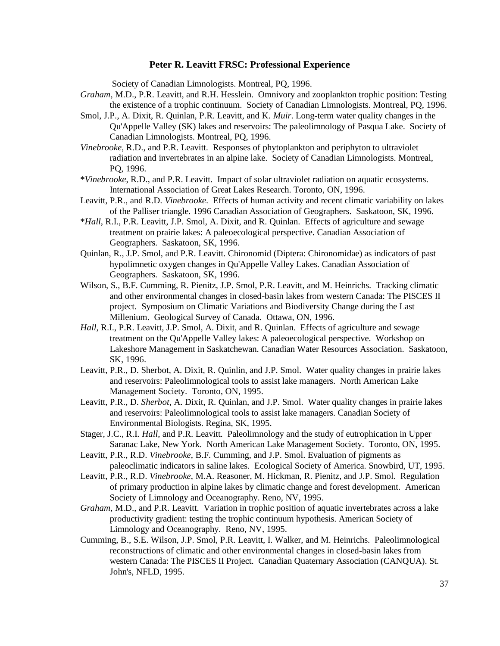Society of Canadian Limnologists. Montreal, PQ, 1996.

- *Graham*, M.D., P.R. Leavitt, and R.H. Hesslein. Omnivory and zooplankton trophic position: Testing the existence of a trophic continuum. Society of Canadian Limnologists. Montreal, PQ, 1996.
- Smol, J.P., A. Dixit, R. Quinlan, P.R. Leavitt, and K. *Muir*. Long-term water quality changes in the Qu'Appelle Valley (SK) lakes and reservoirs: The paleolimnology of Pasqua Lake. Society of Canadian Limnologists. Montreal, PQ, 1996.
- *Vinebrooke*, R.D., and P.R. Leavitt. Responses of phytoplankton and periphyton to ultraviolet radiation and invertebrates in an alpine lake. Society of Canadian Limnologists. Montreal, PQ, 1996.
- \**Vinebrooke*, R.D., and P.R. Leavitt. Impact of solar ultraviolet radiation on aquatic ecosystems. International Association of Great Lakes Research. Toronto, ON, 1996.
- Leavitt, P.R., and R.D. *Vinebrooke*. Effects of human activity and recent climatic variability on lakes of the Palliser triangle. 1996 Canadian Association of Geographers. Saskatoon, SK, 1996.
- \**Hall*, R.I., P.R. Leavitt, J.P. Smol, A. Dixit, and R. Quinlan. Effects of agriculture and sewage treatment on prairie lakes: A paleoecological perspective. Canadian Association of Geographers. Saskatoon, SK, 1996.
- Quinlan, R., J.P. Smol, and P.R. Leavitt. Chironomid (Diptera: Chironomidae) as indicators of past hypolimnetic oxygen changes in Qu'Appelle Valley Lakes. Canadian Association of Geographers. Saskatoon, SK, 1996.
- Wilson, S., B.F. Cumming, R. Pienitz, J.P. Smol, P.R. Leavitt, and M. Heinrichs. Tracking climatic and other environmental changes in closed-basin lakes from western Canada: The PISCES II project. Symposium on Climatic Variations and Biodiversity Change during the Last Millenium. Geological Survey of Canada. Ottawa, ON, 1996.
- *Hall*, R.I., P.R. Leavitt, J.P. Smol, A. Dixit, and R. Quinlan. Effects of agriculture and sewage treatment on the Qu'Appelle Valley lakes: A paleoecological perspective. Workshop on Lakeshore Management in Saskatchewan. Canadian Water Resources Association. Saskatoon, SK, 1996.
- Leavitt, P.R., D. Sherbot, A. Dixit, R. Quinlin, and J.P. Smol. Water quality changes in prairie lakes and reservoirs: Paleolimnological tools to assist lake managers. North American Lake Management Society. Toronto, ON, 1995.
- Leavitt, P.R., D. *Sherbot*, A. Dixit, R. Quinlan, and J.P. Smol. Water quality changes in prairie lakes and reservoirs: Paleolimnological tools to assist lake managers. Canadian Society of Environmental Biologists. Regina, SK, 1995.
- Stager, J.C., R.I. *Hall*, and P.R. Leavitt. Paleolimnology and the study of eutrophication in Upper Saranac Lake, New York. North American Lake Management Society. Toronto, ON, 1995.
- Leavitt, P.R., R.D. *Vinebrooke*, B.F. Cumming, and J.P. Smol. Evaluation of pigments as paleoclimatic indicators in saline lakes. Ecological Society of America. Snowbird, UT, 1995.
- Leavitt, P.R., R.D. *Vinebrooke*, M.A. Reasoner, M. Hickman, R. Pienitz, and J.P. Smol. Regulation of primary production in alpine lakes by climatic change and forest development. American Society of Limnology and Oceanography. Reno, NV, 1995.
- *Graham,* M.D., and P.R. Leavitt. Variation in trophic position of aquatic invertebrates across a lake productivity gradient: testing the trophic continuum hypothesis. American Society of Limnology and Oceanography. Reno, NV, 1995.
- Cumming, B., S.E. Wilson, J.P. Smol, P.R. Leavitt, I. Walker, and M. Heinrichs. Paleolimnological reconstructions of climatic and other environmental changes in closed-basin lakes from western Canada: The PISCES II Project. Canadian Quaternary Association (CANQUA). St. John's, NFLD, 1995.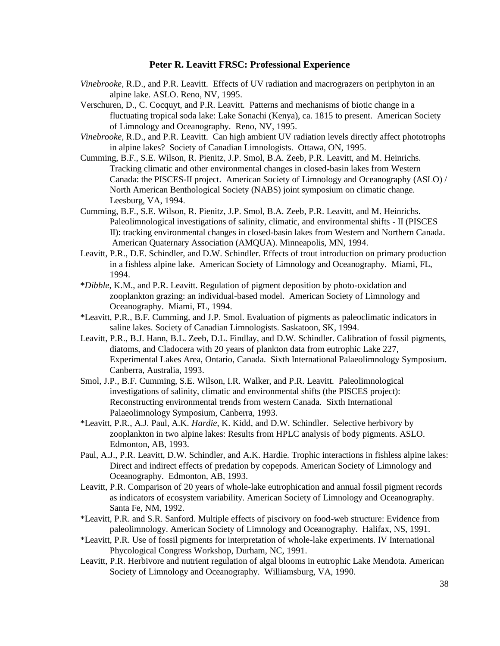- *Vinebrooke*, R.D., and P.R. Leavitt. Effects of UV radiation and macrograzers on periphyton in an alpine lake. ASLO. Reno, NV, 1995.
- Verschuren, D., C. Cocquyt, and P.R. Leavitt. Patterns and mechanisms of biotic change in a fluctuating tropical soda lake: Lake Sonachi (Kenya), ca. 1815 to present. American Society of Limnology and Oceanography. Reno, NV, 1995.
- *Vinebrooke*, R.D., and P.R. Leavitt. Can high ambient UV radiation levels directly affect phototrophs in alpine lakes? Society of Canadian Limnologists. Ottawa, ON, 1995.
- Cumming, B.F., S.E. Wilson, R. Pienitz, J.P. Smol, B.A. Zeeb, P.R. Leavitt, and M. Heinrichs. Tracking climatic and other environmental changes in closed-basin lakes from Western Canada: the PISCES-II project. American Society of Limnology and Oceanography (ASLO) / North American Benthological Society (NABS) joint symposium on climatic change. Leesburg, VA, 1994.
- Cumming, B.F., S.E. Wilson, R. Pienitz, J.P. Smol, B.A. Zeeb, P.R. Leavitt, and M. Heinrichs. Paleolimnological investigations of salinity, climatic, and environmental shifts - II (PISCES II): tracking environmental changes in closed-basin lakes from Western and Northern Canada. American Quaternary Association (AMQUA). Minneapolis, MN, 1994.
- Leavitt, P.R., D.E. Schindler, and D.W. Schindler. Effects of trout introduction on primary production in a fishless alpine lake. American Society of Limnology and Oceanography. Miami, FL, 1994.
- \**Dibble*, K.M., and P.R. Leavitt. Regulation of pigment deposition by photo-oxidation and zooplankton grazing: an individual-based model. American Society of Limnology and Oceanography. Miami, FL, 1994.
- \*Leavitt, P.R., B.F. Cumming, and J.P. Smol. Evaluation of pigments as paleoclimatic indicators in saline lakes. Society of Canadian Limnologists. Saskatoon, SK, 1994.
- Leavitt, P.R., B.J. Hann, B.L. Zeeb, D.L. Findlay, and D.W. Schindler. Calibration of fossil pigments, diatoms, and Cladocera with 20 years of plankton data from eutrophic Lake 227, Experimental Lakes Area, Ontario, Canada. Sixth International Palaeolimnology Symposium. Canberra, Australia, 1993.
- Smol, J.P., B.F. Cumming, S.E. Wilson, I.R. Walker, and P.R. Leavitt. Paleolimnological investigations of salinity, climatic and environmental shifts (the PISCES project): Reconstructing environmental trends from western Canada. Sixth International Palaeolimnology Symposium, Canberra, 1993.
- \*Leavitt, P.R., A.J. Paul, A.K. *Hardie*, K. Kidd, and D.W. Schindler. Selective herbivory by zooplankton in two alpine lakes: Results from HPLC analysis of body pigments. ASLO. Edmonton, AB, 1993.
- Paul, A.J., P.R. Leavitt, D.W. Schindler, and A.K. Hardie. Trophic interactions in fishless alpine lakes: Direct and indirect effects of predation by copepods. American Society of Limnology and Oceanography. Edmonton, AB, 1993.
- Leavitt, P.R. Comparison of 20 years of whole-lake eutrophication and annual fossil pigment records as indicators of ecosystem variability. American Society of Limnology and Oceanography. Santa Fe, NM, 1992.
- \*Leavitt, P.R. and S.R. Sanford. Multiple effects of piscivory on food-web structure: Evidence from paleolimnology. American Society of Limnology and Oceanography. Halifax, NS, 1991.
- \*Leavitt, P.R. Use of fossil pigments for interpretation of whole-lake experiments. IV International Phycological Congress Workshop, Durham, NC, 1991.
- Leavitt, P.R. Herbivore and nutrient regulation of algal blooms in eutrophic Lake Mendota. American Society of Limnology and Oceanography. Williamsburg, VA, 1990.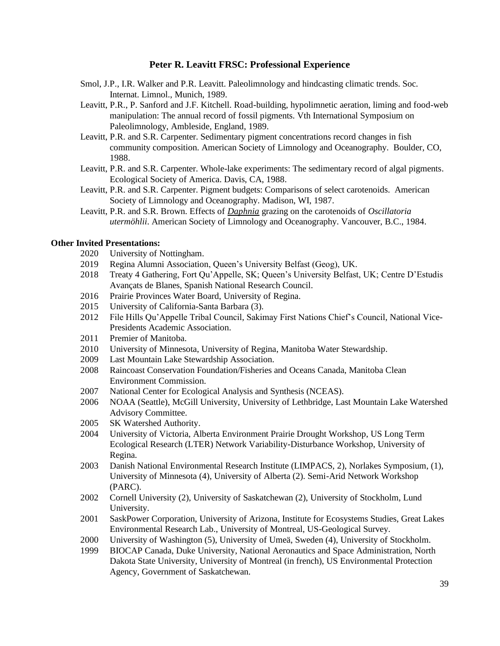- Smol, J.P., I.R. Walker and P.R. Leavitt. Paleolimnology and hindcasting climatic trends. Soc. Internat. Limnol., Munich, 1989.
- Leavitt, P.R., P. Sanford and J.F. Kitchell. Road-building, hypolimnetic aeration, liming and food-web manipulation: The annual record of fossil pigments. Vth International Symposium on Paleolimnology, Ambleside, England, 1989.
- Leavitt, P.R. and S.R. Carpenter. Sedimentary pigment concentrations record changes in fish community composition. American Society of Limnology and Oceanography. Boulder, CO, 1988.
- Leavitt, P.R. and S.R. Carpenter. Whole-lake experiments: The sedimentary record of algal pigments. Ecological Society of America. Davis, CA, 1988.
- Leavitt, P.R. and S.R. Carpenter. Pigment budgets: Comparisons of select carotenoids. American Society of Limnology and Oceanography. Madison, WI, 1987.
- Leavitt, P.R. and S.R. Brown. Effects of *Daphnia* grazing on the carotenoids of *Oscillatoria utermöhlii*. American Society of Limnology and Oceanography. Vancouver, B.C., 1984.

#### **Other Invited Presentations:**

- 2020 University of Nottingham.
- 2019 Regina Alumni Association, Queen's University Belfast (Geog), UK.
- 2018 Treaty 4 Gathering, Fort Qu'Appelle, SK; Queen's University Belfast, UK; Centre D'Estudis Avançats de Blanes, Spanish National Research Council.
- 2016 Prairie Provinces Water Board, University of Regina.
- 2015 University of California-Santa Barbara (3).
- 2012 File Hills Qu'Appelle Tribal Council, Sakimay First Nations Chief's Council, National Vice-Presidents Academic Association.
- 2011 Premier of Manitoba.
- 2010 University of Minnesota, University of Regina, Manitoba Water Stewardship.
- 2009 Last Mountain Lake Stewardship Association.
- 2008 Raincoast Conservation Foundation/Fisheries and Oceans Canada, Manitoba Clean Environment Commission.
- 2007 National Center for Ecological Analysis and Synthesis (NCEAS).
- 2006 NOAA (Seattle), McGill University, University of Lethbridge, Last Mountain Lake Watershed Advisory Committee.
- 2005 SK Watershed Authority.
- 2004 University of Victoria, Alberta Environment Prairie Drought Workshop, US Long Term Ecological Research (LTER) Network Variability-Disturbance Workshop, University of Regina.
- 2003 Danish National Environmental Research Institute (LIMPACS, 2), Norlakes Symposium, (1), University of Minnesota (4), University of Alberta (2). Semi-Arid Network Workshop (PARC).
- 2002 Cornell University (2), University of Saskatchewan (2), University of Stockholm, Lund University.
- 2001 SaskPower Corporation, University of Arizona, Institute for Ecosystems Studies, Great Lakes Environmental Research Lab., University of Montreal, US-Geological Survey.
- 2000 University of Washington (5), University of Umeä, Sweden (4), University of Stockholm.
- 1999 BIOCAP Canada, Duke University, National Aeronautics and Space Administration, North Dakota State University, University of Montreal (in french), US Environmental Protection Agency, Government of Saskatchewan.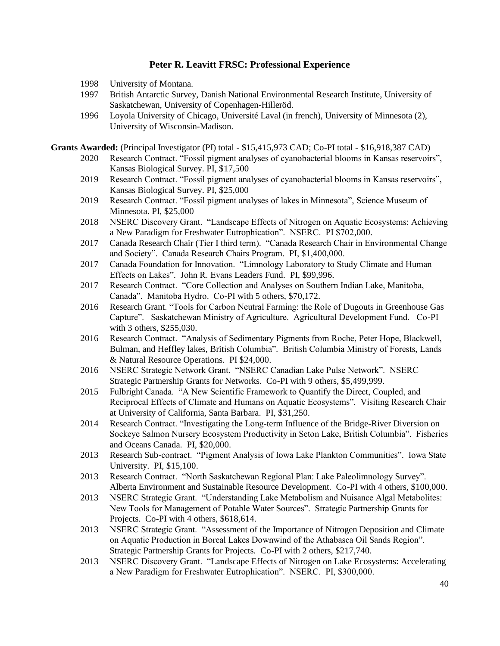- 1998 University of Montana.
- 1997 British Antarctic Survey, Danish National Environmental Research Institute, University of Saskatchewan, University of Copenhagen-Hilleröd.
- 1996 Loyola University of Chicago, Université Laval (in french), University of Minnesota (2), University of Wisconsin-Madison.

**Grants Awarded:** (Principal Investigator (PI) total - \$15,415,973 CAD; Co-PI total - \$16,918,387 CAD)

- 2020 Research Contract. "Fossil pigment analyses of cyanobacterial blooms in Kansas reservoirs", Kansas Biological Survey. PI, \$17,500
- 2019 Research Contract. "Fossil pigment analyses of cyanobacterial blooms in Kansas reservoirs", Kansas Biological Survey. PI, \$25,000
- 2019 Research Contract. "Fossil pigment analyses of lakes in Minnesota", Science Museum of Minnesota. PI, \$25,000
- 2018 NSERC Discovery Grant. "Landscape Effects of Nitrogen on Aquatic Ecosystems: Achieving a New Paradigm for Freshwater Eutrophication". NSERC. PI \$702,000.
- 2017 Canada Research Chair (Tier I third term). "Canada Research Chair in Environmental Change and Society". Canada Research Chairs Program. PI, \$1,400,000.
- 2017 Canada Foundation for Innovation. "Limnology Laboratory to Study Climate and Human Effects on Lakes". John R. Evans Leaders Fund. PI, \$99,996.
- 2017 Research Contract. "Core Collection and Analyses on Southern Indian Lake, Manitoba, Canada". Manitoba Hydro. Co-PI with 5 others, \$70,172.
- 2016 Research Grant. "Tools for Carbon Neutral Farming: the Role of Dugouts in Greenhouse Gas Capture". Saskatchewan Ministry of Agriculture. Agricultural Development Fund. Co-PI with 3 others, \$255,030.
- 2016 Research Contract. "Analysis of Sedimentary Pigments from Roche, Peter Hope, Blackwell, Bulman, and Heffley lakes, British Columbia". British Columbia Ministry of Forests, Lands & Natural Resource Operations. PI \$24,000.
- 2016 NSERC Strategic Network Grant. "NSERC Canadian Lake Pulse Network". NSERC Strategic Partnership Grants for Networks. Co-PI with 9 others, \$5,499,999.
- 2015 Fulbright Canada. "A New Scientific Framework to Quantify the Direct, Coupled, and Reciprocal Effects of Climate and Humans on Aquatic Ecosystems". Visiting Research Chair at University of California, Santa Barbara. PI, \$31,250.
- 2014 Research Contract. "Investigating the Long-term Influence of the Bridge-River Diversion on Sockeye Salmon Nursery Ecosystem Productivity in Seton Lake, British Columbia". Fisheries and Oceans Canada. PI, \$20,000.
- 2013 Research Sub-contract. "Pigment Analysis of Iowa Lake Plankton Communities". Iowa State University. PI, \$15,100.
- 2013 Research Contract. "North Saskatchewan Regional Plan: Lake Paleolimnology Survey". Alberta Environment and Sustainable Resource Development. Co-PI with 4 others, \$100,000.
- 2013 NSERC Strategic Grant. "Understanding Lake Metabolism and Nuisance Algal Metabolites: New Tools for Management of Potable Water Sources". Strategic Partnership Grants for Projects. Co-PI with 4 others, \$618,614.
- 2013 NSERC Strategic Grant. "Assessment of the Importance of Nitrogen Deposition and Climate on Aquatic Production in Boreal Lakes Downwind of the Athabasca Oil Sands Region". Strategic Partnership Grants for Projects. Co-PI with 2 others, \$217,740.
- 2013 NSERC Discovery Grant. "Landscape Effects of Nitrogen on Lake Ecosystems: Accelerating a New Paradigm for Freshwater Eutrophication". NSERC. PI, \$300,000.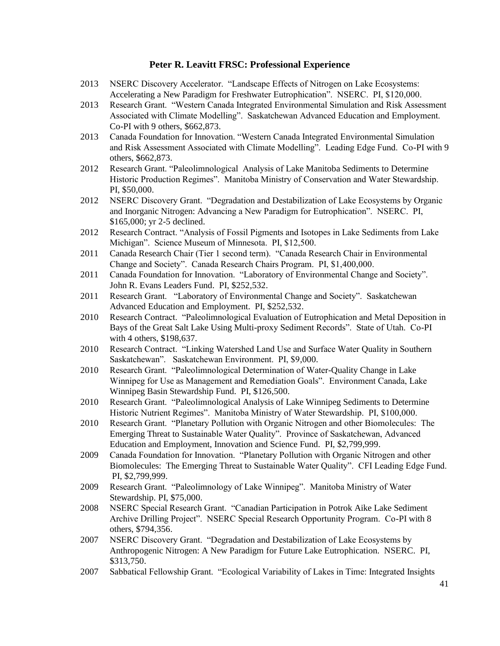- 2013 NSERC Discovery Accelerator. "Landscape Effects of Nitrogen on Lake Ecosystems: Accelerating a New Paradigm for Freshwater Eutrophication". NSERC. PI, \$120,000.
- 2013 Research Grant. "Western Canada Integrated Environmental Simulation and Risk Assessment Associated with Climate Modelling". Saskatchewan Advanced Education and Employment. Co-PI with 9 others, \$662,873.
- 2013 Canada Foundation for Innovation. "Western Canada Integrated Environmental Simulation and Risk Assessment Associated with Climate Modelling". Leading Edge Fund. Co-PI with 9 others, \$662,873.
- 2012 Research Grant. "Paleolimnological Analysis of Lake Manitoba Sediments to Determine Historic Production Regimes". Manitoba Ministry of Conservation and Water Stewardship. PI, \$50,000.
- 2012 NSERC Discovery Grant. "Degradation and Destabilization of Lake Ecosystems by Organic and Inorganic Nitrogen: Advancing a New Paradigm for Eutrophication". NSERC. PI, \$165,000; yr 2-5 declined.
- 2012 Research Contract. "Analysis of Fossil Pigments and Isotopes in Lake Sediments from Lake Michigan". Science Museum of Minnesota. PI, \$12,500.
- 2011 Canada Research Chair (Tier 1 second term). "Canada Research Chair in Environmental Change and Society". Canada Research Chairs Program. PI, \$1,400,000.
- 2011 Canada Foundation for Innovation. "Laboratory of Environmental Change and Society". John R. Evans Leaders Fund. PI, \$252,532.
- 2011 Research Grant. "Laboratory of Environmental Change and Society". Saskatchewan Advanced Education and Employment. PI, \$252,532.
- 2010 Research Contract. "Paleolimnological Evaluation of Eutrophication and Metal Deposition in Bays of the Great Salt Lake Using Multi-proxy Sediment Records". State of Utah. Co-PI with 4 others, \$198,637.
- 2010 Research Contract. "Linking Watershed Land Use and Surface Water Quality in Southern Saskatchewan". Saskatchewan Environment. PI, \$9,000.
- 2010 Research Grant. "Paleolimnological Determination of Water-Quality Change in Lake Winnipeg for Use as Management and Remediation Goals". Environment Canada, Lake Winnipeg Basin Stewardship Fund. PI, \$126,500.
- 2010 Research Grant. "Paleolimnological Analysis of Lake Winnipeg Sediments to Determine Historic Nutrient Regimes". Manitoba Ministry of Water Stewardship. PI, \$100,000.
- 2010 Research Grant. "Planetary Pollution with Organic Nitrogen and other Biomolecules: The Emerging Threat to Sustainable Water Quality". Province of Saskatchewan, Advanced Education and Employment, Innovation and Science Fund. PI, \$2,799,999.
- 2009 Canada Foundation for Innovation. "Planetary Pollution with Organic Nitrogen and other Biomolecules: The Emerging Threat to Sustainable Water Quality". CFI Leading Edge Fund. PI, \$2,799,999.
- 2009 Research Grant. "Paleolimnology of Lake Winnipeg". Manitoba Ministry of Water Stewardship. PI, \$75,000.
- 2008 NSERC Special Research Grant. "Canadian Participation in Potrok Aike Lake Sediment Archive Drilling Project". NSERC Special Research Opportunity Program. Co-PI with 8 others, \$794,356.
- 2007 NSERC Discovery Grant. "Degradation and Destabilization of Lake Ecosystems by Anthropogenic Nitrogen: A New Paradigm for Future Lake Eutrophication. NSERC. PI, \$313,750.
- 2007 Sabbatical Fellowship Grant. "Ecological Variability of Lakes in Time: Integrated Insights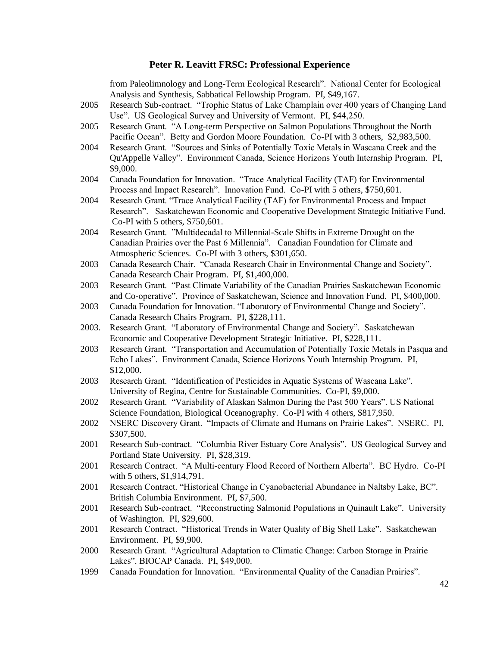|       | from Paleolimnology and Long-Term Ecological Research". National Center for Ecological                                              |
|-------|-------------------------------------------------------------------------------------------------------------------------------------|
|       | Analysis and Synthesis, Sabbatical Fellowship Program. PI, \$49,167.                                                                |
| 2005  | Research Sub-contract. "Trophic Status of Lake Champlain over 400 years of Changing Land                                            |
|       | Use". US Geological Survey and University of Vermont. PI, \$44,250.                                                                 |
| 2005  | Research Grant. "A Long-term Perspective on Salmon Populations Throughout the North                                                 |
|       | Pacific Ocean". Betty and Gordon Moore Foundation. Co-PI with 3 others, \$2,983,500.                                                |
| 2004  | Research Grant. "Sources and Sinks of Potentially Toxic Metals in Wascana Creek and the                                             |
|       | Qu'Appelle Valley". Environment Canada, Science Horizons Youth Internship Program. PI,                                              |
|       | \$9,000.                                                                                                                            |
| 2004  | Canada Foundation for Innovation. "Trace Analytical Facility (TAF) for Environmental                                                |
|       | Process and Impact Research". Innovation Fund. Co-PI with 5 others, \$750,601.                                                      |
| 2004  | Research Grant. "Trace Analytical Facility (TAF) for Environmental Process and Impact                                               |
|       | Research". Saskatchewan Economic and Cooperative Development Strategic Initiative Fund.                                             |
|       | Co-PI with 5 others, \$750,601.                                                                                                     |
| 2004  | Research Grant. "Multidecadal to Millennial-Scale Shifts in Extreme Drought on the                                                  |
|       | Canadian Prairies over the Past 6 Millennia". Canadian Foundation for Climate and                                                   |
|       | Atmospheric Sciences. Co-PI with 3 others, \$301,650.                                                                               |
| 2003  | Canada Research Chair. "Canada Research Chair in Environmental Change and Society".                                                 |
|       | Canada Research Chair Program. PI, \$1,400,000.                                                                                     |
| 2003  | Research Grant. "Past Climate Variability of the Canadian Prairies Saskatchewan Economic                                            |
|       | and Co-operative". Province of Saskatchewan, Science and Innovation Fund. PI, \$400,000.                                            |
| 2003  | Canada Foundation for Innovation. "Laboratory of Environmental Change and Society".                                                 |
|       | Canada Research Chairs Program. PI, \$228,111.                                                                                      |
| 2003. | Research Grant. "Laboratory of Environmental Change and Society". Saskatchewan                                                      |
|       | Economic and Cooperative Development Strategic Initiative. PI, \$228,111.                                                           |
|       | Research Grant. "Transportation and Accumulation of Potentially Toxic Metals in Pasqua and                                          |
| 2003  |                                                                                                                                     |
|       | Echo Lakes". Environment Canada, Science Horizons Youth Internship Program. PI,<br>\$12,000.                                        |
| 2003  | Research Grant. "Identification of Pesticides in Aquatic Systems of Wascana Lake".                                                  |
|       | University of Regina, Centre for Sustainable Communities. Co-PI, \$9,000.                                                           |
|       |                                                                                                                                     |
| 2002  | Research Grant. "Variability of Alaskan Salmon During the Past 500 Years". US National                                              |
| 2002  | Science Foundation, Biological Oceanography. Co-PI with 4 others, \$817,950.                                                        |
|       | NSERC Discovery Grant. "Impacts of Climate and Humans on Prairie Lakes". NSERC. PI,                                                 |
|       | \$307,500.                                                                                                                          |
| 2001  | Research Sub-contract. "Columbia River Estuary Core Analysis". US Geological Survey and<br>Portland State University. PI, \$28,319. |
|       |                                                                                                                                     |
| 2001  | Research Contract. "A Multi-century Flood Record of Northern Alberta". BC Hydro. Co-PI                                              |
|       | with 5 others, \$1,914,791.                                                                                                         |
| 2001  | Research Contract. "Historical Change in Cyanobacterial Abundance in Naltsby Lake, BC".                                             |
|       | British Columbia Environment. PI, \$7,500.                                                                                          |
| 2001  | Research Sub-contract. "Reconstructing Salmonid Populations in Quinault Lake". University                                           |
|       | of Washington. PI, \$29,600.                                                                                                        |
| 2001  | Research Contract. "Historical Trends in Water Quality of Big Shell Lake". Saskatchewan                                             |
|       | Environment. PI, \$9,900.                                                                                                           |
| 2000  | Research Grant. "Agricultural Adaptation to Climatic Change: Carbon Storage in Prairie                                              |
|       | Lakes". BIOCAP Canada. PI, \$49,000.                                                                                                |
| 1999  | Canada Foundation for Innovation. "Environmental Quality of the Canadian Prairies".                                                 |
|       | $\Delta$                                                                                                                            |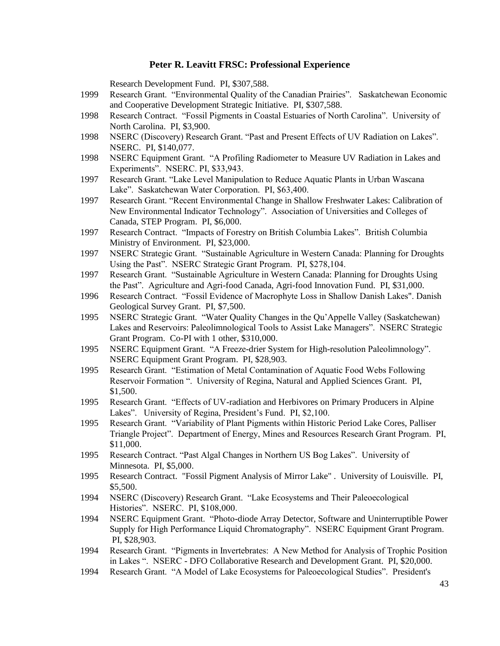Research Development Fund. PI, \$307,588.

- 1999 Research Grant. "Environmental Quality of the Canadian Prairies". Saskatchewan Economic and Cooperative Development Strategic Initiative. PI, \$307,588.
- 1998 Research Contract. "Fossil Pigments in Coastal Estuaries of North Carolina". University of North Carolina. PI, \$3,900.
- 1998 NSERC (Discovery) Research Grant. "Past and Present Effects of UV Radiation on Lakes". NSERC. PI, \$140,077.
- 1998 NSERC Equipment Grant. "A Profiling Radiometer to Measure UV Radiation in Lakes and Experiments". NSERC. PI, \$33,943.
- 1997 Research Grant. "Lake Level Manipulation to Reduce Aquatic Plants in Urban Wascana Lake". Saskatchewan Water Corporation. PI, \$63,400.
- 1997 Research Grant. "Recent Environmental Change in Shallow Freshwater Lakes: Calibration of New Environmental Indicator Technology". Association of Universities and Colleges of Canada, STEP Program. PI, \$6,000.
- 1997 Research Contract. "Impacts of Forestry on British Columbia Lakes". British Columbia Ministry of Environment. PI, \$23,000.
- 1997 NSERC Strategic Grant. "Sustainable Agriculture in Western Canada: Planning for Droughts Using the Past". NSERC Strategic Grant Program. PI, \$278,104.
- 1997 Research Grant. "Sustainable Agriculture in Western Canada: Planning for Droughts Using the Past". Agriculture and Agri-food Canada, Agri-food Innovation Fund. PI, \$31,000.
- 1996 Research Contract. "Fossil Evidence of Macrophyte Loss in Shallow Danish Lakes". Danish Geological Survey Grant. PI, \$7,500.
- 1995 NSERC Strategic Grant. "Water Quality Changes in the Qu'Appelle Valley (Saskatchewan) Lakes and Reservoirs: Paleolimnological Tools to Assist Lake Managers". NSERC Strategic Grant Program. Co-PI with 1 other, \$310,000.
- 1995 NSERC Equipment Grant. "A Freeze-drier System for High-resolution Paleolimnology". NSERC Equipment Grant Program. PI, \$28,903.
- 1995 Research Grant. "Estimation of Metal Contamination of Aquatic Food Webs Following Reservoir Formation ". University of Regina, Natural and Applied Sciences Grant. PI, \$1,500.
- 1995 Research Grant. "Effects of UV-radiation and Herbivores on Primary Producers in Alpine Lakes". University of Regina, President's Fund. PI, \$2,100.
- 1995 Research Grant. "Variability of Plant Pigments within Historic Period Lake Cores, Palliser Triangle Project". Department of Energy, Mines and Resources Research Grant Program. PI, \$11,000.
- 1995 Research Contract. "Past Algal Changes in Northern US Bog Lakes". University of Minnesota. PI, \$5,000.
- 1995 Research Contract. "Fossil Pigment Analysis of Mirror Lake" . University of Louisville. PI, \$5,500.
- 1994 NSERC (Discovery) Research Grant. "Lake Ecosystems and Their Paleoecological Histories". NSERC. PI, \$108,000.
- 1994 NSERC Equipment Grant. "Photo-diode Array Detector, Software and Uninterruptible Power Supply for High Performance Liquid Chromatography". NSERC Equipment Grant Program. PI, \$28,903.
- 1994 Research Grant. "Pigments in Invertebrates: A New Method for Analysis of Trophic Position in Lakes ". NSERC - DFO Collaborative Research and Development Grant. PI, \$20,000.
- 1994 Research Grant. "A Model of Lake Ecosystems for Paleoecological Studies". President's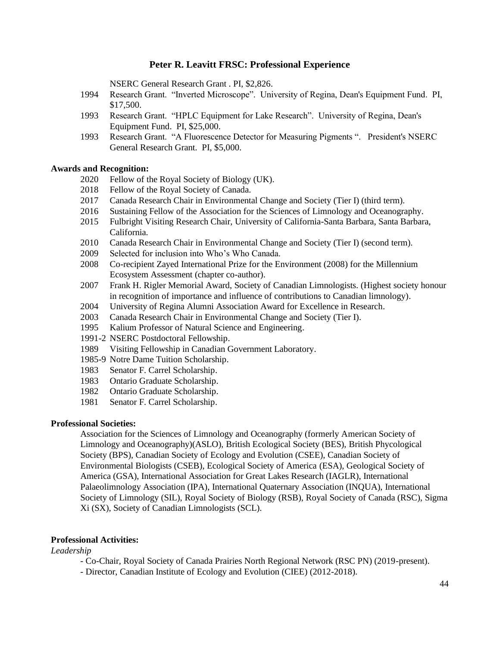NSERC General Research Grant . PI, \$2,826.

- 1994 Research Grant. "Inverted Microscope". University of Regina, Dean's Equipment Fund. PI, \$17,500.
- 1993 Research Grant. "HPLC Equipment for Lake Research". University of Regina, Dean's Equipment Fund. PI, \$25,000.
- 1993 Research Grant. "A Fluorescence Detector for Measuring Pigments ". President's NSERC General Research Grant. PI, \$5,000.

#### **Awards and Recognition:**

- 2020 Fellow of the Royal Society of Biology (UK).
- 2018 Fellow of the Royal Society of Canada.
- 2017 Canada Research Chair in Environmental Change and Society (Tier I) (third term).
- 2016 Sustaining Fellow of the Association for the Sciences of Limnology and Oceanography.
- 2015 Fulbright Visiting Research Chair, University of California-Santa Barbara, Santa Barbara, California.
- 2010 Canada Research Chair in Environmental Change and Society (Tier I) (second term).
- 2009 Selected for inclusion into Who's Who Canada.
- 2008 Co-recipient Zayed International Prize for the Environment (2008) for the Millennium Ecosystem Assessment (chapter co-author).
- 2007 Frank H. Rigler Memorial Award, Society of Canadian Limnologists. (Highest society honour in recognition of importance and influence of contributions to Canadian limnology).
- 2004 University of Regina Alumni Association Award for Excellence in Research.
- 2003 Canada Research Chair in Environmental Change and Society (Tier I).
- 1995 Kalium Professor of Natural Science and Engineering.
- 1991-2 NSERC Postdoctoral Fellowship.
- 1989 Visiting Fellowship in Canadian Government Laboratory.
- 1985-9 Notre Dame Tuition Scholarship.
- 1983 Senator F. Carrel Scholarship.
- 1983 Ontario Graduate Scholarship.
- 1982 Ontario Graduate Scholarship.
- 1981 Senator F. Carrel Scholarship.

### **Professional Societies:**

Association for the Sciences of Limnology and Oceanography (formerly American Society of Limnology and Oceanography)(ASLO), British Ecological Society (BES), British Phycological Society (BPS), Canadian Society of Ecology and Evolution (CSEE), Canadian Society of Environmental Biologists (CSEB), Ecological Society of America (ESA), Geological Society of America (GSA), International Association for Great Lakes Research (IAGLR), International Palaeolimnology Association (IPA), International Quaternary Association (INQUA), International Society of Limnology (SIL), Royal Society of Biology (RSB), Royal Society of Canada (RSC), Sigma Xi (SX), Society of Canadian Limnologists (SCL).

### **Professional Activities:**

*Leadership*

- Co-Chair, Royal Society of Canada Prairies North Regional Network (RSC PN) (2019-present).
- Director, Canadian Institute of Ecology and Evolution (CIEE) (2012-2018).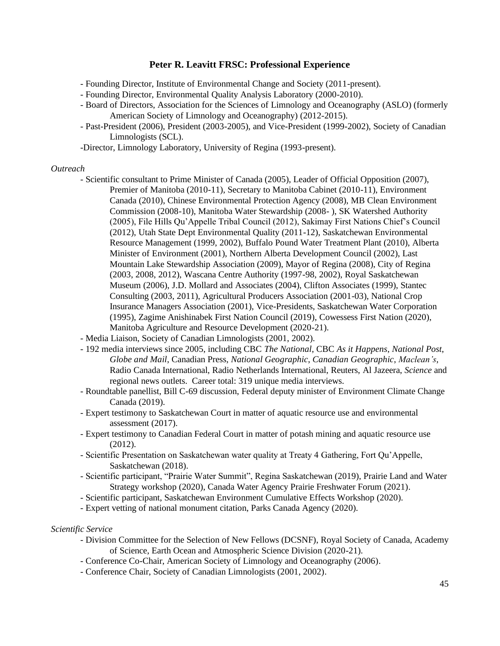- Founding Director, Institute of Environmental Change and Society (2011-present).
- Founding Director, Environmental Quality Analysis Laboratory (2000-2010).
- Board of Directors, Association for the Sciences of Limnology and Oceanography (ASLO) (formerly American Society of Limnology and Oceanography) (2012-2015).
- Past-President (2006), President (2003-2005), and Vice-President (1999-2002), Society of Canadian Limnologists (SCL).
- -Director, Limnology Laboratory, University of Regina (1993-present).

### *Outreach*

- Scientific consultant to Prime Minister of Canada (2005), Leader of Official Opposition (2007), Premier of Manitoba (2010-11), Secretary to Manitoba Cabinet (2010-11), Environment Canada (2010), Chinese Environmental Protection Agency (2008), MB Clean Environment Commission (2008-10), Manitoba Water Stewardship (2008- ), SK Watershed Authority (2005), File Hills Qu'Appelle Tribal Council (2012), Sakimay First Nations Chief's Council (2012), Utah State Dept Environmental Quality (2011-12), Saskatchewan Environmental Resource Management (1999, 2002), Buffalo Pound Water Treatment Plant (2010), Alberta Minister of Environment (2001), Northern Alberta Development Council (2002), Last Mountain Lake Stewardship Association (2009), Mayor of Regina (2008), City of Regina (2003, 2008, 2012), Wascana Centre Authority (1997-98, 2002), Royal Saskatchewan Museum (2006), J.D. Mollard and Associates (2004), Clifton Associates (1999), Stantec Consulting (2003, 2011), Agricultural Producers Association (2001-03), National Crop Insurance Managers Association (2001), Vice-Presidents, Saskatchewan Water Corporation (1995), Zagime Anishinabek First Nation Council (2019), Cowessess First Nation (2020), Manitoba Agriculture and Resource Development (2020-21).
- Media Liaison, Society of Canadian Limnologists (2001, 2002).
- 192 media interviews since 2005, including CBC *The National*, CBC *As it Happens*, *National Post*, *Globe and Mail*, Canadian Press, *National Geographic*, *Canadian Geographic*, *Maclean's*, Radio Canada International, Radio Netherlands International, Reuters, Al Jazeera, *Science* and regional news outlets. Career total: 319 unique media interviews.
- Roundtable panellist, Bill C-69 discussion, Federal deputy minister of Environment Climate Change Canada (2019).
- Expert testimony to Saskatchewan Court in matter of aquatic resource use and environmental assessment (2017).
- Expert testimony to Canadian Federal Court in matter of potash mining and aquatic resource use (2012).
- Scientific Presentation on Saskatchewan water quality at Treaty 4 Gathering, Fort Qu'Appelle, Saskatchewan (2018).
- Scientific participant, "Prairie Water Summit", Regina Saskatchewan (2019), Prairie Land and Water Strategy workshop (2020), Canada Water Agency Prairie Freshwater Forum (2021).
- Scientific participant, Saskatchewan Environment Cumulative Effects Workshop (2020).
- Expert vetting of national monument citation, Parks Canada Agency (2020).

#### *Scientific Service*

- Division Committee for the Selection of New Fellows (DCSNF), Royal Society of Canada, Academy of Science, Earth Ocean and Atmospheric Science Division (2020-21).
- Conference Co-Chair, American Society of Limnology and Oceanography (2006).
- Conference Chair, Society of Canadian Limnologists (2001, 2002).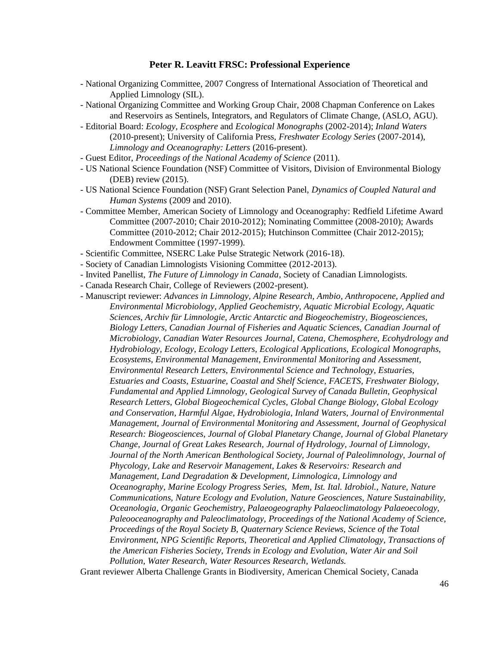- National Organizing Committee, 2007 Congress of International Association of Theoretical and Applied Limnology (SIL).
- National Organizing Committee and Working Group Chair, 2008 Chapman Conference on Lakes and Reservoirs as Sentinels, Integrators, and Regulators of Climate Change, (ASLO, AGU).
- Editorial Board: *Ecology, Ecosphere* and *Ecological Monographs* (2002-2014); *Inland Waters* (2010-present); University of California Press, *Freshwater Ecology Series* (2007-2014), *Limnology and Oceanography: Letters* (2016-present).
- Guest Editor, *Proceedings of the National Academy of Science* (2011).
- US National Science Foundation (NSF) Committee of Visitors, Division of Environmental Biology (DEB) review (2015).
- US National Science Foundation (NSF) Grant Selection Panel, *Dynamics of Coupled Natural and Human Systems* (2009 and 2010).
- Committee Member, American Society of Limnology and Oceanography: Redfield Lifetime Award Committee (2007-2010; Chair 2010-2012); Nominating Committee (2008-2010); Awards Committee (2010-2012; Chair 2012-2015); Hutchinson Committee (Chair 2012-2015); Endowment Committee (1997-1999).
- Scientific Committee, NSERC Lake Pulse Strategic Network (2016-18).
- Society of Canadian Limnologists Visioning Committee (2012-2013).
- Invited Panellist, *The Future of Limnology in Canada*, Society of Canadian Limnologists.
- Canada Research Chair, College of Reviewers (2002-present).
- Manuscript reviewer: *Advances in Limnology, Alpine Research, Ambio, Anthropocene, Applied and Environmental Microbiology, Applied Geochemistry, Aquatic Microbial Ecology, Aquatic Sciences, Archiv für Limnologie, Arctic Antarctic and Biogeochemistry, Biogeosciences, Biology Letters, Canadian Journal of Fisheries and Aquatic Sciences, Canadian Journal of Microbiology, Canadian Water Resources Journal, Catena, Chemosphere, Ecohydrology and Hydrobiology, Ecology, Ecology Letters, Ecological Applications, Ecological Monographs, Ecosystems, Environmental Management, Environmental Monitoring and Assessment, Environmental Research Letters, Environmental Science and Technology, Estuaries, Estuaries and Coasts, Estuarine, Coastal and Shelf Science, FACETS, Freshwater Biology, Fundamental and Applied Limnology, Geological Survey of Canada Bulletin, Geophysical Research Letters, Global Biogeochemical Cycles, Global Change Biology, Global Ecology and Conservation, Harmful Algae, Hydrobiologia, Inland Waters, Journal of Environmental Management, Journal of Environmental Monitoring and Assessment, Journal of Geophysical Research: Biogeosciences, Journal of Global Planetary Change, Journal of Global Planetary Change, Journal of Great Lakes Research, Journal of Hydrology, Journal of Limnology, Journal of the North American Benthological Society, Journal of Paleolimnology, Journal of Phycology, Lake and Reservoir Management, Lakes & Reservoirs: Research and Management, Land Degradation & Development, Limnologica, Limnology and Oceanography, Marine Ecology Progress Series, Mem, Ist. Ital. Idrobiol., Nature, Nature Communications, Nature Ecology and Evolution, Nature Geosciences, Nature Sustainability, Oceanologia, Organic Geochemistry, Palaeogeography Palaeoclimatology Palaeoecology, Paleooceanography and Paleoclimatology, Proceedings of the National Academy of Science, Proceedings of the Royal Society B, Quaternary Science Reviews, Science of the Total Environment, NPG Scientific Reports, Theoretical and Applied Climatology, Transactions of the American Fisheries Society, Trends in Ecology and Evolution, Water Air and Soil Pollution, Water Research, Water Resources Research, Wetlands.*

Grant reviewer Alberta Challenge Grants in Biodiversity, American Chemical Society, Canada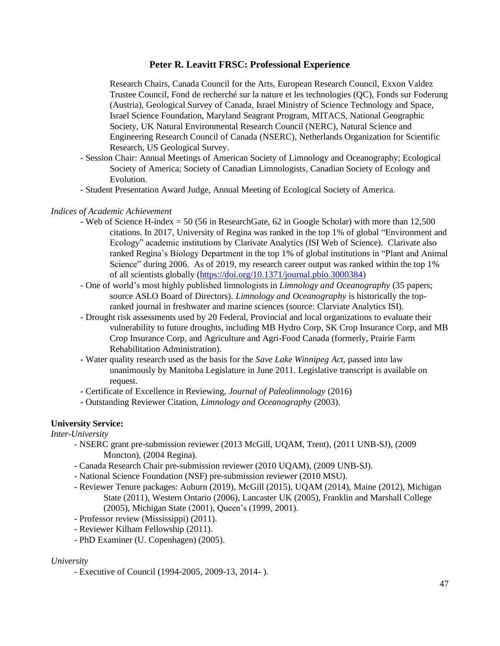Research Chairs, Canada Council for the Arts, European Research Council, Exxon Valdez Trustee Council, Fond de recherché sur la nature et les technologies (QC), Fonds sur Foderung (Austria), Geological Survey of Canada, Israel Ministry of Science Technology and Space, Israel Science Foundation, Maryland Seagrant Program, MITACS, National Geographic Society, UK Natural Environmental Research Council (NERC), Natural Science and Engineering Research Council of Canada (NSERC), Netherlands Organization for Scientific Research, US Geological Survey.

- Session Chair: Annual Meetings of American Society of Limnology and Oceanography; Ecological Society of America; Society of Canadian Limnologists, Canadian Society of Ecology and Evolution.
- Student Presentation Award Judge, Annual Meeting of Ecological Society of America.

### *Indices of Academic Achievement*

- Web of Science H-index = 50 (56 in ResearchGate, 62 in Google Scholar) with more than 12,500 citations. In 2017, University of Regina was ranked in the top 1% of global "Environment and Ecology" academic institutions by Clarivate Analytics (ISI Web of Science). Clarivate also ranked Regina's Biology Department in the top 1% of global institutions in "Plant and Animal Science" during 2006. As of 2019, my research career output was ranked within the top 1% of all scientists globally [\(https://doi.org/10.1371/journal.pbio.3000384\)](https://doi.org/10.1371/journal.pbio.3000384)
- One of world's most highly published limnologists in *Limnology and Oceanography* (35 papers; source ASLO Board of Directors). *Limnology and Oceanography* is historically the topranked journal in freshwater and marine sciences (source: Clarviate Analytics ISI).
- Drought risk assessments used by 20 Federal, Provincial and local organizations to evaluate their vulnerability to future droughts, including MB Hydro Corp, SK Crop Insurance Corp, and MB Crop Insurance Corp, and Agriculture and Agri-Food Canada (formerly, Prairie Farm Rehabilitation Administration).
- Water quality research used as the basis for the *Save Lake Winnipeg Act*, passed into law unanimously by Manitoba Legislature in June 2011. Legislative transcript is available on request.
- Certificate of Excellence in Reviewing, *Journal of Paleolimnology* (2016)
- Outstanding Reviewer Citation, *Limnology and Oceanography* (2003).

# **University Service:**

*Inter-University*

- NSERC grant pre-submission reviewer (2013 McGill, UQAM, Trent), (2011 UNB-SJ), (2009 Moncton), (2004 Regina).
- Canada Research Chair pre-submission reviewer (2010 UQAM), (2009 UNB-SJ).
- National Science Foundation (NSF) pre-submission reviewer (2010 MSU).
- Reviewer Tenure packages: Auburn (2019), McGill (2015), UQAM (2014), Maine (2012), Michigan State (2011), Western Ontario (2006), Lancaster UK (2005), Franklin and Marshall College (2005), Michigan State (2001), Queen's (1999, 2001).
- Professor review (Mississippi) (2011).
- Reviewer Kilham Fellowship (2011).
- PhD Examiner (U. Copenhagen) (2005).

### *University*

- Executive of Council (1994-2005, 2009-13, 2014- ).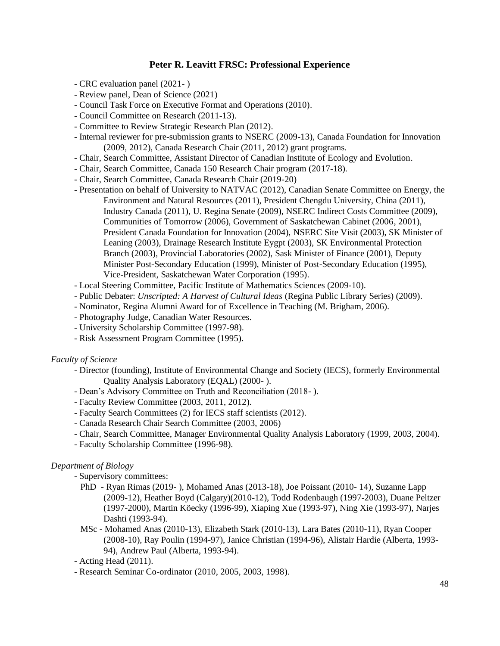- CRC evaluation panel (2021- )
- Review panel, Dean of Science (2021)
- Council Task Force on Executive Format and Operations (2010).
- Council Committee on Research (2011-13).
- Committee to Review Strategic Research Plan (2012).
- Internal reviewer for pre-submission grants to NSERC (2009-13), Canada Foundation for Innovation (2009, 2012), Canada Research Chair (2011, 2012) grant programs.
- Chair, Search Committee, Assistant Director of Canadian Institute of Ecology and Evolution.
- Chair, Search Committee, Canada 150 Research Chair program (2017-18).
- Chair, Search Committee, Canada Research Chair (2019-20)
- Presentation on behalf of University to NATVAC (2012), Canadian Senate Committee on Energy, the Environment and Natural Resources (2011), President Chengdu University, China (2011), Industry Canada (2011), U. Regina Senate (2009), NSERC Indirect Costs Committee (2009), Communities of Tomorrow (2006), Government of Saskatchewan Cabinet (2006, 2001), President Canada Foundation for Innovation (2004), NSERC Site Visit (2003), SK Minister of Leaning (2003), Drainage Research Institute Eygpt (2003), SK Environmental Protection Branch (2003), Provincial Laboratories (2002), Sask Minister of Finance (2001), Deputy Minister Post-Secondary Education (1999), Minister of Post-Secondary Education (1995), Vice-President, Saskatchewan Water Corporation (1995).
- Local Steering Committee, Pacific Institute of Mathematics Sciences (2009-10).
- Public Debater: *Unscripted: A Harvest of Cultural Ideas* (Regina Public Library Series) (2009).
- Nominator, Regina Alumni Award for of Excellence in Teaching (M. Brigham, 2006).
- Photography Judge, Canadian Water Resources.
- University Scholarship Committee (1997-98).
- Risk Assessment Program Committee (1995).

### *Faculty of Science*

- Director (founding), Institute of Environmental Change and Society (IECS), formerly Environmental Quality Analysis Laboratory (EQAL) (2000- ).
- Dean's Advisory Committee on Truth and Reconciliation (2018- ).
- Faculty Review Committee (2003, 2011, 2012).
- Faculty Search Committees (2) for IECS staff scientists (2012).
- Canada Research Chair Search Committee (2003, 2006)
- Chair, Search Committee, Manager Environmental Quality Analysis Laboratory (1999, 2003, 2004).
- Faculty Scholarship Committee (1996-98).

### *Department of Biology*

- Supervisory committees:

- PhD Ryan Rimas (2019- ), Mohamed Anas (2013-18), Joe Poissant (2010- 14), Suzanne Lapp (2009-12), Heather Boyd (Calgary)(2010-12), Todd Rodenbaugh (1997-2003), Duane Peltzer (1997-2000), Martin Köecky (1996-99), Xiaping Xue (1993-97), Ning Xie (1993-97), Narjes Dashti (1993-94).
- MSc Mohamed Anas (2010-13), Elizabeth Stark (2010-13), Lara Bates (2010-11), Ryan Cooper (2008-10), Ray Poulin (1994-97), Janice Christian (1994-96), Alistair Hardie (Alberta, 1993- 94), Andrew Paul (Alberta, 1993-94).
- Acting Head (2011).
- Research Seminar Co-ordinator (2010, 2005, 2003, 1998).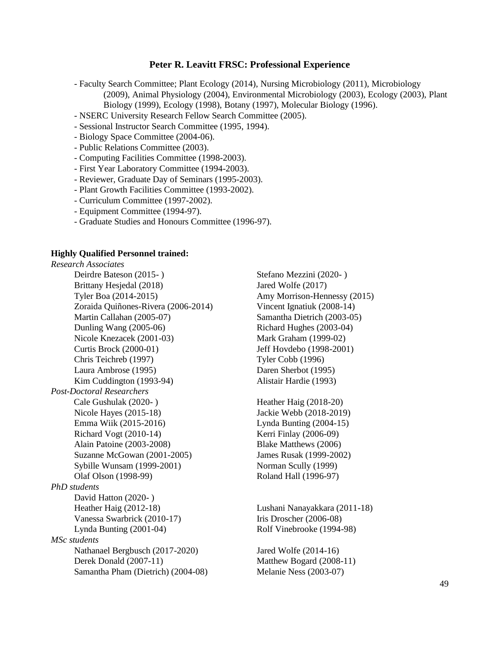- Faculty Search Committee; Plant Ecology (2014), Nursing Microbiology (2011), Microbiology (2009), Animal Physiology (2004), Environmental Microbiology (2003), Ecology (2003), Plant Biology (1999), Ecology (1998), Botany (1997), Molecular Biology (1996).
- NSERC University Research Fellow Search Committee (2005).
- Sessional Instructor Search Committee (1995, 1994).
- Biology Space Committee (2004-06).
- Public Relations Committee (2003).
- Computing Facilities Committee (1998-2003).
- First Year Laboratory Committee (1994-2003).
- Reviewer, Graduate Day of Seminars (1995-2003).
- Plant Growth Facilities Committee (1993-2002).
- Curriculum Committee (1997-2002).
- Equipment Committee (1994-97).
- Graduate Studies and Honours Committee (1996-97).

#### **Highly Qualified Personnel trained:**

*Research Associates* Deirdre Bateson (2015- ) Stefano Mezzini (2020- ) Brittany Hesjedal (2018) Jared Wolfe (2017) Tyler Boa (2014-2015) Amy Morrison-Hennessy (2015) Zoraida Quiñones-Rivera (2006-2014) Vincent Ignatiuk (2008-14) Martin Callahan (2005-07) Samantha Dietrich (2003-05) Dunling Wang (2005-06) Richard Hughes (2003-04) Nicole Knezacek (2001-03) Mark Graham (1999-02) Curtis Brock (2000-01) Jeff Hovdebo (1998-2001) Chris Teichreb (1997) Tyler Cobb (1996) Laura Ambrose (1995) Daren Sherbot (1995) Kim Cuddington (1993-94) Alistair Hardie (1993) *Post-Doctoral Researchers* Cale Gushulak (2020-) Fleather Haig (2018-20) Nicole Hayes (2015-18) Jackie Webb (2018-2019) Emma Wiik (2015-2016) Lynda Bunting (2004-15) Richard Vogt (2010-14) Kerri Finlay (2006-09) Alain Patoine (2003-2008) Blake Matthews (2006) Suzanne McGowan (2001-2005) James Rusak (1999-2002) Sybille Wunsam (1999-2001) Norman Scully (1999) Olaf Olson (1998-99) Roland Hall (1996-97) *PhD students* David Hatton (2020- ) Heather Haig (2012-18) Lushani Nanayakkara (2011-18) Vanessa Swarbrick (2010-17) Iris Droscher (2006-08) Lynda Bunting (2001-04) Rolf Vinebrooke (1994-98) *MSc students* Nathanael Bergbusch (2017-2020) Jared Wolfe (2014-16) Derek Donald (2007-11) Matthew Bogard (2008-11) Samantha Pham (Dietrich) (2004-08) Melanie Ness (2003-07)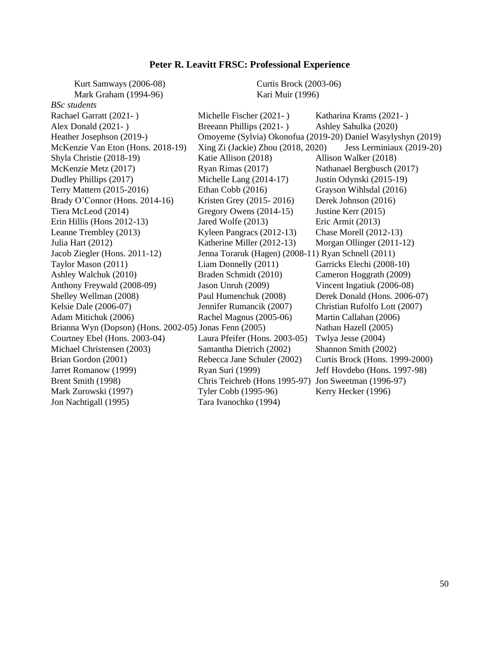| Kurt Samways (2006-08)                                 | <b>Curtis Brock (2003-06)</b>                                   |                                                              |  |  |  |  |  |  |  |  |
|--------------------------------------------------------|-----------------------------------------------------------------|--------------------------------------------------------------|--|--|--|--|--|--|--|--|
| Mark Graham (1994-96)                                  | Kari Muir (1996)                                                |                                                              |  |  |  |  |  |  |  |  |
| <b>BSc</b> students                                    |                                                                 |                                                              |  |  |  |  |  |  |  |  |
| Rachael Garratt (2021-)                                | Michelle Fischer (2021-)                                        | Katharina Krams (2021-)                                      |  |  |  |  |  |  |  |  |
| Alex Donald (2021-)                                    | Breeann Phillips (2021-)                                        | Ashley Sahulka (2020)                                        |  |  |  |  |  |  |  |  |
| Heather Josephson (2019-)                              |                                                                 | Omoyeme (Sylvia) Okonofua (2019-20) Daniel Wasylyshyn (2019) |  |  |  |  |  |  |  |  |
| McKenzie Van Eton (Hons. 2018-19)                      | Xing Zi (Jackie) Zhou (2018, 2020)<br>Jess Lerminiaux (2019-20) |                                                              |  |  |  |  |  |  |  |  |
| Shyla Christie (2018-19)                               | Katie Allison (2018)                                            | Allison Walker (2018)                                        |  |  |  |  |  |  |  |  |
| McKenzie Metz (2017)                                   | Ryan Rimas (2017)                                               | Nathanael Bergbusch (2017)                                   |  |  |  |  |  |  |  |  |
| Dudley Phillips (2017)                                 | Michelle Lang (2014-17)                                         | Justin Odynski (2015-19)                                     |  |  |  |  |  |  |  |  |
| Terry Mattern (2015-2016)                              | Ethan Cobb (2016)                                               | Grayson Wihlsdal (2016)                                      |  |  |  |  |  |  |  |  |
| Brady O'Connor (Hons. 2014-16)                         | Kristen Grey (2015-2016)                                        | Derek Johnson (2016)                                         |  |  |  |  |  |  |  |  |
| Tiera McLeod (2014)                                    | Gregory Owens (2014-15)                                         | Justine Kerr (2015)                                          |  |  |  |  |  |  |  |  |
| Erin Hillis (Hons 2012-13)                             | Jared Wolfe (2013)                                              | Eric Armit (2013)                                            |  |  |  |  |  |  |  |  |
| Leanne Trembley (2013)                                 | Kyleen Pangracs (2012-13)                                       | <b>Chase Morell (2012-13)</b>                                |  |  |  |  |  |  |  |  |
| Julia Hart (2012)                                      | Katherine Miller (2012-13)                                      | Morgan Ollinger (2011-12)                                    |  |  |  |  |  |  |  |  |
| Jacob Ziegler (Hons. 2011-12)                          | Jenna Toraruk (Hagen) (2008-11) Ryan Schnell (2011)             |                                                              |  |  |  |  |  |  |  |  |
| Taylor Mason (2011)                                    | Liam Donnelly (2011)                                            | Garricks Elechi (2008-10)                                    |  |  |  |  |  |  |  |  |
| Ashley Walchuk (2010)                                  | Braden Schmidt (2010)                                           | Cameron Hoggrath (2009)                                      |  |  |  |  |  |  |  |  |
| Anthony Freywald (2008-09)                             | Jason Unruh (2009)                                              | Vincent Ingatiuk (2006-08)                                   |  |  |  |  |  |  |  |  |
| Shelley Wellman (2008)                                 | Paul Humenchuk (2008)                                           | Derek Donald (Hons. 2006-07)                                 |  |  |  |  |  |  |  |  |
| Kelsie Dale (2006-07)                                  | Jennifer Rumancik (2007)                                        | Christian Rufolfo Lott (2007)                                |  |  |  |  |  |  |  |  |
| Adam Mitichuk (2006)                                   | Rachel Magnus (2005-06)                                         | Martin Callahan (2006)                                       |  |  |  |  |  |  |  |  |
| Brianna Wyn (Dopson) (Hons. 2002-05) Jonas Fenn (2005) |                                                                 | Nathan Hazell (2005)                                         |  |  |  |  |  |  |  |  |
| Courtney Ebel (Hons. 2003-04)                          | Laura Pfeifer (Hons. 2003-05)                                   | Twlya Jesse (2004)                                           |  |  |  |  |  |  |  |  |
| Michael Christensen (2003)                             | Samantha Dietrich (2002)                                        | Shannon Smith (2002)                                         |  |  |  |  |  |  |  |  |
| Brian Gordon (2001)                                    | Rebecca Jane Schuler (2002)                                     | Curtis Brock (Hons. 1999-2000)                               |  |  |  |  |  |  |  |  |
| Jarret Romanow (1999)                                  | Ryan Suri (1999)                                                | Jeff Hovdebo (Hons. 1997-98)                                 |  |  |  |  |  |  |  |  |
| Brent Smith (1998)                                     | Chris Teichreb (Hons 1995-97)                                   | Jon Sweetman (1996-97)                                       |  |  |  |  |  |  |  |  |
| Mark Zurowski (1997)                                   | Tyler Cobb (1995-96)                                            | Kerry Hecker (1996)                                          |  |  |  |  |  |  |  |  |
| Jon Nachtigall (1995)                                  | Tara Ivanochko (1994)                                           |                                                              |  |  |  |  |  |  |  |  |
|                                                        |                                                                 |                                                              |  |  |  |  |  |  |  |  |